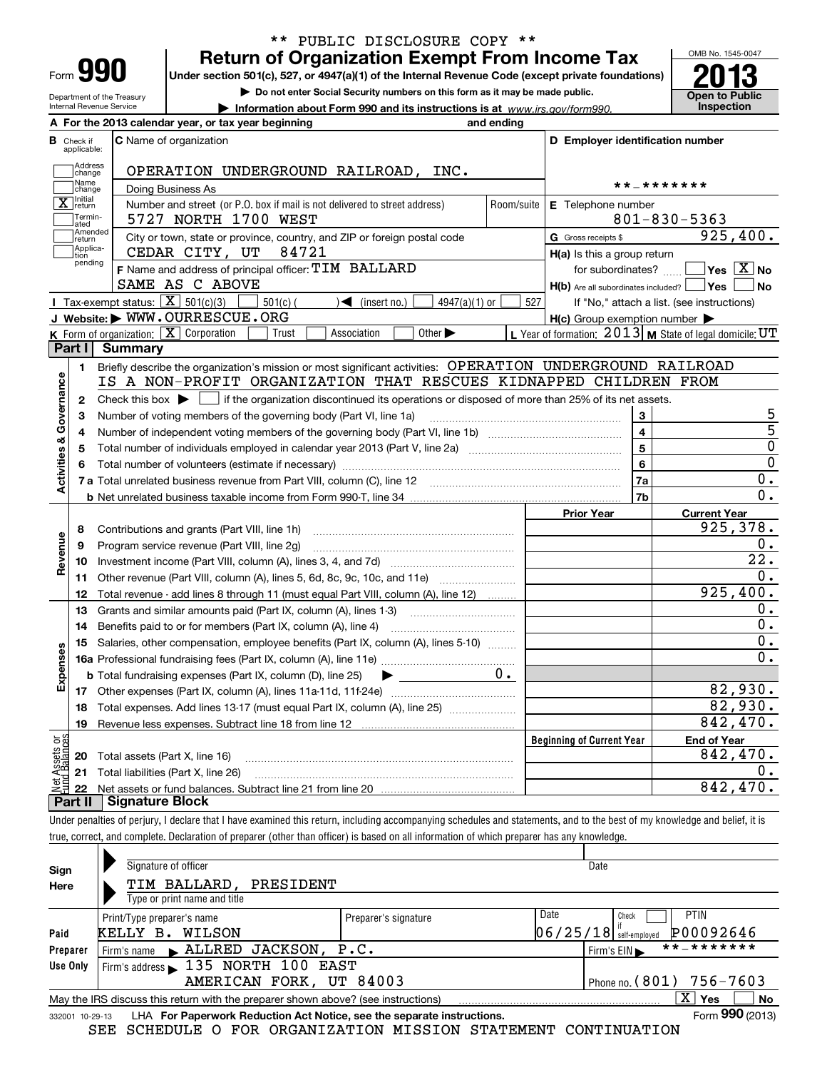| Form |  |
|------|--|
|      |  |

## **Return of Organization Exempt From Income Tax** \*\* PUBLIC DISCLOSURE COPY \*\*

**Under section 501(c), 527, or 4947(a)(1) of the Internal Revenue Code (except private foundations) 2013**

Department of the Treasury Internal Revenue Service

**| Do not enter Social Security numbers on this form as it may be made public.**

**| Information about Form 990 and its instructions is at www.irs.gov/form990.** | Inspection



|                          |                                  | A For the 2013 calendar year, or tax year beginning                                                                                                                        | and ending |                                                         |                                                           |
|--------------------------|----------------------------------|----------------------------------------------------------------------------------------------------------------------------------------------------------------------------|------------|---------------------------------------------------------|-----------------------------------------------------------|
|                          | <b>B</b> Check if<br>applicable: | <b>C</b> Name of organization                                                                                                                                              |            | D Employer identification number                        |                                                           |
|                          | Address<br>change                | OPERATION UNDERGROUND RAILROAD, INC.                                                                                                                                       |            |                                                         |                                                           |
|                          | Name<br>change                   | Doing Business As                                                                                                                                                          |            | * * _ * * * * * * *                                     |                                                           |
|                          | $\overline{\mathbf{X}}$ return   | E Telephone number                                                                                                                                                         |            |                                                         |                                                           |
|                          | Termin-<br>ated                  | Number and street (or P.O. box if mail is not delivered to street address)<br>5727 NORTH 1700 WEST                                                                         | Room/suite |                                                         | $801 - 830 - 5363$                                        |
|                          | Amended<br>return                | City or town, state or province, country, and ZIP or foreign postal code                                                                                                   |            | G Gross receipts \$                                     | 925,400.                                                  |
|                          | Applica-<br>tion                 | CEDAR CITY, UT<br>84721                                                                                                                                                    |            | $H(a)$ is this a group return                           |                                                           |
|                          | pending                          | F Name and address of principal officer: TIM BALLARD                                                                                                                       |            | for subordinates?                                       | $\sqrt{}$ Yes $\sqrt{}$ X $\sqrt{}$ No                    |
|                          |                                  | SAME AS C ABOVE                                                                                                                                                            |            | $H(b)$ Are all subordinates included? $\Box$ Yes $\Box$ | No                                                        |
|                          |                                  | Tax-exempt status: $\boxed{\mathbf{X}}$ 501(c)(3)<br>$4947(a)(1)$ or<br>$501(c)$ (<br>$\sqrt{\bullet}$ (insert no.)                                                        | 527        |                                                         | If "No," attach a list. (see instructions)                |
|                          |                                  | J Website: WWW.OURRESCUE.ORG                                                                                                                                               |            | $H(c)$ Group exemption number $\blacktriangleright$     |                                                           |
|                          |                                  | K Form of organization: X Corporation<br>Other $\blacktriangleright$<br>Association<br>Trust                                                                               |            |                                                         | L Year of formation: $2013$ M State of legal domicile: UT |
|                          |                                  | Part I Summary                                                                                                                                                             |            |                                                         |                                                           |
|                          | 1.                               | Briefly describe the organization's mission or most significant activities: OPERATION UNDERGROUND RAILROAD                                                                 |            |                                                         |                                                           |
| Governance               |                                  | IS A NON-PROFIT ORGANIZATION THAT RESCUES KIDNAPPED CHILDREN FROM                                                                                                          |            |                                                         |                                                           |
|                          | 2                                | Check this box $\blacktriangleright$ $\Box$ if the organization discontinued its operations or disposed of more than 25% of its net assets.                                |            |                                                         |                                                           |
|                          | з                                | Number of voting members of the governing body (Part VI, line 1a)                                                                                                          |            | 3                                                       | 5                                                         |
|                          | 4                                |                                                                                                                                                                            |            | 4                                                       | $\overline{5}$                                            |
|                          | 5                                |                                                                                                                                                                            |            | 5                                                       | $\overline{0}$                                            |
| <b>Activities &amp;</b>  | 6                                |                                                                                                                                                                            |            | 6                                                       | $\overline{0}$                                            |
|                          |                                  |                                                                                                                                                                            |            | 7a                                                      | 0.                                                        |
|                          |                                  |                                                                                                                                                                            |            | 7b                                                      | 0.                                                        |
|                          |                                  |                                                                                                                                                                            |            | <b>Prior Year</b>                                       | <b>Current Year</b>                                       |
|                          | 8                                | Contributions and grants (Part VIII, line 1h)                                                                                                                              |            |                                                         | 925,378.                                                  |
|                          | 9                                | Program service revenue (Part VIII, line 2g)                                                                                                                               |            |                                                         | 0.                                                        |
| Revenue                  | 10                               |                                                                                                                                                                            |            |                                                         | $\overline{22}$ .                                         |
|                          | 11                               | Other revenue (Part VIII, column (A), lines 5, 6d, 8c, 9c, 10c, and 11e)                                                                                                   |            |                                                         | 0.                                                        |
|                          | 12                               | Total revenue - add lines 8 through 11 (must equal Part VIII, column (A), line 12)                                                                                         |            |                                                         | 925,400.                                                  |
|                          | 13                               | Grants and similar amounts paid (Part IX, column (A), lines 1-3)                                                                                                           |            |                                                         | 0.                                                        |
|                          | 14                               | Benefits paid to or for members (Part IX, column (A), line 4)                                                                                                              |            |                                                         | $\overline{0}$ .                                          |
|                          | 15                               | Salaries, other compensation, employee benefits (Part IX, column (A), lines 5-10)                                                                                          |            |                                                         | $0$ .                                                     |
| Expenses                 |                                  |                                                                                                                                                                            |            |                                                         | 0.                                                        |
|                          |                                  | <b>b</b> Total fundraising expenses (Part IX, column (D), line 25)<br>$\blacktriangleright$ and $\blacktriangleright$ and $\blacktriangleright$                            | $0$ .      |                                                         |                                                           |
|                          |                                  |                                                                                                                                                                            |            |                                                         | 82,930.                                                   |
|                          | 18                               | Total expenses. Add lines 13-17 (must equal Part IX, column (A), line 25)                                                                                                  |            |                                                         | 82,930.                                                   |
|                          | 19                               | Revenue less expenses. Subtract line 18 from line 12                                                                                                                       |            |                                                         | 842,470.                                                  |
|                          |                                  |                                                                                                                                                                            |            | <b>Beginning of Current Year</b>                        | <b>End of Year</b>                                        |
| : Assets or<br>dBalances | 20                               | Total assets (Part X, line 16)                                                                                                                                             |            |                                                         | 842,470.                                                  |
| )<br>이번<br>11            | 21                               | Total liabilities (Part X, line 26)                                                                                                                                        |            |                                                         | О.                                                        |
|                          | 22                               | <b>Signature Block</b>                                                                                                                                                     |            |                                                         | 842,470.                                                  |
|                          | <b>Part II</b>                   |                                                                                                                                                                            |            |                                                         |                                                           |
|                          |                                  | Under penalties of perjury, I declare that I have examined this return, including accompanying schedules and statements, and to the best of my knowledge and belief, it is |            |                                                         |                                                           |
|                          |                                  | true, correct, and complete. Declaration of preparer (other than officer) is based on all information of which preparer has any knowledge.                                 |            |                                                         |                                                           |
|                          |                                  |                                                                                                                                                                            |            |                                                         |                                                           |

| Sign<br>Here    | Signature of officer<br>TIM BALLARD, PRESIDENT<br>Type or print name and title    |                            | Date                                                                  |
|-----------------|-----------------------------------------------------------------------------------|----------------------------|-----------------------------------------------------------------------|
| Paid            | Print/Type preparer's name<br>KELLY B.<br>WILSON                                  | Preparer's signature       | Date<br><b>PTIN</b><br>Check<br>P00092646<br>$06/25/18$ self-employed |
| Preparer        |                                                                                   |                            | **_*******<br>Firm's $EIN \blacktriangleright$                        |
| Use Only        | Firm's address 135 NORTH 100 EAST                                                 |                            |                                                                       |
|                 | AMERICAN FORK, UT 84003                                                           | Phone no. $(801)$ 756-7603 |                                                                       |
|                 | May the IRS discuss this return with the preparer shown above? (see instructions) |                            | X.<br>No<br>Yes                                                       |
| 332001 10-29-13 | LHA For Paperwork Reduction Act Notice, see the separate instructions.            |                            | Form 990 (2013)                                                       |

SEE SCHEDULE O FOR ORGANIZATION MISSION STATEMENT CONTINUATION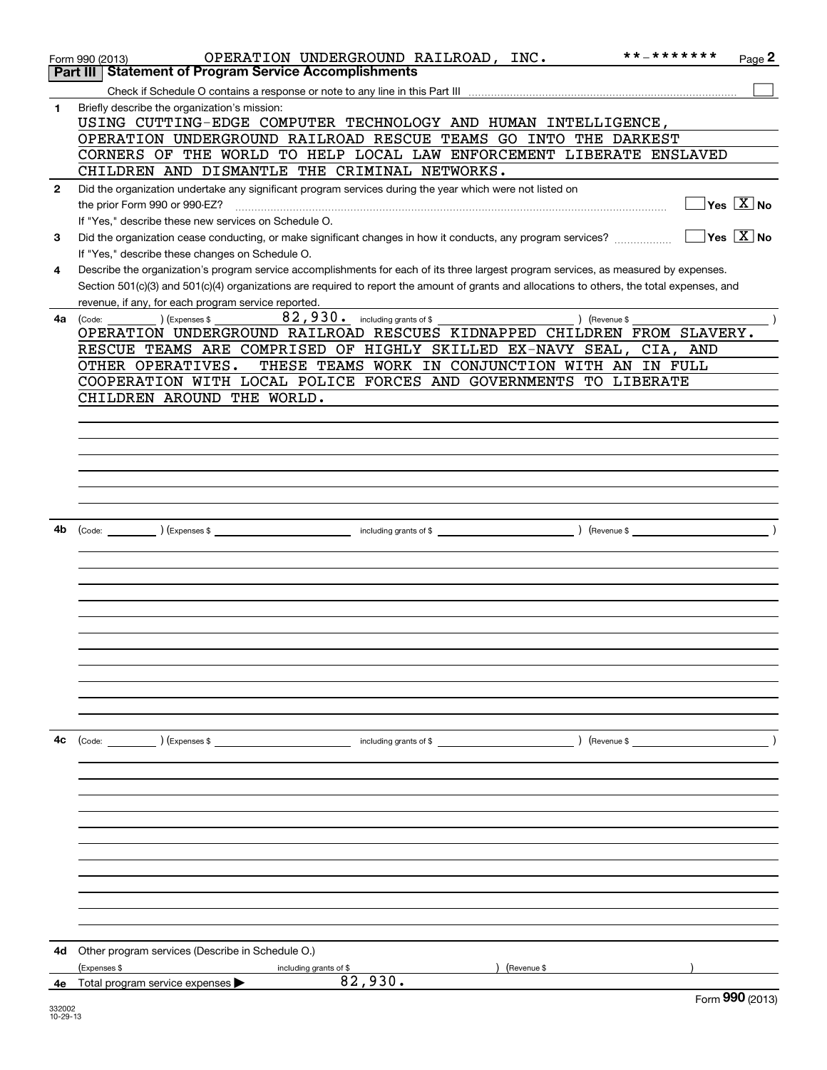|              | OPERATION UNDERGROUND RAILROAD, INC.<br>Form 990 (2013)                                                                                      | **_*******           | $Page$ 2                                          |
|--------------|----------------------------------------------------------------------------------------------------------------------------------------------|----------------------|---------------------------------------------------|
|              | <b>Part III   Statement of Program Service Accomplishments</b>                                                                               |                      |                                                   |
|              |                                                                                                                                              |                      |                                                   |
|              |                                                                                                                                              |                      |                                                   |
| 1            | Briefly describe the organization's mission:                                                                                                 |                      |                                                   |
|              | USING CUTTING-EDGE COMPUTER TECHNOLOGY AND HUMAN INTELLIGENCE,                                                                               |                      |                                                   |
|              | OPERATION UNDERGROUND RAILROAD RESCUE TEAMS GO INTO THE DARKEST                                                                              |                      |                                                   |
|              | CORNERS OF THE WORLD TO HELP LOCAL LAW ENFORCEMENT LIBERATE ENSLAVED                                                                         |                      |                                                   |
|              | CHILDREN AND DISMANTLE THE CRIMINAL NETWORKS.                                                                                                |                      |                                                   |
| $\mathbf{2}$ | Did the organization undertake any significant program services during the year which were not listed on                                     |                      |                                                   |
|              | the prior Form 990 or 990-EZ?                                                                                                                |                      | $\boxed{\phantom{1}}$ Yes $\boxed{\mathrm{X}}$ No |
|              | If "Yes," describe these new services on Schedule O.                                                                                         |                      |                                                   |
| 3            | Did the organization cease conducting, or make significant changes in how it conducts, any program services?                                 |                      | $\Box$ Yes $\Box$ No                              |
|              | If "Yes," describe these changes on Schedule O.                                                                                              |                      |                                                   |
|              |                                                                                                                                              |                      |                                                   |
| 4            | Describe the organization's program service accomplishments for each of its three largest program services, as measured by expenses.         |                      |                                                   |
|              | Section 501(c)(3) and 501(c)(4) organizations are required to report the amount of grants and allocations to others, the total expenses, and |                      |                                                   |
|              | revenue, if any, for each program service reported.                                                                                          |                      |                                                   |
| 4a l         | 82,930. including grants of \$<br>$(Ex)$ (Expenses \$<br>) (Revenue \$<br>(Code:                                                             |                      |                                                   |
|              | OPERATION UNDERGROUND RAILROAD RESCUES KIDNAPPED CHILDREN FROM SLAVERY.                                                                      |                      |                                                   |
|              | RESCUE TEAMS ARE COMPRISED OF HIGHLY SKILLED EX-NAVY SEAL, CIA, AND                                                                          |                      |                                                   |
|              | THESE TEAMS WORK IN CONJUNCTION WITH AN IN FULL<br>OTHER OPERATIVES.                                                                         |                      |                                                   |
|              | COOPERATION WITH LOCAL POLICE FORCES AND GOVERNMENTS TO LIBERATE                                                                             |                      |                                                   |
|              | CHILDREN AROUND THE WORLD.                                                                                                                   |                      |                                                   |
|              |                                                                                                                                              |                      |                                                   |
|              |                                                                                                                                              |                      |                                                   |
|              |                                                                                                                                              |                      |                                                   |
|              |                                                                                                                                              |                      |                                                   |
|              |                                                                                                                                              |                      |                                                   |
|              |                                                                                                                                              |                      |                                                   |
|              |                                                                                                                                              |                      |                                                   |
|              |                                                                                                                                              |                      |                                                   |
| 4b           |                                                                                                                                              |                      |                                                   |
|              |                                                                                                                                              |                      |                                                   |
|              |                                                                                                                                              |                      |                                                   |
|              |                                                                                                                                              |                      |                                                   |
|              |                                                                                                                                              |                      |                                                   |
|              |                                                                                                                                              |                      |                                                   |
|              |                                                                                                                                              |                      |                                                   |
|              |                                                                                                                                              |                      |                                                   |
|              |                                                                                                                                              |                      |                                                   |
|              |                                                                                                                                              |                      |                                                   |
|              |                                                                                                                                              |                      |                                                   |
|              |                                                                                                                                              |                      |                                                   |
|              |                                                                                                                                              |                      |                                                   |
|              |                                                                                                                                              |                      |                                                   |
| 4с           | (Code: ) (Expenses \$<br>including grants of \$                                                                                              | $\sqrt{$ (Revenue \$ |                                                   |
|              |                                                                                                                                              |                      |                                                   |
|              |                                                                                                                                              |                      |                                                   |
|              |                                                                                                                                              |                      |                                                   |
|              |                                                                                                                                              |                      |                                                   |
|              |                                                                                                                                              |                      |                                                   |
|              |                                                                                                                                              |                      |                                                   |
|              |                                                                                                                                              |                      |                                                   |
|              |                                                                                                                                              |                      |                                                   |
|              |                                                                                                                                              |                      |                                                   |
|              |                                                                                                                                              |                      |                                                   |
|              |                                                                                                                                              |                      |                                                   |
|              |                                                                                                                                              |                      |                                                   |
|              |                                                                                                                                              |                      |                                                   |
|              |                                                                                                                                              |                      |                                                   |
| 4d           | Other program services (Describe in Schedule O.)                                                                                             |                      |                                                   |
|              | (Expenses \$<br>(Revenue \$<br>including grants of \$                                                                                        |                      |                                                   |
| 4е           | 82,930.<br>Total program service expenses >                                                                                                  |                      |                                                   |
|              |                                                                                                                                              |                      | Form 990 (2013)                                   |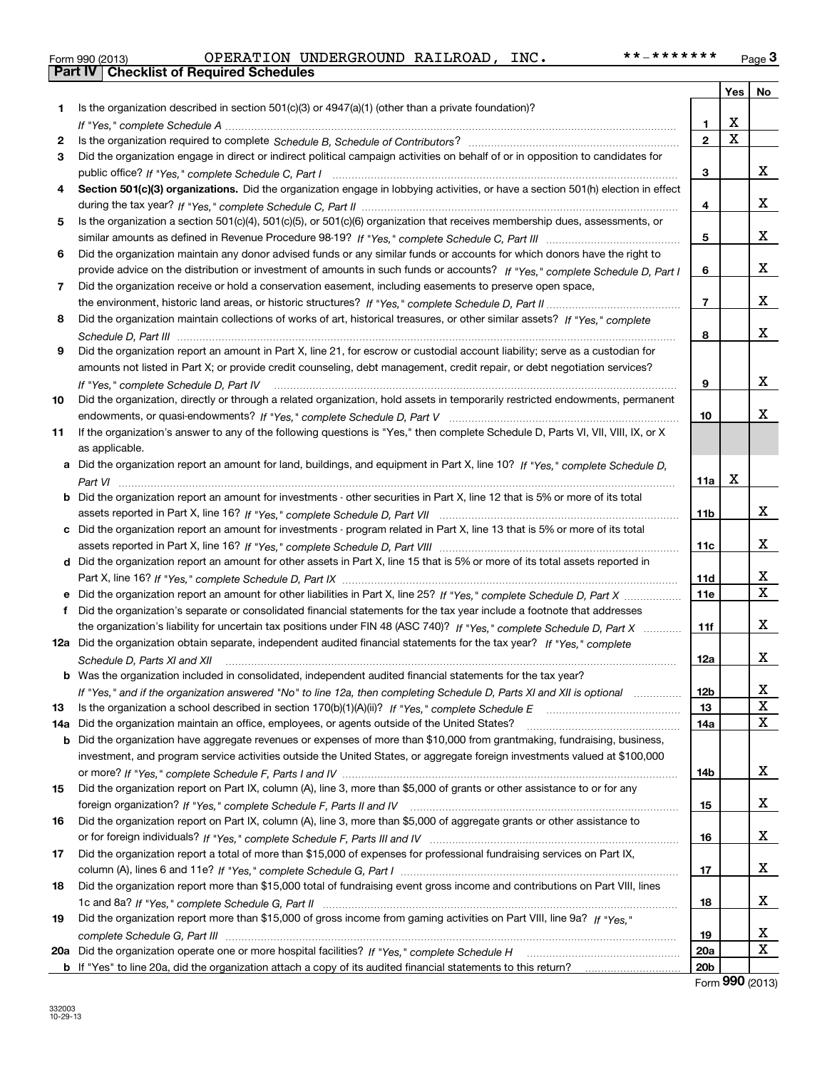|  | Form 990 (2013) |
|--|-----------------|

|     |                                                                                                                                   |                 | Yes                     | No          |
|-----|-----------------------------------------------------------------------------------------------------------------------------------|-----------------|-------------------------|-------------|
| 1   | Is the organization described in section $501(c)(3)$ or $4947(a)(1)$ (other than a private foundation)?                           |                 |                         |             |
|     |                                                                                                                                   | 1.              | X                       |             |
| 2   |                                                                                                                                   | $\overline{2}$  | $\overline{\mathbf{x}}$ |             |
| 3   | Did the organization engage in direct or indirect political campaign activities on behalf of or in opposition to candidates for   |                 |                         |             |
|     |                                                                                                                                   | 3               |                         | x           |
| 4   | Section 501(c)(3) organizations. Did the organization engage in lobbying activities, or have a section 501(h) election in effect  |                 |                         |             |
|     |                                                                                                                                   | 4               |                         | x           |
| 5   | Is the organization a section 501(c)(4), 501(c)(5), or 501(c)(6) organization that receives membership dues, assessments, or      |                 |                         |             |
|     |                                                                                                                                   | 5               |                         | x           |
| 6   | Did the organization maintain any donor advised funds or any similar funds or accounts for which donors have the right to         |                 |                         |             |
|     | provide advice on the distribution or investment of amounts in such funds or accounts? If "Yes," complete Schedule D, Part I      | 6               |                         | x           |
| 7   | Did the organization receive or hold a conservation easement, including easements to preserve open space,                         |                 |                         |             |
|     |                                                                                                                                   | $\overline{7}$  |                         | х           |
| 8   | Did the organization maintain collections of works of art, historical treasures, or other similar assets? If "Yes," complete      |                 |                         |             |
|     |                                                                                                                                   | 8               |                         | х           |
| 9   | Did the organization report an amount in Part X, line 21, for escrow or custodial account liability; serve as a custodian for     |                 |                         |             |
|     | amounts not listed in Part X; or provide credit counseling, debt management, credit repair, or debt negotiation services?         |                 |                         |             |
|     | If "Yes," complete Schedule D, Part IV                                                                                            | 9               |                         | x           |
| 10  | Did the organization, directly or through a related organization, hold assets in temporarily restricted endowments, permanent     |                 |                         |             |
|     |                                                                                                                                   | 10              |                         | x           |
| 11  | If the organization's answer to any of the following questions is "Yes," then complete Schedule D, Parts VI, VIII, VIII, IX, or X |                 |                         |             |
|     | as applicable.                                                                                                                    |                 |                         |             |
|     | a Did the organization report an amount for land, buildings, and equipment in Part X, line 10? If "Yes," complete Schedule D,     |                 | X                       |             |
|     |                                                                                                                                   | 11a             |                         |             |
|     | Did the organization report an amount for investments - other securities in Part X, line 12 that is 5% or more of its total       |                 |                         | x           |
|     |                                                                                                                                   | 11 <sub>b</sub> |                         |             |
|     | Did the organization report an amount for investments - program related in Part X, line 13 that is 5% or more of its total        | 11c             |                         | x           |
| d   | Did the organization report an amount for other assets in Part X, line 15 that is 5% or more of its total assets reported in      |                 |                         |             |
|     |                                                                                                                                   | 11d             |                         | X           |
|     | Did the organization report an amount for other liabilities in Part X, line 25? If "Yes," complete Schedule D, Part X             | 11e             |                         | $\mathbf X$ |
|     | Did the organization's separate or consolidated financial statements for the tax year include a footnote that addresses           |                 |                         |             |
|     | the organization's liability for uncertain tax positions under FIN 48 (ASC 740)? If "Yes," complete Schedule D, Part X            | 11f             |                         | x           |
|     | 12a Did the organization obtain separate, independent audited financial statements for the tax year? If "Yes," complete           |                 |                         |             |
|     | Schedule D, Parts XI and XII                                                                                                      | 12a             |                         | x           |
|     | <b>b</b> Was the organization included in consolidated, independent audited financial statements for the tax year?                |                 |                         |             |
|     | If "Yes," and if the organization answered "No" to line 12a, then completing Schedule D, Parts XI and XII is optional             | 12b             |                         | X           |
| 13  |                                                                                                                                   | 13              |                         | $\mathbf X$ |
| 14a | Did the organization maintain an office, employees, or agents outside of the United States?                                       | 14a             |                         | X           |
| b   | Did the organization have aggregate revenues or expenses of more than \$10,000 from grantmaking, fundraising, business,           |                 |                         |             |
|     | investment, and program service activities outside the United States, or aggregate foreign investments valued at \$100,000        |                 |                         |             |
|     |                                                                                                                                   | 14b             |                         | x           |
| 15  | Did the organization report on Part IX, column (A), line 3, more than \$5,000 of grants or other assistance to or for any         |                 |                         |             |
|     |                                                                                                                                   | 15              |                         | x           |
| 16  | Did the organization report on Part IX, column (A), line 3, more than \$5,000 of aggregate grants or other assistance to          |                 |                         |             |
|     |                                                                                                                                   | 16              |                         | x           |
| 17  | Did the organization report a total of more than \$15,000 of expenses for professional fundraising services on Part IX,           |                 |                         |             |
|     |                                                                                                                                   | 17              |                         | x           |
| 18  | Did the organization report more than \$15,000 total of fundraising event gross income and contributions on Part VIII, lines      |                 |                         |             |
|     |                                                                                                                                   | 18              |                         | x           |
| 19  | Did the organization report more than \$15,000 of gross income from gaming activities on Part VIII, line 9a? If "Yes."            |                 |                         |             |
|     |                                                                                                                                   | 19              |                         | x           |
| 20a |                                                                                                                                   | 20a             |                         | X           |
|     |                                                                                                                                   | 20 <sub>b</sub> |                         |             |

Form **990** (2013)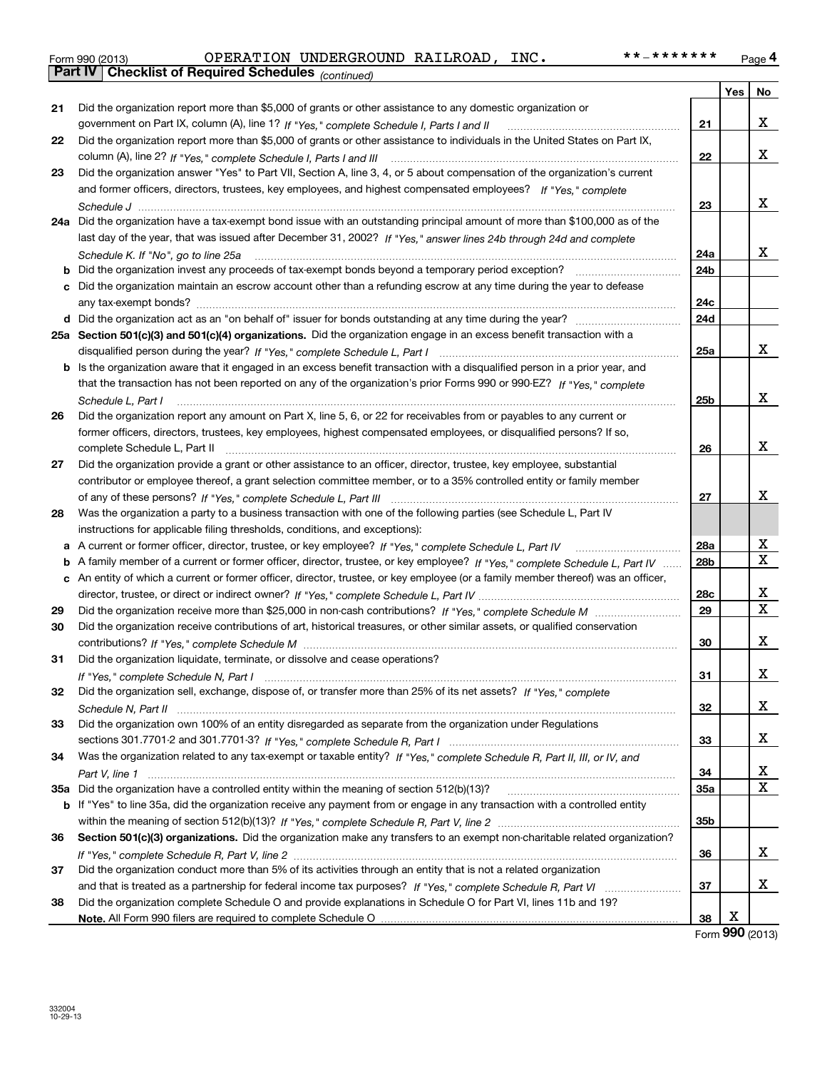| Form 990 (2013) |                                                       | OPERATION UNDERGROUND RAILROAD, | INC. | **_******* | Page 4 |
|-----------------|-------------------------------------------------------|---------------------------------|------|------------|--------|
|                 | Part IV   Checklist of Required Schedules (continued) |                                 |      |            |        |

|     | Part IV   Checklist of Required Schedules (continued)                                                                             |            |     |                         |
|-----|-----------------------------------------------------------------------------------------------------------------------------------|------------|-----|-------------------------|
|     |                                                                                                                                   |            | Yes | No                      |
| 21  | Did the organization report more than \$5,000 of grants or other assistance to any domestic organization or                       |            |     |                         |
|     | government on Part IX, column (A), line 1? If "Yes," complete Schedule I, Parts I and II                                          | 21         |     | x                       |
| 22  | Did the organization report more than \$5,000 of grants or other assistance to individuals in the United States on Part IX,       |            |     |                         |
|     |                                                                                                                                   | 22         |     | x                       |
| 23  | Did the organization answer "Yes" to Part VII, Section A, line 3, 4, or 5 about compensation of the organization's current        |            |     |                         |
|     | and former officers, directors, trustees, key employees, and highest compensated employees? If "Yes," complete                    |            |     |                         |
|     |                                                                                                                                   | 23         |     | x                       |
|     | 24a Did the organization have a tax-exempt bond issue with an outstanding principal amount of more than \$100,000 as of the       |            |     |                         |
|     | last day of the year, that was issued after December 31, 2002? If "Yes," answer lines 24b through 24d and complete                |            |     |                         |
|     | Schedule K. If "No", go to line 25a                                                                                               | 24a        |     | X                       |
| b   |                                                                                                                                   | 24b        |     |                         |
| с   | Did the organization maintain an escrow account other than a refunding escrow at any time during the year to defease              |            |     |                         |
|     |                                                                                                                                   | 24c        |     |                         |
|     |                                                                                                                                   | 24d        |     |                         |
|     | 25a Section 501(c)(3) and 501(c)(4) organizations. Did the organization engage in an excess benefit transaction with a            |            |     |                         |
|     |                                                                                                                                   | 25a        |     | X                       |
|     | b Is the organization aware that it engaged in an excess benefit transaction with a disqualified person in a prior year, and      |            |     |                         |
|     | that the transaction has not been reported on any of the organization's prior Forms 990 or 990-EZ? If "Yes," complete             |            |     |                         |
|     | Schedule L, Part I                                                                                                                | 25b        |     | X                       |
| 26  | Did the organization report any amount on Part X, line 5, 6, or 22 for receivables from or payables to any current or             |            |     |                         |
|     | former officers, directors, trustees, key employees, highest compensated employees, or disqualified persons? If so,               |            |     |                         |
|     | complete Schedule L, Part II                                                                                                      | 26         |     | x                       |
| 27  | Did the organization provide a grant or other assistance to an officer, director, trustee, key employee, substantial              |            |     |                         |
|     | contributor or employee thereof, a grant selection committee member, or to a 35% controlled entity or family member               |            |     |                         |
|     |                                                                                                                                   | 27         |     | X.                      |
| 28  | Was the organization a party to a business transaction with one of the following parties (see Schedule L, Part IV                 |            |     |                         |
|     | instructions for applicable filing thresholds, conditions, and exceptions):                                                       |            |     |                         |
| a   |                                                                                                                                   | 28a        |     | X                       |
| b   | A family member of a current or former officer, director, trustee, or key employee? If "Yes," complete Schedule L, Part IV        | 28b        |     | $\overline{\mathbf{x}}$ |
|     | c An entity of which a current or former officer, director, trustee, or key employee (or a family member thereof) was an officer, |            |     |                         |
|     |                                                                                                                                   | 28c        |     | x                       |
| 29  |                                                                                                                                   | 29         |     | $\overline{\mathbf{x}}$ |
| 30  | Did the organization receive contributions of art, historical treasures, or other similar assets, or qualified conservation       |            |     |                         |
|     |                                                                                                                                   | 30         |     | x                       |
| 31  | Did the organization liquidate, terminate, or dissolve and cease operations?                                                      |            |     |                         |
|     |                                                                                                                                   | 31         |     | X                       |
| 32  | Did the organization sell, exchange, dispose of, or transfer more than 25% of its net assets? If "Yes," complete                  |            |     |                         |
|     |                                                                                                                                   | 32         |     | x                       |
| 33  | Did the organization own 100% of an entity disregarded as separate from the organization under Regulations                        |            |     |                         |
|     |                                                                                                                                   | 33         |     | x                       |
| 34  | Was the organization related to any tax-exempt or taxable entity? If "Yes," complete Schedule R, Part II, III, or IV, and         |            |     |                         |
|     |                                                                                                                                   | 34         |     | X                       |
| 35а |                                                                                                                                   | <b>35a</b> |     | $\mathbf X$             |
|     | b If "Yes" to line 35a, did the organization receive any payment from or engage in any transaction with a controlled entity       |            |     |                         |
|     |                                                                                                                                   | 35b        |     |                         |
| 36  | Section 501(c)(3) organizations. Did the organization make any transfers to an exempt non-charitable related organization?        |            |     |                         |
|     |                                                                                                                                   | 36         |     | x                       |
| 37  | Did the organization conduct more than 5% of its activities through an entity that is not a related organization                  |            |     |                         |
|     |                                                                                                                                   | 37         |     | x                       |
| 38  | Did the organization complete Schedule O and provide explanations in Schedule O for Part VI, lines 11b and 19?                    |            |     |                         |
|     |                                                                                                                                   | 38         | х   |                         |

Form **990** (2013)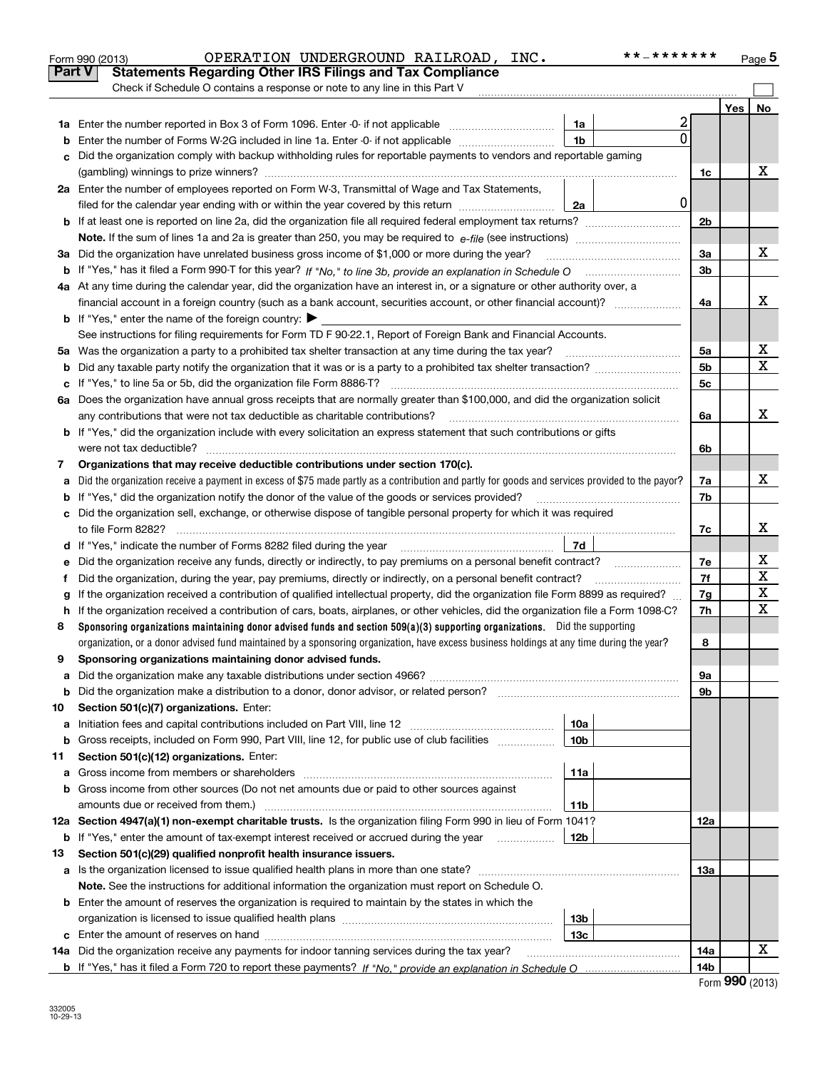|               | * * _ * * * * * * *<br>OPERATION UNDERGROUND RAILROAD, INC.<br>Form 990 (2013)                                                                  |                |     | Page 5                  |
|---------------|-------------------------------------------------------------------------------------------------------------------------------------------------|----------------|-----|-------------------------|
| <b>Part V</b> | <b>Statements Regarding Other IRS Filings and Tax Compliance</b>                                                                                |                |     |                         |
|               | Check if Schedule O contains a response or note to any line in this Part V                                                                      |                |     |                         |
|               |                                                                                                                                                 |                | Yes | No                      |
|               | 2<br>1a                                                                                                                                         |                |     |                         |
| b             | 0<br>1 <sub>b</sub><br>Enter the number of Forms W-2G included in line 1a. Enter -0- if not applicable                                          |                |     |                         |
| c             | Did the organization comply with backup withholding rules for reportable payments to vendors and reportable gaming                              |                |     |                         |
|               |                                                                                                                                                 | 1c             |     | х                       |
|               | 2a Enter the number of employees reported on Form W-3, Transmittal of Wage and Tax Statements,                                                  |                |     |                         |
|               | 0<br>filed for the calendar year ending with or within the year covered by this return<br>2a                                                    |                |     |                         |
|               |                                                                                                                                                 | 2 <sub>b</sub> |     |                         |
|               |                                                                                                                                                 |                |     |                         |
|               | 3a Did the organization have unrelated business gross income of \$1,000 or more during the year?                                                | 3a             |     | X                       |
|               |                                                                                                                                                 | 3b             |     |                         |
|               | 4a At any time during the calendar year, did the organization have an interest in, or a signature or other authority over, a                    |                |     |                         |
|               |                                                                                                                                                 | 4a             |     | х                       |
|               | <b>b</b> If "Yes," enter the name of the foreign country: $\blacktriangleright$                                                                 |                |     |                         |
|               | See instructions for filing requirements for Form TD F 90-22.1, Report of Foreign Bank and Financial Accounts.                                  |                |     |                         |
|               | 5a Was the organization a party to a prohibited tax shelter transaction at any time during the tax year?                                        | 5a             |     | x                       |
| b             |                                                                                                                                                 | 5 <sub>b</sub> |     | $\overline{\mathtt{x}}$ |
|               | c If "Yes," to line 5a or 5b, did the organization file Form 8886-T?                                                                            | 5c             |     |                         |
|               | 6a Does the organization have annual gross receipts that are normally greater than \$100,000, and did the organization solicit                  |                |     |                         |
|               | any contributions that were not tax deductible as charitable contributions?                                                                     | 6a             |     | X.                      |
|               | <b>b</b> If "Yes," did the organization include with every solicitation an express statement that such contributions or gifts                   |                |     |                         |
|               | were not tax deductible?                                                                                                                        | 6b             |     |                         |
| 7             | Organizations that may receive deductible contributions under section 170(c).                                                                   |                |     |                         |
| а             | Did the organization receive a payment in excess of \$75 made partly as a contribution and partly for goods and services provided to the payor? | 7a             |     | X                       |
| b             | If "Yes," did the organization notify the donor of the value of the goods or services provided?                                                 | 7b             |     |                         |
|               | c Did the organization sell, exchange, or otherwise dispose of tangible personal property for which it was required                             |                |     |                         |
|               | to file Form 8282?                                                                                                                              | 7c             |     | х                       |
|               | 7d<br>d If "Yes," indicate the number of Forms 8282 filed during the year [11] [11] No. 2010 [12] Henry Manuscone St                            |                |     |                         |
| е             | Did the organization receive any funds, directly or indirectly, to pay premiums on a personal benefit contract?                                 | 7e             |     | $\mathbf{X}$            |
| f             | Did the organization, during the year, pay premiums, directly or indirectly, on a personal benefit contract?                                    | 7f             |     | $\overline{\textbf{x}}$ |
| g             | If the organization received a contribution of qualified intellectual property, did the organization file Form 8899 as required?                | 7g             |     | $\overline{\textbf{X}}$ |
|               | h If the organization received a contribution of cars, boats, airplanes, or other vehicles, did the organization file a Form 1098-C?            | 7h             |     | $\overline{\mathbf{X}}$ |
| 8             | Sponsoring organizations maintaining donor advised funds and section 509(a)(3) supporting organizations. Did the supporting                     |                |     |                         |
|               | organization, or a donor advised fund maintained by a sponsoring organization, have excess business holdings at any time during the year?       | 8              |     |                         |
|               | Sponsoring organizations maintaining donor advised funds.                                                                                       |                |     |                         |
| a             |                                                                                                                                                 | 9а             |     |                         |
| b             | Did the organization make a distribution to a donor, donor advisor, or related person?                                                          | 9b             |     |                         |
| 10            | Section 501(c)(7) organizations. Enter:                                                                                                         |                |     |                         |
| а             | 10a<br>Initiation fees and capital contributions included on Part VIII, line 12 [100] [100] [100] [100] [100] [100] [                           |                |     |                         |
| b             | 10 <sub>b</sub><br>Gross receipts, included on Form 990, Part VIII, line 12, for public use of club facilities                                  |                |     |                         |
| 11            | Section 501(c)(12) organizations. Enter:                                                                                                        |                |     |                         |
| a             | 11a<br>Gross income from members or shareholders                                                                                                |                |     |                         |
| b             | Gross income from other sources (Do not net amounts due or paid to other sources against                                                        |                |     |                         |
|               | amounts due or received from them.)<br>11b                                                                                                      |                |     |                         |
|               | 12a Section 4947(a)(1) non-exempt charitable trusts. Is the organization filing Form 990 in lieu of Form 1041?                                  | 12a            |     |                         |
|               | 12b<br><b>b</b> If "Yes," enter the amount of tax-exempt interest received or accrued during the year                                           |                |     |                         |
| 13            | Section 501(c)(29) qualified nonprofit health insurance issuers.                                                                                |                |     |                         |
| а             | Is the organization licensed to issue qualified health plans in more than one state?                                                            | 13а            |     |                         |
|               | Note. See the instructions for additional information the organization must report on Schedule O.                                               |                |     |                         |
| b             | Enter the amount of reserves the organization is required to maintain by the states in which the                                                |                |     |                         |
|               | 13 <sub>b</sub>                                                                                                                                 |                |     |                         |
| c             | 13 <sub>c</sub>                                                                                                                                 |                |     |                         |
|               | 14a Did the organization receive any payments for indoor tanning services during the tax year?                                                  | 14a            |     | x                       |
|               |                                                                                                                                                 | 14b            |     |                         |

| Form 990 (2013) |  |  |
|-----------------|--|--|
|-----------------|--|--|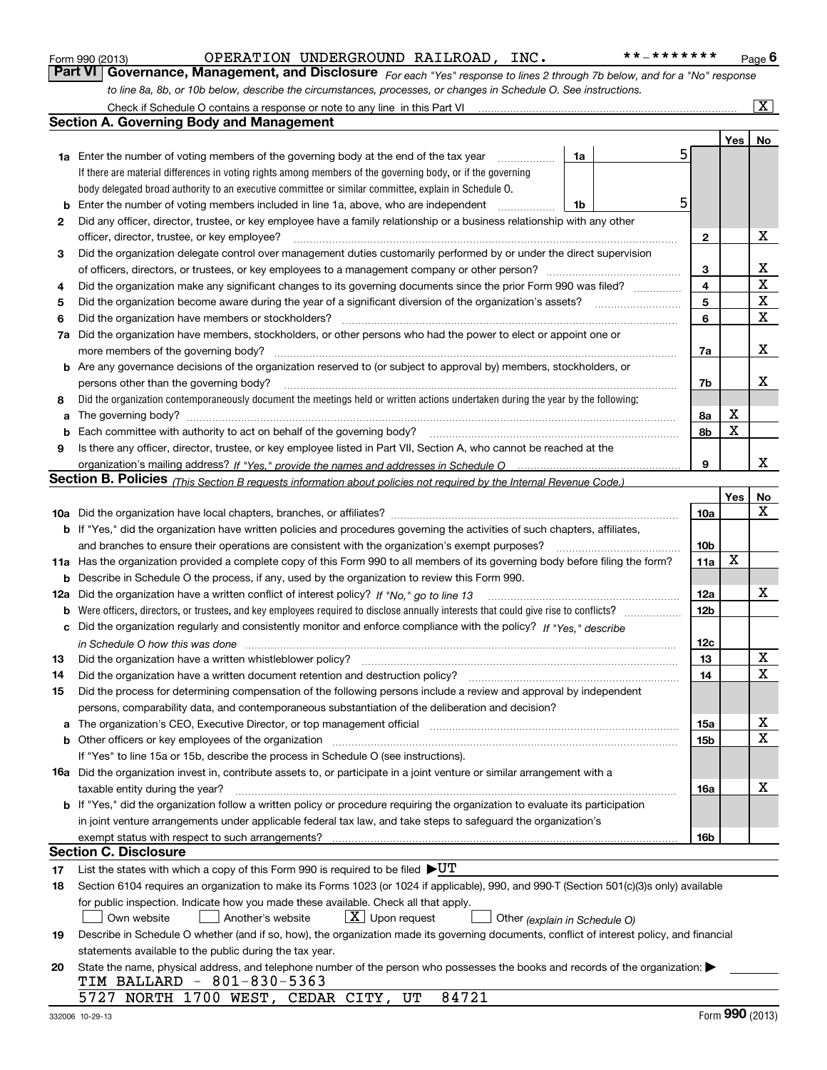|    | OPERATION UNDERGROUND RAILROAD, INC.<br>* * _ * * * * * * *<br>Form 990 (2013)                                                                                                                                                                                                                                                      |   |                   | Page $6$        |
|----|-------------------------------------------------------------------------------------------------------------------------------------------------------------------------------------------------------------------------------------------------------------------------------------------------------------------------------------|---|-------------------|-----------------|
|    | Part VI   Governance, Management, and Disclosure For each "Yes" response to lines 2 through 7b below, and for a "No" response                                                                                                                                                                                                       |   |                   |                 |
|    | to line 8a, 8b, or 10b below, describe the circumstances, processes, or changes in Schedule O. See instructions.                                                                                                                                                                                                                    |   |                   |                 |
|    | Check if Schedule O contains a response or note to any line in this Part VI [11] [11] [11] [11] [11] Check if Schedule O contains a response or note to any line in this Part VI                                                                                                                                                    |   |                   | $\vert X \vert$ |
|    | <b>Section A. Governing Body and Management</b>                                                                                                                                                                                                                                                                                     |   |                   |                 |
|    |                                                                                                                                                                                                                                                                                                                                     |   | Yes               | No              |
|    | 1a Enter the number of voting members of the governing body at the end of the tax year<br>1a<br>.                                                                                                                                                                                                                                   | 5 |                   |                 |
|    | If there are material differences in voting rights among members of the governing body, or if the governing                                                                                                                                                                                                                         |   |                   |                 |
|    | body delegated broad authority to an executive committee or similar committee, explain in Schedule O.                                                                                                                                                                                                                               |   |                   |                 |
| b  | Enter the number of voting members included in line 1a, above, who are independent<br>1b                                                                                                                                                                                                                                            | 5 |                   |                 |
| 2  | Did any officer, director, trustee, or key employee have a family relationship or a business relationship with any other                                                                                                                                                                                                            |   |                   |                 |
|    | officer, director, trustee, or key employee?                                                                                                                                                                                                                                                                                        |   | 2                 | x               |
| 3  | Did the organization delegate control over management duties customarily performed by or under the direct supervision                                                                                                                                                                                                               |   |                   | x               |
| 4  | Did the organization make any significant changes to its governing documents since the prior Form 990 was filed?                                                                                                                                                                                                                    |   | 3<br>4            | X               |
| 5  |                                                                                                                                                                                                                                                                                                                                     |   | 5                 | X               |
| 6  | Did the organization have members or stockholders?                                                                                                                                                                                                                                                                                  |   | 6                 | $\mathbf x$     |
| 7a | Did the organization have members, stockholders, or other persons who had the power to elect or appoint one or                                                                                                                                                                                                                      |   |                   |                 |
|    | more members of the governing body?                                                                                                                                                                                                                                                                                                 |   | 7a                | х               |
|    | <b>b</b> Are any governance decisions of the organization reserved to (or subject to approval by) members, stockholders, or                                                                                                                                                                                                         |   |                   |                 |
|    | persons other than the governing body?                                                                                                                                                                                                                                                                                              |   | 7b                | x               |
| 8  | Did the organization contemporaneously document the meetings held or written actions undertaken during the year by the following:                                                                                                                                                                                                   |   |                   |                 |
| a  |                                                                                                                                                                                                                                                                                                                                     |   | X<br>8a           |                 |
| b  | Each committee with authority to act on behalf of the governing body?                                                                                                                                                                                                                                                               |   | $\mathbf X$<br>8b |                 |
| 9  | Is there any officer, director, trustee, or key employee listed in Part VII, Section A, who cannot be reached at the                                                                                                                                                                                                                |   |                   |                 |
|    |                                                                                                                                                                                                                                                                                                                                     |   | 9                 | х               |
|    | Section B. Policies (This Section B requests information about policies not required by the Internal Revenue Code.)                                                                                                                                                                                                                 |   |                   |                 |
|    |                                                                                                                                                                                                                                                                                                                                     |   | Yes               | No              |
|    |                                                                                                                                                                                                                                                                                                                                     |   | 10a               | X               |
|    | b If "Yes," did the organization have written policies and procedures governing the activities of such chapters, affiliates,                                                                                                                                                                                                        |   |                   |                 |
|    | and branches to ensure their operations are consistent with the organization's exempt purposes?                                                                                                                                                                                                                                     |   | 10 <sub>b</sub>   |                 |
|    | 11a Has the organization provided a complete copy of this Form 990 to all members of its governing body before filing the form?                                                                                                                                                                                                     |   | X<br>11a          |                 |
|    | <b>b</b> Describe in Schedule O the process, if any, used by the organization to review this Form 990.                                                                                                                                                                                                                              |   |                   |                 |
|    | 12a Did the organization have a written conflict of interest policy? If "No," go to line 13                                                                                                                                                                                                                                         |   | 12a               | х               |
|    |                                                                                                                                                                                                                                                                                                                                     |   | 12b               |                 |
| c  | Did the organization regularly and consistently monitor and enforce compliance with the policy? If "Yes," describe                                                                                                                                                                                                                  |   |                   |                 |
|    | in Schedule O how this was done with the continuum control to the control of the control of the control of the                                                                                                                                                                                                                      |   | 12c               | $\mathbf X$     |
|    |                                                                                                                                                                                                                                                                                                                                     |   | 13                | X               |
| 14 | Did the organization have a written document retention and destruction policy?                                                                                                                                                                                                                                                      |   | 14                |                 |
| 15 | Did the process for determining compensation of the following persons include a review and approval by independent                                                                                                                                                                                                                  |   |                   |                 |
| а  | persons, comparability data, and contemporaneous substantiation of the deliberation and decision?<br>The organization's CEO, Executive Director, or top management official manufactured content of the organization's CEO, Executive Director, or top management official manufactured content of the state of the state of the st |   | 15a               | x               |
| b  | Other officers or key employees of the organization                                                                                                                                                                                                                                                                                 |   | 15b               | X               |
|    | If "Yes" to line 15a or 15b, describe the process in Schedule O (see instructions).                                                                                                                                                                                                                                                 |   |                   |                 |
|    | <b>16a</b> Did the organization invest in, contribute assets to, or participate in a joint venture or similar arrangement with a                                                                                                                                                                                                    |   |                   |                 |
|    | taxable entity during the year?                                                                                                                                                                                                                                                                                                     |   | 16a               | x               |
|    | b If "Yes," did the organization follow a written policy or procedure requiring the organization to evaluate its participation                                                                                                                                                                                                      |   |                   |                 |
|    | in joint venture arrangements under applicable federal tax law, and take steps to safeguard the organization's                                                                                                                                                                                                                      |   |                   |                 |
|    | exempt status with respect to such arrangements?                                                                                                                                                                                                                                                                                    |   | 16b               |                 |
|    | <b>Section C. Disclosure</b>                                                                                                                                                                                                                                                                                                        |   |                   |                 |
| 17 | List the states with which a copy of this Form 990 is required to be filed $\blacktriangleright U T$                                                                                                                                                                                                                                |   |                   |                 |
| 18 | Section 6104 requires an organization to make its Forms 1023 (or 1024 if applicable), 990, and 990-T (Section 501(c)(3)s only) available                                                                                                                                                                                            |   |                   |                 |
|    | for public inspection. Indicate how you made these available. Check all that apply.                                                                                                                                                                                                                                                 |   |                   |                 |
|    | $X$ Upon request<br>Own website<br>Another's website<br>Other (explain in Schedule O)                                                                                                                                                                                                                                               |   |                   |                 |
| 19 | Describe in Schedule O whether (and if so, how), the organization made its governing documents, conflict of interest policy, and financial                                                                                                                                                                                          |   |                   |                 |
|    | statements available to the public during the tax year.                                                                                                                                                                                                                                                                             |   |                   |                 |
| 20 | State the name, physical address, and telephone number of the person who possesses the books and records of the organization: $\blacktriangleright$                                                                                                                                                                                 |   |                   |                 |
|    | TIM BALLARD - 801-830-5363<br>84721<br>5727 NORTH 1700 WEST, CEDAR CITY, UT                                                                                                                                                                                                                                                         |   |                   |                 |
|    |                                                                                                                                                                                                                                                                                                                                     |   |                   |                 |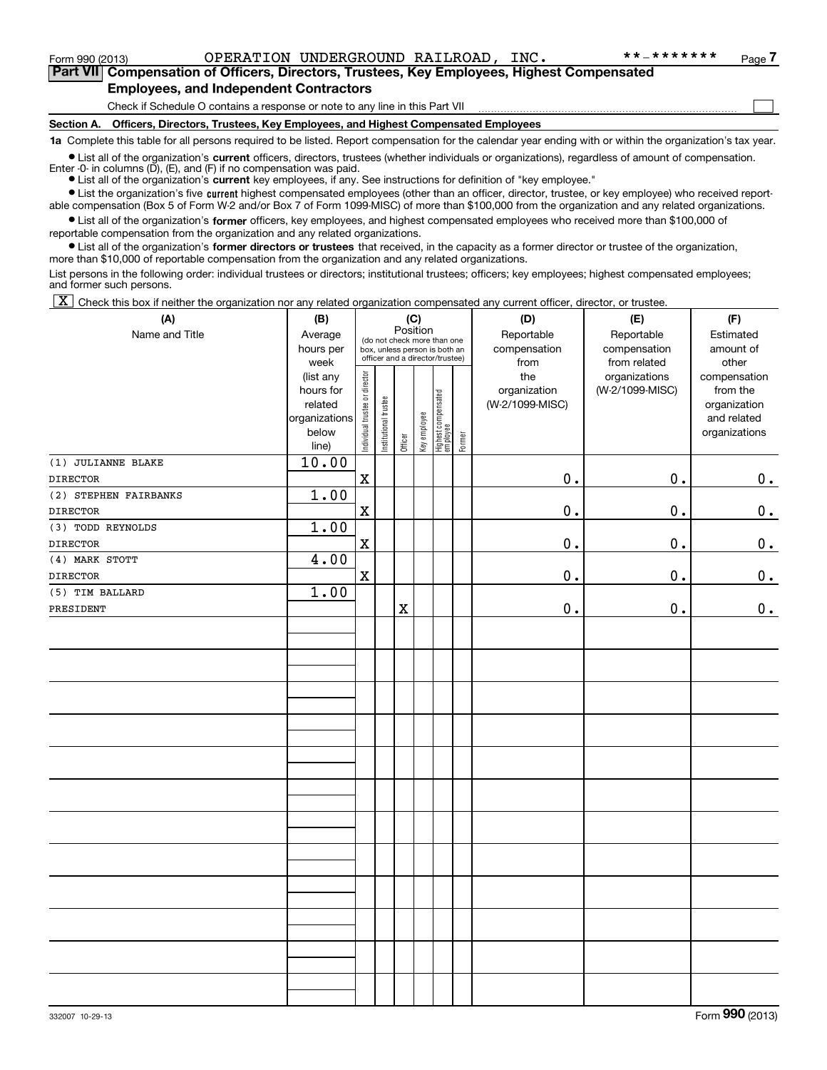Form 990 (2013) Page OPERATION UNDERGROUND RAILROAD, INC. \*\*-\*\*\*\*\*\*\*

 $\mathcal{L}^{\text{max}}$ 

**7Part VII Compensation of Officers, Directors, Trustees, Key Employees, Highest Compensated Employees, and Independent Contractors**

Check if Schedule O contains a response or note to any line in this Part VII

**Section A. Officers, Directors, Trustees, Key Employees, and Highest Compensated Employees**

**1a**  Complete this table for all persons required to be listed. Report compensation for the calendar year ending with or within the organization's tax year.

**•** List all of the organization's current officers, directors, trustees (whether individuals or organizations), regardless of amount of compensation. Enter -0- in columns  $(D)$ ,  $(E)$ , and  $(F)$  if no compensation was paid.

● List all of the organization's **current** key employees, if any. See instructions for definition of "key employee."

**•** List the organization's five current highest compensated employees (other than an officer, director, trustee, or key employee) who received reportable compensation (Box 5 of Form W-2 and/or Box 7 of Form 1099-MISC) of more than \$100,000 from the organization and any related organizations.

 $\bullet$  List all of the organization's **former** officers, key employees, and highest compensated employees who received more than \$100,000 of reportable compensation from the organization and any related organizations.

**•** List all of the organization's former directors or trustees that received, in the capacity as a former director or trustee of the organization, more than \$10,000 of reportable compensation from the organization and any related organizations.

List persons in the following order: individual trustees or directors; institutional trustees; officers; key employees; highest compensated employees; and former such persons.

 $\boxed{\textbf{X}}$  Check this box if neither the organization nor any related organization compensated any current officer, director, or trustee.

| (A)                   | (B)                                                                                                                                 | (C)                            |                       | (D)         | (E)          | (F)                             |        |                 |                 |               |
|-----------------------|-------------------------------------------------------------------------------------------------------------------------------------|--------------------------------|-----------------------|-------------|--------------|---------------------------------|--------|-----------------|-----------------|---------------|
| Name and Title        | Position<br>Average<br>(do not check more than one<br>hours per<br>box, unless person is both an<br>officer and a director/trustee) |                                |                       |             |              |                                 |        | Reportable      | Reportable      | Estimated     |
|                       |                                                                                                                                     |                                |                       |             |              |                                 |        | compensation    | compensation    | amount of     |
|                       | week                                                                                                                                |                                |                       |             |              |                                 |        | from            | from related    | other         |
|                       | (list any                                                                                                                           |                                |                       |             |              |                                 |        | the             | organizations   | compensation  |
|                       | hours for                                                                                                                           |                                |                       |             |              |                                 |        | organization    | (W-2/1099-MISC) | from the      |
|                       | related                                                                                                                             |                                |                       |             |              |                                 |        | (W-2/1099-MISC) |                 | organization  |
|                       | organizations                                                                                                                       |                                |                       |             |              |                                 |        |                 |                 | and related   |
|                       | below                                                                                                                               | Individual trustee or director | Institutional trustee | Officer     | Key employee | Highest compensated<br>employee | Former |                 |                 | organizations |
|                       | line)                                                                                                                               |                                |                       |             |              |                                 |        |                 |                 |               |
| (1) JULIANNE BLAKE    | 10.00                                                                                                                               |                                |                       |             |              |                                 |        |                 |                 |               |
| <b>DIRECTOR</b>       |                                                                                                                                     | $\mathbf x$                    |                       |             |              |                                 |        | $0$ .           | $0$ .           | 0.            |
| (2) STEPHEN FAIRBANKS | 1.00                                                                                                                                |                                |                       |             |              |                                 |        |                 |                 |               |
| <b>DIRECTOR</b>       |                                                                                                                                     | $\mathbf x$                    |                       |             |              |                                 |        | $\mathbf 0$ .   | 0.              | $\mathbf 0$ . |
| (3) TODD REYNOLDS     | 1.00                                                                                                                                |                                |                       |             |              |                                 |        |                 |                 |               |
| <b>DIRECTOR</b>       |                                                                                                                                     | $\mathbf X$                    |                       |             |              |                                 |        | 0.              | $\mathbf 0$ .   | $\mathbf 0$ . |
| (4) MARK STOTT        | 4.00                                                                                                                                |                                |                       |             |              |                                 |        |                 |                 |               |
| DIRECTOR              |                                                                                                                                     | $\mathbf x$                    |                       |             |              |                                 |        | $0$ .           | 0.              | $\mathbf 0$ . |
| (5) TIM BALLARD       | 1.00                                                                                                                                |                                |                       |             |              |                                 |        |                 |                 |               |
| PRESIDENT             |                                                                                                                                     |                                |                       | $\mathbf X$ |              |                                 |        | 0.              | 0.              | 0.            |
|                       |                                                                                                                                     |                                |                       |             |              |                                 |        |                 |                 |               |
|                       |                                                                                                                                     |                                |                       |             |              |                                 |        |                 |                 |               |
|                       |                                                                                                                                     |                                |                       |             |              |                                 |        |                 |                 |               |
|                       |                                                                                                                                     |                                |                       |             |              |                                 |        |                 |                 |               |
|                       |                                                                                                                                     |                                |                       |             |              |                                 |        |                 |                 |               |
|                       |                                                                                                                                     |                                |                       |             |              |                                 |        |                 |                 |               |
|                       |                                                                                                                                     |                                |                       |             |              |                                 |        |                 |                 |               |
|                       |                                                                                                                                     |                                |                       |             |              |                                 |        |                 |                 |               |
|                       |                                                                                                                                     |                                |                       |             |              |                                 |        |                 |                 |               |
|                       |                                                                                                                                     |                                |                       |             |              |                                 |        |                 |                 |               |
|                       |                                                                                                                                     |                                |                       |             |              |                                 |        |                 |                 |               |
|                       |                                                                                                                                     |                                |                       |             |              |                                 |        |                 |                 |               |
|                       |                                                                                                                                     |                                |                       |             |              |                                 |        |                 |                 |               |
|                       |                                                                                                                                     |                                |                       |             |              |                                 |        |                 |                 |               |
|                       |                                                                                                                                     |                                |                       |             |              |                                 |        |                 |                 |               |
|                       |                                                                                                                                     |                                |                       |             |              |                                 |        |                 |                 |               |
|                       |                                                                                                                                     |                                |                       |             |              |                                 |        |                 |                 |               |
|                       |                                                                                                                                     |                                |                       |             |              |                                 |        |                 |                 |               |
|                       |                                                                                                                                     |                                |                       |             |              |                                 |        |                 |                 |               |
|                       |                                                                                                                                     |                                |                       |             |              |                                 |        |                 |                 |               |
|                       |                                                                                                                                     |                                |                       |             |              |                                 |        |                 |                 |               |
|                       |                                                                                                                                     |                                |                       |             |              |                                 |        |                 |                 |               |
|                       |                                                                                                                                     |                                |                       |             |              |                                 |        |                 |                 |               |
|                       |                                                                                                                                     |                                |                       |             |              |                                 |        |                 |                 |               |
|                       |                                                                                                                                     |                                |                       |             |              |                                 |        |                 |                 |               |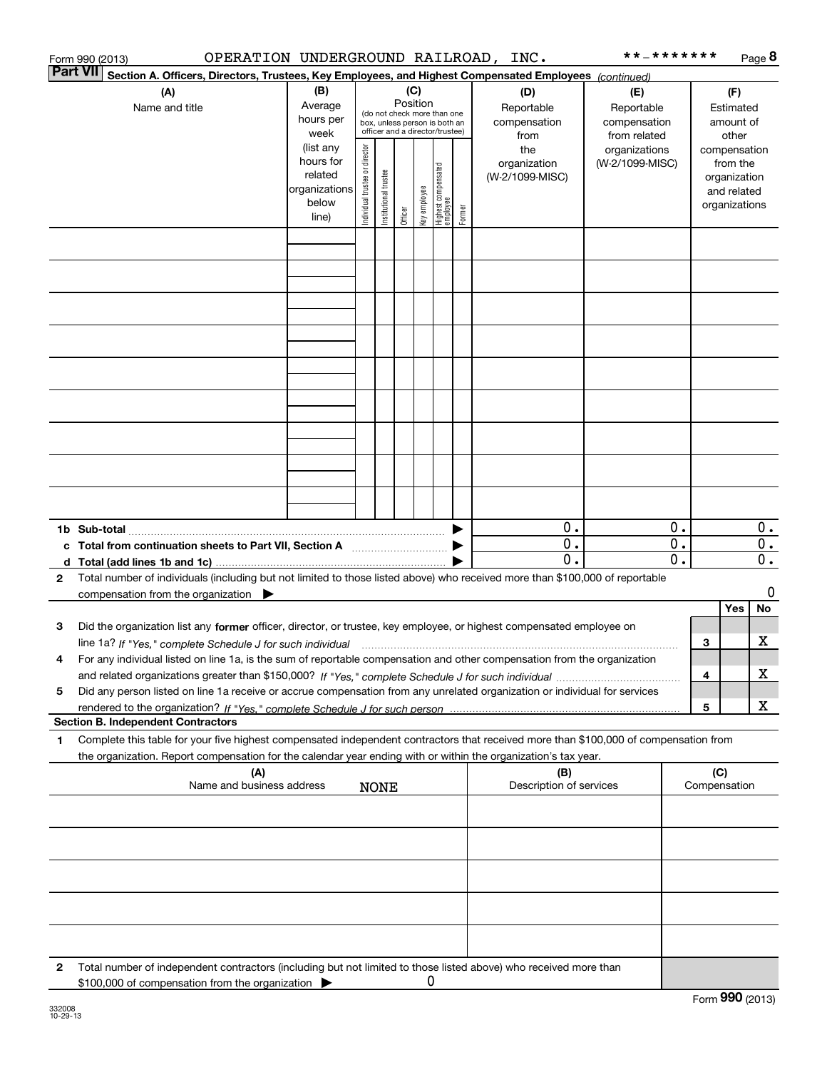|                       | OPERATION UNDERGROUND RAILROAD, INC.<br>Form 990 (2013)                                                                                                                                                                                                                      |                                                                      |                                                                                                                    |                       |         |              |                                   |                                           |                                                   | * * _ * * * * * * *              |          |                                        |                                                                          | Page 8         |
|-----------------------|------------------------------------------------------------------------------------------------------------------------------------------------------------------------------------------------------------------------------------------------------------------------------|----------------------------------------------------------------------|--------------------------------------------------------------------------------------------------------------------|-----------------------|---------|--------------|-----------------------------------|-------------------------------------------|---------------------------------------------------|----------------------------------|----------|----------------------------------------|--------------------------------------------------------------------------|----------------|
| <b>Part VII</b>       | Section A. Officers, Directors, Trustees, Key Employees, and Highest Compensated Employees (continued)                                                                                                                                                                       |                                                                      |                                                                                                                    |                       |         |              |                                   |                                           |                                                   |                                  |          |                                        |                                                                          |                |
| (A)<br>Name and title |                                                                                                                                                                                                                                                                              | (B)<br>Average<br>hours per<br>week                                  | (C)<br>Position<br>(do not check more than one<br>box, unless person is both an<br>officer and a director/trustee) |                       |         |              |                                   | (D)<br>Reportable<br>compensation<br>from | (E)<br>Reportable<br>compensation<br>from related |                                  |          | (F)<br>Estimated<br>amount of<br>other |                                                                          |                |
|                       |                                                                                                                                                                                                                                                                              | (list any<br>hours for<br>related<br>organizations<br>below<br>line) | Individual trustee or director                                                                                     | Institutional trustee | Officer | key employee | Highest compensated<br>  employee | Former                                    | the<br>organization<br>(W-2/1099-MISC)            | organizations<br>(W-2/1099-MISC) |          |                                        | compensation<br>from the<br>organization<br>and related<br>organizations |                |
|                       |                                                                                                                                                                                                                                                                              |                                                                      |                                                                                                                    |                       |         |              |                                   |                                           |                                                   |                                  |          |                                        |                                                                          |                |
|                       |                                                                                                                                                                                                                                                                              |                                                                      |                                                                                                                    |                       |         |              |                                   |                                           |                                                   |                                  |          |                                        |                                                                          |                |
|                       |                                                                                                                                                                                                                                                                              |                                                                      |                                                                                                                    |                       |         |              |                                   |                                           |                                                   |                                  |          |                                        |                                                                          |                |
|                       |                                                                                                                                                                                                                                                                              |                                                                      |                                                                                                                    |                       |         |              |                                   |                                           |                                                   |                                  |          |                                        |                                                                          |                |
|                       |                                                                                                                                                                                                                                                                              |                                                                      |                                                                                                                    |                       |         |              |                                   |                                           |                                                   |                                  |          |                                        |                                                                          |                |
|                       |                                                                                                                                                                                                                                                                              |                                                                      |                                                                                                                    |                       |         |              |                                   |                                           |                                                   |                                  |          |                                        |                                                                          |                |
|                       |                                                                                                                                                                                                                                                                              |                                                                      |                                                                                                                    |                       |         |              |                                   |                                           |                                                   |                                  |          |                                        |                                                                          |                |
|                       |                                                                                                                                                                                                                                                                              |                                                                      |                                                                                                                    |                       |         |              |                                   |                                           |                                                   |                                  |          |                                        |                                                                          |                |
|                       | c Total from continuation sheets to Part VII, Section A                                                                                                                                                                                                                      |                                                                      |                                                                                                                    |                       |         |              |                                   |                                           | 0.<br>0.                                          |                                  | 0.<br>0. |                                        |                                                                          | $0$ .<br>$0$ . |
|                       |                                                                                                                                                                                                                                                                              |                                                                      |                                                                                                                    |                       |         |              |                                   |                                           | $\mathbf 0$ .                                     |                                  | 0.       |                                        |                                                                          | $0$ .          |
| $\mathbf{2}$          | Total number of individuals (including but not limited to those listed above) who received more than \$100,000 of reportable<br>compensation from the organization $\blacktriangleright$                                                                                     |                                                                      |                                                                                                                    |                       |         |              |                                   |                                           |                                                   |                                  |          |                                        |                                                                          | 0              |
|                       |                                                                                                                                                                                                                                                                              |                                                                      |                                                                                                                    |                       |         |              |                                   |                                           |                                                   |                                  |          |                                        | Yes                                                                      | No             |
| 3                     | Did the organization list any former officer, director, or trustee, key employee, or highest compensated employee on<br>line 1a? If "Yes," complete Schedule J for such individual manufactured contained and the line 1a? If "Yes," complete Schedule J for such individual |                                                                      |                                                                                                                    |                       |         |              |                                   |                                           |                                                   |                                  |          | З                                      |                                                                          | х              |
|                       | For any individual listed on line 1a, is the sum of reportable compensation and other compensation from the organization                                                                                                                                                     |                                                                      |                                                                                                                    |                       |         |              |                                   |                                           |                                                   |                                  |          | 4                                      |                                                                          | x              |
| 5                     | Did any person listed on line 1a receive or accrue compensation from any unrelated organization or individual for services                                                                                                                                                   |                                                                      |                                                                                                                    |                       |         |              |                                   |                                           |                                                   |                                  |          |                                        |                                                                          |                |
|                       |                                                                                                                                                                                                                                                                              |                                                                      |                                                                                                                    |                       |         |              |                                   |                                           |                                                   |                                  |          | 5                                      |                                                                          | x              |
| 1                     | <b>Section B. Independent Contractors</b><br>Complete this table for your five highest compensated independent contractors that received more than \$100,000 of compensation from                                                                                            |                                                                      |                                                                                                                    |                       |         |              |                                   |                                           |                                                   |                                  |          |                                        |                                                                          |                |
|                       | the organization. Report compensation for the calendar year ending with or within the organization's tax year.<br>(A)                                                                                                                                                        |                                                                      |                                                                                                                    |                       |         |              |                                   |                                           | (B)                                               |                                  |          | (C)                                    |                                                                          |                |
|                       | Name and business address                                                                                                                                                                                                                                                    |                                                                      |                                                                                                                    | <b>NONE</b>           |         |              |                                   |                                           | Description of services                           |                                  |          |                                        | Compensation                                                             |                |
|                       |                                                                                                                                                                                                                                                                              |                                                                      |                                                                                                                    |                       |         |              |                                   |                                           |                                                   |                                  |          |                                        |                                                                          |                |
|                       |                                                                                                                                                                                                                                                                              |                                                                      |                                                                                                                    |                       |         |              |                                   |                                           |                                                   |                                  |          |                                        |                                                                          |                |
|                       |                                                                                                                                                                                                                                                                              |                                                                      |                                                                                                                    |                       |         |              |                                   |                                           |                                                   |                                  |          |                                        |                                                                          |                |
|                       |                                                                                                                                                                                                                                                                              |                                                                      |                                                                                                                    |                       |         |              |                                   |                                           |                                                   |                                  |          |                                        |                                                                          |                |
| 2                     | Total number of independent contractors (including but not limited to those listed above) who received more than<br>\$100,000 of compensation from the organization                                                                                                          |                                                                      |                                                                                                                    |                       |         | 0            |                                   |                                           |                                                   |                                  |          |                                        |                                                                          |                |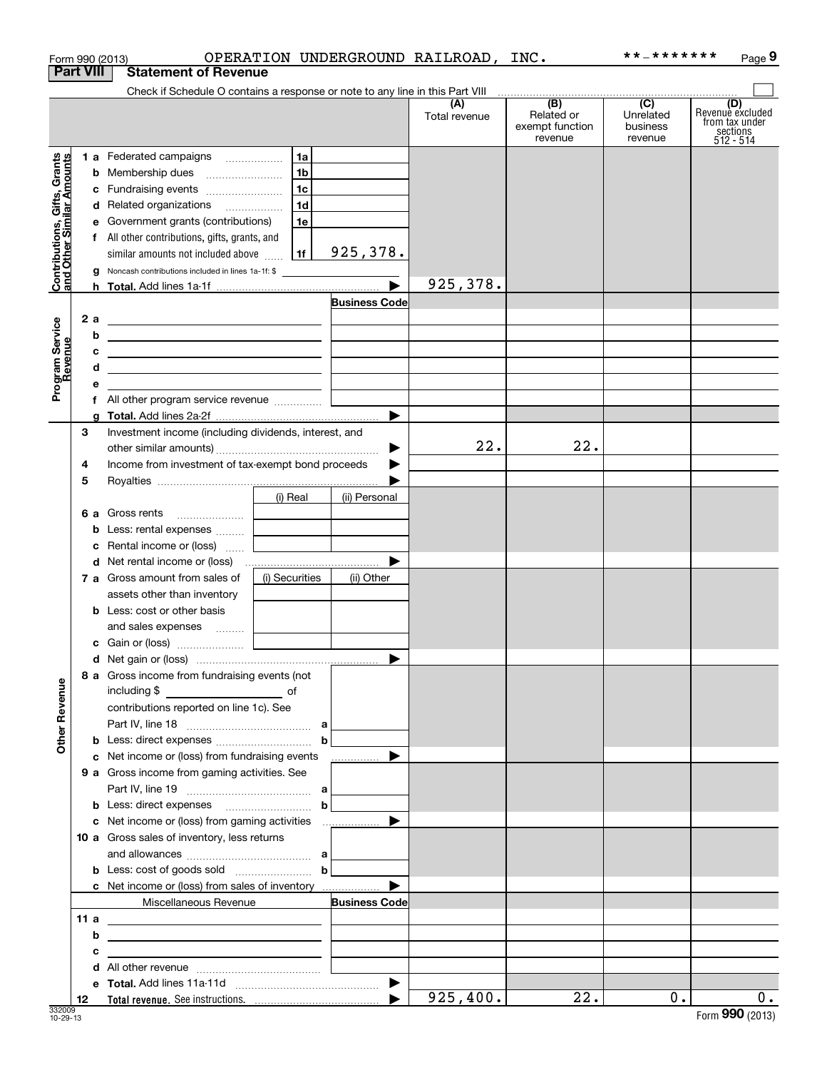|                                                           | Form 990 (2013)  |                                                                                 |                                   |                      | OPERATION UNDERGROUND RAILROAD, INC. |                                                 | **_*******                                           | Page 9                                                             |
|-----------------------------------------------------------|------------------|---------------------------------------------------------------------------------|-----------------------------------|----------------------|--------------------------------------|-------------------------------------------------|------------------------------------------------------|--------------------------------------------------------------------|
|                                                           | <b>Part VIII</b> | <b>Statement of Revenue</b>                                                     |                                   |                      |                                      |                                                 |                                                      |                                                                    |
|                                                           |                  | Check if Schedule O contains a response or note to any line in this Part VIII   |                                   |                      |                                      |                                                 |                                                      |                                                                    |
|                                                           |                  |                                                                                 |                                   |                      | (A)<br>Total revenue                 | (B)<br>Related or<br>exempt function<br>revenue | $\overline{(C)}$<br>Unrelated<br>business<br>revenue | (D)<br>Revenue excluded<br>from tax under<br>sections<br>512 - 514 |
|                                                           |                  | 1 a Federated campaigns                                                         | 1a                                |                      |                                      |                                                 |                                                      |                                                                    |
|                                                           |                  |                                                                                 | 1 <sub>b</sub>                    |                      |                                      |                                                 |                                                      |                                                                    |
|                                                           | c                | Fundraising events                                                              | 1c                                |                      |                                      |                                                 |                                                      |                                                                    |
|                                                           |                  | d Related organizations                                                         | 1d                                |                      |                                      |                                                 |                                                      |                                                                    |
| Contributions, Gifts, Grants<br>and Other Similar Amounts |                  | e Government grants (contributions)                                             | 1e                                |                      |                                      |                                                 |                                                      |                                                                    |
|                                                           |                  | f All other contributions, gifts, grants, and                                   |                                   |                      |                                      |                                                 |                                                      |                                                                    |
|                                                           |                  | similar amounts not included above                                              | 1f                                | 925,378.             |                                      |                                                 |                                                      |                                                                    |
|                                                           | g                | Noncash contributions included in lines 1a-1f: \$                               |                                   |                      |                                      |                                                 |                                                      |                                                                    |
|                                                           |                  |                                                                                 |                                   |                      | 925,378.                             |                                                 |                                                      |                                                                    |
|                                                           |                  |                                                                                 |                                   | <b>Business Code</b> |                                      |                                                 |                                                      |                                                                    |
|                                                           | 2 a              | <u> 1989 - Johann Barn, fransk politik amerikansk politik (</u>                 |                                   |                      |                                      |                                                 |                                                      |                                                                    |
|                                                           | b                | <u> 1989 - Johann Barn, amerikansk politiker (</u>                              |                                   |                      |                                      |                                                 |                                                      |                                                                    |
|                                                           | с                | <u> 1989 - Johann John Stone, markin fizik eta idazlearia (h. 1982).</u>        |                                   |                      |                                      |                                                 |                                                      |                                                                    |
| Program Service<br>Revenue                                | d                | <u> 1989 - Johann John Stein, fransk politik (f. 1989)</u>                      |                                   |                      |                                      |                                                 |                                                      |                                                                    |
|                                                           | е                |                                                                                 | <u> 1989 - Jan Alexandria (</u>   |                      |                                      |                                                 |                                                      |                                                                    |
|                                                           |                  | f All other program service revenue                                             |                                   |                      |                                      |                                                 |                                                      |                                                                    |
|                                                           | g                |                                                                                 |                                   |                      |                                      |                                                 |                                                      |                                                                    |
|                                                           | З                | Investment income (including dividends, interest, and                           |                                   |                      |                                      |                                                 |                                                      |                                                                    |
|                                                           |                  |                                                                                 |                                   | ▶                    | 22.                                  | 22.                                             |                                                      |                                                                    |
|                                                           | 4                | Income from investment of tax-exempt bond proceeds                              |                                   |                      |                                      |                                                 |                                                      |                                                                    |
|                                                           | 5                |                                                                                 |                                   |                      |                                      |                                                 |                                                      |                                                                    |
|                                                           |                  |                                                                                 | (i) Real                          | (ii) Personal        |                                      |                                                 |                                                      |                                                                    |
|                                                           |                  | <b>6 a</b> Gross rents                                                          |                                   |                      |                                      |                                                 |                                                      |                                                                    |
|                                                           | b                | Less: rental expenses                                                           |                                   |                      |                                      |                                                 |                                                      |                                                                    |
|                                                           | c                | Rental income or (loss)                                                         |                                   |                      |                                      |                                                 |                                                      |                                                                    |
|                                                           |                  |                                                                                 | and the control of the control of |                      |                                      |                                                 |                                                      |                                                                    |
|                                                           |                  | 7 a Gross amount from sales of                                                  | (i) Securities                    |                      |                                      |                                                 |                                                      |                                                                    |
|                                                           |                  |                                                                                 |                                   | (ii) Other           |                                      |                                                 |                                                      |                                                                    |
|                                                           |                  | assets other than inventory                                                     |                                   |                      |                                      |                                                 |                                                      |                                                                    |
|                                                           |                  | <b>b</b> Less: cost or other basis                                              |                                   |                      |                                      |                                                 |                                                      |                                                                    |
|                                                           |                  | and sales expenses                                                              |                                   |                      |                                      |                                                 |                                                      |                                                                    |
|                                                           |                  |                                                                                 |                                   |                      |                                      |                                                 |                                                      |                                                                    |
|                                                           |                  |                                                                                 |                                   |                      |                                      |                                                 |                                                      |                                                                    |
|                                                           |                  | 8 a Gross income from fundraising events (not                                   |                                   |                      |                                      |                                                 |                                                      |                                                                    |
| <b>Other Revenue</b>                                      |                  |                                                                                 |                                   |                      |                                      |                                                 |                                                      |                                                                    |
|                                                           |                  | contributions reported on line 1c). See                                         |                                   |                      |                                      |                                                 |                                                      |                                                                    |
|                                                           |                  |                                                                                 |                                   |                      |                                      |                                                 |                                                      |                                                                    |
|                                                           |                  |                                                                                 | $\mathbf b$                       |                      |                                      |                                                 |                                                      |                                                                    |
|                                                           |                  | c Net income or (loss) from fundraising events                                  |                                   | ▶<br>.               |                                      |                                                 |                                                      |                                                                    |
|                                                           |                  | 9 a Gross income from gaming activities. See                                    |                                   |                      |                                      |                                                 |                                                      |                                                                    |
|                                                           |                  |                                                                                 |                                   |                      |                                      |                                                 |                                                      |                                                                    |
|                                                           |                  |                                                                                 | b                                 |                      |                                      |                                                 |                                                      |                                                                    |
|                                                           |                  |                                                                                 |                                   |                      |                                      |                                                 |                                                      |                                                                    |
|                                                           |                  | 10 a Gross sales of inventory, less returns                                     |                                   |                      |                                      |                                                 |                                                      |                                                                    |
|                                                           |                  |                                                                                 |                                   |                      |                                      |                                                 |                                                      |                                                                    |
|                                                           |                  |                                                                                 | $\mathbf b$                       |                      |                                      |                                                 |                                                      |                                                                    |
|                                                           |                  | <b>c</b> Net income or (loss) from sales of inventory                           |                                   | ▶                    |                                      |                                                 |                                                      |                                                                    |
|                                                           |                  | Miscellaneous Revenue                                                           |                                   | <b>Business Code</b> |                                      |                                                 |                                                      |                                                                    |
|                                                           | 11 a             | <u> 1989 - Johann Barn, fransk politik amerikansk politik (</u>                 |                                   |                      |                                      |                                                 |                                                      |                                                                    |
|                                                           | b                | <u> 1980 - Johann Barbara, martxa eta idazlea (h. 1980).</u>                    |                                   |                      |                                      |                                                 |                                                      |                                                                    |
|                                                           | с                | the contract of the contract of the contract of the contract of the contract of |                                   |                      |                                      |                                                 |                                                      |                                                                    |
|                                                           |                  |                                                                                 |                                   |                      |                                      |                                                 |                                                      |                                                                    |
|                                                           |                  |                                                                                 |                                   |                      |                                      |                                                 |                                                      |                                                                    |
|                                                           | 12               |                                                                                 |                                   |                      | 925,400.                             | 22.                                             | 0.1                                                  | $0$ .                                                              |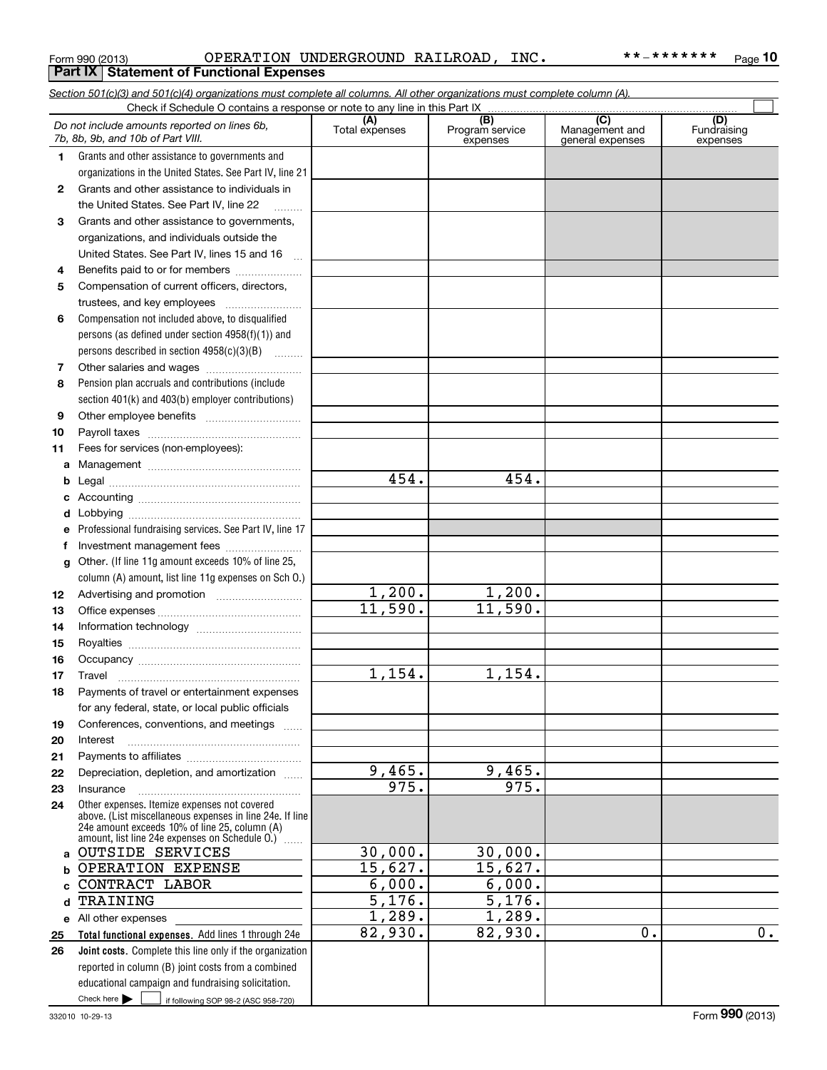|              | Section 501(c)(3) and 501(c)(4) organizations must complete all columns. All other organizations must complete column (A).<br>Check if Schedule O contains a response or note to any line in this Part IX   |                       |                                    |                                                      |                                |
|--------------|-------------------------------------------------------------------------------------------------------------------------------------------------------------------------------------------------------------|-----------------------|------------------------------------|------------------------------------------------------|--------------------------------|
|              | Do not include amounts reported on lines 6b,<br>7b, 8b, 9b, and 10b of Part VIII.                                                                                                                           | (A)<br>Total expenses | (B)<br>Program service<br>expenses | $\overline{C}$<br>Management and<br>general expenses | (D)<br>Fundraising<br>expenses |
| 1.           | Grants and other assistance to governments and                                                                                                                                                              |                       |                                    |                                                      |                                |
|              | organizations in the United States. See Part IV, line 21                                                                                                                                                    |                       |                                    |                                                      |                                |
| $\mathbf{2}$ | Grants and other assistance to individuals in                                                                                                                                                               |                       |                                    |                                                      |                                |
|              | the United States. See Part IV, line 22                                                                                                                                                                     |                       |                                    |                                                      |                                |
| 3            | Grants and other assistance to governments,                                                                                                                                                                 |                       |                                    |                                                      |                                |
|              | organizations, and individuals outside the                                                                                                                                                                  |                       |                                    |                                                      |                                |
|              | United States. See Part IV, lines 15 and 16<br>$\sim$                                                                                                                                                       |                       |                                    |                                                      |                                |
| 4            | Benefits paid to or for members                                                                                                                                                                             |                       |                                    |                                                      |                                |
| 5            | Compensation of current officers, directors,                                                                                                                                                                |                       |                                    |                                                      |                                |
|              | trustees, and key employees                                                                                                                                                                                 |                       |                                    |                                                      |                                |
| 6            | Compensation not included above, to disqualified                                                                                                                                                            |                       |                                    |                                                      |                                |
|              | persons (as defined under section 4958(f)(1)) and                                                                                                                                                           |                       |                                    |                                                      |                                |
|              | persons described in section 4958(c)(3)(B)                                                                                                                                                                  |                       |                                    |                                                      |                                |
| 7            |                                                                                                                                                                                                             |                       |                                    |                                                      |                                |
| 8            | Pension plan accruals and contributions (include                                                                                                                                                            |                       |                                    |                                                      |                                |
|              | section 401(k) and 403(b) employer contributions)                                                                                                                                                           |                       |                                    |                                                      |                                |
| 9            |                                                                                                                                                                                                             |                       |                                    |                                                      |                                |
| 10           |                                                                                                                                                                                                             |                       |                                    |                                                      |                                |
| 11           | Fees for services (non-employees):                                                                                                                                                                          |                       |                                    |                                                      |                                |
| a            |                                                                                                                                                                                                             |                       |                                    |                                                      |                                |
| b            |                                                                                                                                                                                                             | 454.                  | 454.                               |                                                      |                                |
| c            |                                                                                                                                                                                                             |                       |                                    |                                                      |                                |
| d            |                                                                                                                                                                                                             |                       |                                    |                                                      |                                |
| е            | Professional fundraising services. See Part IV, line 17                                                                                                                                                     |                       |                                    |                                                      |                                |
| f            | Investment management fees                                                                                                                                                                                  |                       |                                    |                                                      |                                |
| g            | Other. (If line 11g amount exceeds 10% of line 25,                                                                                                                                                          |                       |                                    |                                                      |                                |
|              | column (A) amount, list line 11g expenses on Sch 0.)                                                                                                                                                        | 1,200.                | 1,200.                             |                                                      |                                |
| 12           |                                                                                                                                                                                                             | 11,590.               | 11,590.                            |                                                      |                                |
| 13           |                                                                                                                                                                                                             |                       |                                    |                                                      |                                |
| 14           |                                                                                                                                                                                                             |                       |                                    |                                                      |                                |
| 15<br>16     |                                                                                                                                                                                                             |                       |                                    |                                                      |                                |
| 17           |                                                                                                                                                                                                             | 1,154.                | 1,154.                             |                                                      |                                |
| 18           | Payments of travel or entertainment expenses                                                                                                                                                                |                       |                                    |                                                      |                                |
|              | for any federal, state, or local public officials                                                                                                                                                           |                       |                                    |                                                      |                                |
| 19           | Conferences, conventions, and meetings                                                                                                                                                                      |                       |                                    |                                                      |                                |
| 20           | Interest                                                                                                                                                                                                    |                       |                                    |                                                      |                                |
| 21           |                                                                                                                                                                                                             |                       |                                    |                                                      |                                |
| 22           | Depreciation, depletion, and amortization                                                                                                                                                                   | 9,465.                | 9,465.                             |                                                      |                                |
| 23           | Insurance                                                                                                                                                                                                   | 975.                  | 975.                               |                                                      |                                |
| 24           | Other expenses. Itemize expenses not covered<br>above. (List miscellaneous expenses in line 24e. If line<br>24e amount exceeds 10% of line 25, column (A)<br>amount, list line 24e expenses on Schedule O.) |                       |                                    |                                                      |                                |
| a            | <b>OUTSIDE SERVICES</b>                                                                                                                                                                                     | 30,000.               | 30,000.                            |                                                      |                                |
| b            | OPERATION EXPENSE                                                                                                                                                                                           | 15,627.               | 15,627.                            |                                                      |                                |
|              | CONTRACT LABOR                                                                                                                                                                                              | 6,000.                | 6,000.                             |                                                      |                                |
| d            | TRAINING                                                                                                                                                                                                    | 5,176.                | 5,176.                             |                                                      |                                |
|              | e All other expenses                                                                                                                                                                                        | 1,289.                | 1,289.                             |                                                      |                                |
| 25           | Total functional expenses. Add lines 1 through 24e                                                                                                                                                          | 82,930.               | 82,930.                            | 0.                                                   | 0.                             |
| 26           | Joint costs. Complete this line only if the organization                                                                                                                                                    |                       |                                    |                                                      |                                |
|              | reported in column (B) joint costs from a combined                                                                                                                                                          |                       |                                    |                                                      |                                |
|              | educational campaign and fundraising solicitation.                                                                                                                                                          |                       |                                    |                                                      |                                |
|              | Check here $\blacktriangleright$<br>if following SOP 98-2 (ASC 958-720)                                                                                                                                     |                       |                                    |                                                      |                                |

Form 990 (2013) OPERATION UNDERGROUND RAILROAD,INC。 \* \* - \* \* \* \* \* \* \* Page OPERATION UNDERGROUND RAILROAD, INC. \*\*-\*\*\*\*\*\*\*

**10**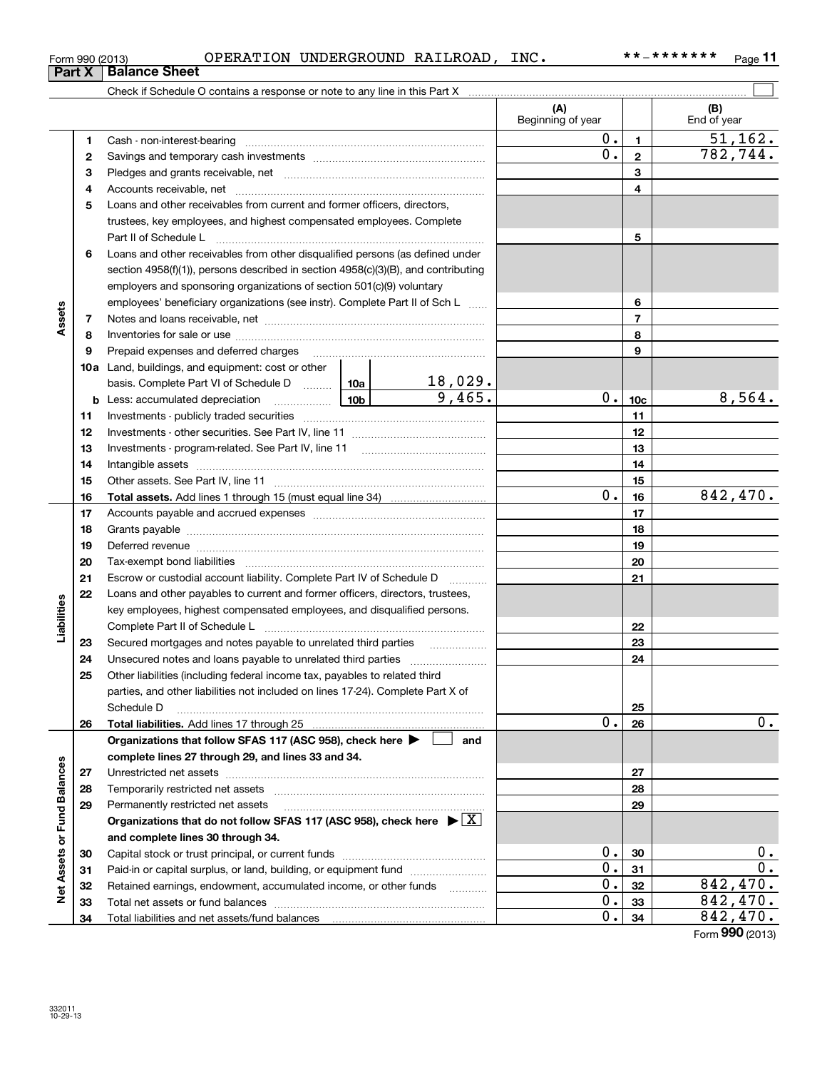|                             |              | OPERATION UNDERGROUND RAILROAD, INC.<br>Form 990 (2013)<br><b>Part X   Balance Sheet</b>                                                                                                                                      |                          |     |                          |                 | **_*******<br>Page 11 |
|-----------------------------|--------------|-------------------------------------------------------------------------------------------------------------------------------------------------------------------------------------------------------------------------------|--------------------------|-----|--------------------------|-----------------|-----------------------|
|                             |              |                                                                                                                                                                                                                               |                          |     |                          |                 |                       |
|                             |              |                                                                                                                                                                                                                               |                          |     | (A)<br>Beginning of year |                 | (B)<br>End of year    |
|                             | 1            | Cash - non-interest-bearing                                                                                                                                                                                                   |                          |     | 0.1                      | $\mathbf{1}$    | 51, 162.              |
|                             | $\mathbf{2}$ |                                                                                                                                                                                                                               |                          |     | 0.                       | $\overline{2}$  | 782, 744.             |
|                             | 3            |                                                                                                                                                                                                                               |                          |     |                          | 3               |                       |
|                             | 4            |                                                                                                                                                                                                                               |                          |     |                          | 4               |                       |
|                             | 5            | Loans and other receivables from current and former officers, directors,                                                                                                                                                      |                          |     |                          |                 |                       |
|                             |              | trustees, key employees, and highest compensated employees. Complete                                                                                                                                                          |                          |     |                          |                 |                       |
|                             |              | Part II of Schedule L                                                                                                                                                                                                         |                          |     |                          | 5               |                       |
|                             | 6            | Loans and other receivables from other disqualified persons (as defined under                                                                                                                                                 |                          |     |                          |                 |                       |
|                             |              | section 4958(f)(1)), persons described in section 4958(c)(3)(B), and contributing                                                                                                                                             |                          |     |                          |                 |                       |
|                             |              | employers and sponsoring organizations of section 501(c)(9) voluntary                                                                                                                                                         |                          |     |                          |                 |                       |
|                             |              | employees' beneficiary organizations (see instr). Complete Part II of Sch L                                                                                                                                                   |                          |     |                          | 6               |                       |
| Assets                      | 7            |                                                                                                                                                                                                                               |                          |     |                          | $\overline{7}$  |                       |
|                             | 8            |                                                                                                                                                                                                                               |                          |     |                          | 8               |                       |
|                             | 9            | Prepaid expenses and deferred charges                                                                                                                                                                                         |                          |     |                          | 9               |                       |
|                             |              | <b>10a</b> Land, buildings, and equipment: cost or other                                                                                                                                                                      |                          |     |                          |                 |                       |
|                             |              | basis. Complete Part VI of Schedule D $\frac{10a}{\cdots}$ 10a $\frac{18,029}{\cdots}$                                                                                                                                        |                          |     |                          |                 |                       |
|                             |              |                                                                                                                                                                                                                               | 9,465.                   |     | $0$ .                    | 10 <sub>c</sub> | 8,564.                |
|                             | 11           |                                                                                                                                                                                                                               |                          |     |                          | 11              |                       |
|                             | 12           |                                                                                                                                                                                                                               |                          |     | 12                       |                 |                       |
|                             | 13           |                                                                                                                                                                                                                               |                          |     | 13                       |                 |                       |
|                             | 14           |                                                                                                                                                                                                                               |                          |     | 14                       |                 |                       |
|                             | 15           |                                                                                                                                                                                                                               |                          |     | 15                       |                 |                       |
|                             | 16           |                                                                                                                                                                                                                               |                          | 0.  | 16                       | 842,470.        |                       |
|                             | 17           |                                                                                                                                                                                                                               |                          |     |                          | 17              |                       |
|                             | 18           |                                                                                                                                                                                                                               |                          |     | 18                       |                 |                       |
|                             | 19           | Deferred revenue material contracts and contracts are all the material contracts and contracts are all the contracts of the contracts of the contracts of the contracts of the contracts of the contracts of the contracts of |                          |     | 19                       |                 |                       |
|                             | 20           |                                                                                                                                                                                                                               |                          |     |                          | 20              |                       |
|                             | 21           | Escrow or custodial account liability. Complete Part IV of Schedule D                                                                                                                                                         | $\overline{\phantom{a}}$ |     |                          | 21              |                       |
|                             | 22           | Loans and other payables to current and former officers, directors, trustees,                                                                                                                                                 |                          |     |                          |                 |                       |
|                             |              | key employees, highest compensated employees, and disqualified persons.                                                                                                                                                       |                          |     |                          |                 |                       |
| Liabilities                 |              | Complete Part II of Schedule L                                                                                                                                                                                                |                          |     |                          | 22              |                       |
|                             | 23           | Secured mortgages and notes payable to unrelated third parties                                                                                                                                                                |                          |     |                          | 23              |                       |
|                             | 24           |                                                                                                                                                                                                                               |                          |     |                          | 24              |                       |
|                             | 25           | Other liabilities (including federal income tax, payables to related third                                                                                                                                                    |                          |     |                          |                 |                       |
|                             |              | parties, and other liabilities not included on lines 17-24). Complete Part X of                                                                                                                                               |                          |     |                          |                 |                       |
|                             |              | Schedule D                                                                                                                                                                                                                    |                          |     |                          | 25              |                       |
|                             | 26           | Total liabilities. Add lines 17 through 25                                                                                                                                                                                    |                          |     | 0.                       | 26              | 0.                    |
|                             |              | Organizations that follow SFAS 117 (ASC 958), check here >                                                                                                                                                                    |                          | and |                          |                 |                       |
|                             |              | complete lines 27 through 29, and lines 33 and 34.                                                                                                                                                                            |                          |     |                          |                 |                       |
|                             | 27           |                                                                                                                                                                                                                               |                          |     |                          | 27              |                       |
|                             | 28           | Temporarily restricted net assets                                                                                                                                                                                             |                          |     |                          | 28              |                       |
|                             | 29           | Permanently restricted net assets                                                                                                                                                                                             |                          |     |                          | 29              |                       |
|                             |              | Organizations that do not follow SFAS 117 (ASC 958), check here $\blacktriangleright \lfloor X \rfloor$                                                                                                                       |                          |     |                          |                 |                       |
|                             |              | and complete lines 30 through 34.                                                                                                                                                                                             |                          |     |                          |                 |                       |
|                             | 30           |                                                                                                                                                                                                                               |                          |     | 0.                       | 30              | 0.                    |
|                             | 31           | Paid-in or capital surplus, or land, building, or equipment fund                                                                                                                                                              |                          |     | 0.                       | 31              | 0.                    |
| Net Assets or Fund Balances | 32           | Retained earnings, endowment, accumulated income, or other funds                                                                                                                                                              | .                        |     | 0.                       | 32              | 842,470.              |
|                             | 33           | Total net assets or fund halances                                                                                                                                                                                             |                          |     |                          | 33              | 842                   |

Capital stock or trust principal, or current funds ~~~~~~~~~~~~~~~ Paid-in or capital surplus, or land, building, or equipment fund www.commun.com Retained earnings, endowment, accumulated income, or other funds we have all the Total net assets or fund balances ~~~~~~~~~~~~~~~~~~~~~~

Total liabilities and net assets/fund balances

0. 842,470. 0. 842,470.

Form (2013) **990**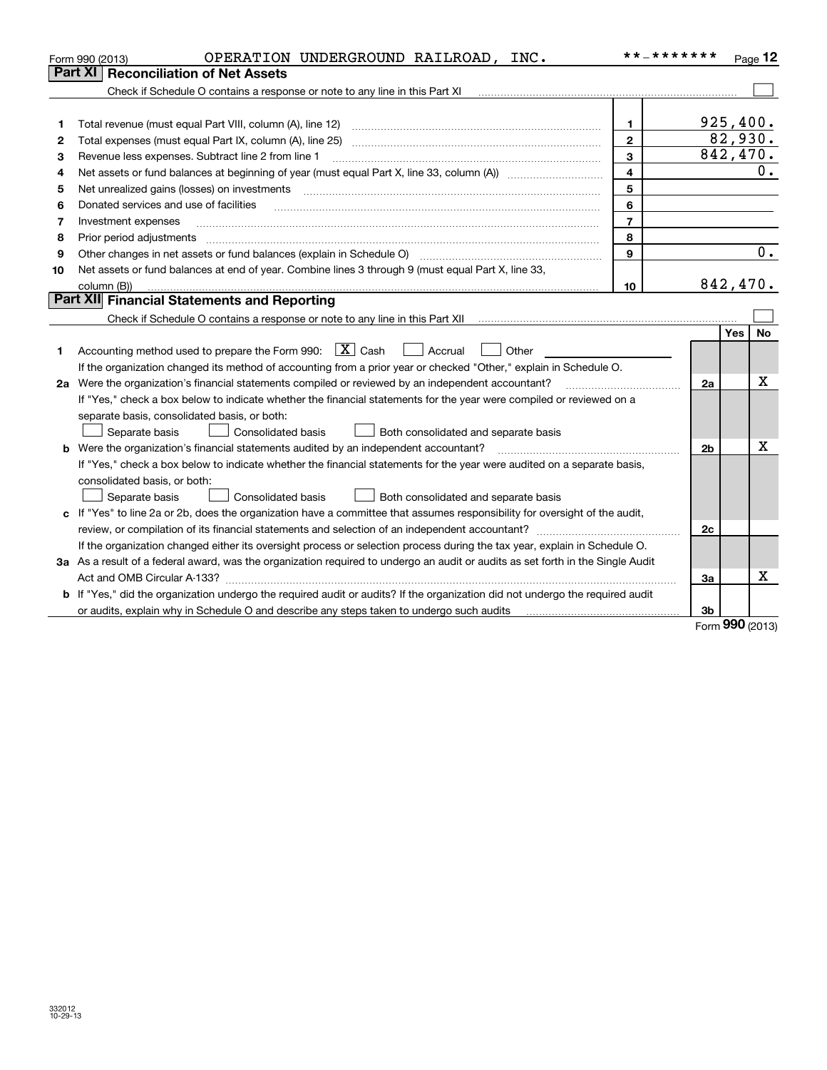| Part XI<br><b>Reconciliation of Net Assets</b>                                                                                                                                         |                | Page 12                 |
|----------------------------------------------------------------------------------------------------------------------------------------------------------------------------------------|----------------|-------------------------|
|                                                                                                                                                                                        |                |                         |
| Check if Schedule O contains a response or note to any line in this Part XI [11] [12] [2] [2] [2] [2] [2] [2] [                                                                        |                |                         |
|                                                                                                                                                                                        |                |                         |
| $\mathbf{1}$<br>1                                                                                                                                                                      |                | 925,400.                |
| $\mathbf{2}$<br>2                                                                                                                                                                      |                | 82,930.                 |
| 3<br>Revenue less expenses. Subtract line 2 from line 1<br>з                                                                                                                           |                | 842,470.                |
| $\overline{\mathbf{4}}$<br>4                                                                                                                                                           |                | 0.                      |
| 5<br>Net unrealized gains (losses) on investments<br>5                                                                                                                                 |                |                         |
| 6<br>Donated services and use of facilities<br>6                                                                                                                                       |                |                         |
| $\overline{7}$<br>Investment expenses<br>7                                                                                                                                             |                |                         |
| 8<br>Prior period adjustments<br>8                                                                                                                                                     |                |                         |
| Other changes in net assets or fund balances (explain in Schedule O) [11] [12] contraction contraction of the changes in net assets or fund balances (explain in Schedule O)<br>9<br>9 |                | $\overline{0}$ .        |
| Net assets or fund balances at end of year. Combine lines 3 through 9 (must equal Part X, line 33,<br>10                                                                               |                |                         |
| 10<br>column (B))                                                                                                                                                                      |                | 842, 470.               |
| Part XII Financial Statements and Reporting                                                                                                                                            |                |                         |
|                                                                                                                                                                                        |                |                         |
|                                                                                                                                                                                        |                | <b>No</b><br><b>Yes</b> |
| Accounting method used to prepare the Form 990: $\boxed{\textbf{X}}$ Cash<br>$\Box$ Accrual<br>Other<br>1                                                                              |                |                         |
| If the organization changed its method of accounting from a prior year or checked "Other," explain in Schedule O.                                                                      |                |                         |
| 2a Were the organization's financial statements compiled or reviewed by an independent accountant?                                                                                     | 2a             | X                       |
| If "Yes," check a box below to indicate whether the financial statements for the year were compiled or reviewed on a                                                                   |                |                         |
| separate basis, consolidated basis, or both:                                                                                                                                           |                |                         |
| Separate basis<br>Consolidated basis<br>Both consolidated and separate basis                                                                                                           |                |                         |
| Were the organization's financial statements audited by an independent accountant?<br>b                                                                                                | 2 <sub>b</sub> | X                       |
| If "Yes," check a box below to indicate whether the financial statements for the year were audited on a separate basis,                                                                |                |                         |
| consolidated basis, or both:                                                                                                                                                           |                |                         |
| <b>Consolidated basis</b><br>Separate basis<br>Both consolidated and separate basis                                                                                                    |                |                         |
| c If "Yes" to line 2a or 2b, does the organization have a committee that assumes responsibility for oversight of the audit,                                                            |                |                         |
|                                                                                                                                                                                        | 2c             |                         |
| If the organization changed either its oversight process or selection process during the tax year, explain in Schedule O.                                                              |                |                         |
| 3a As a result of a federal award, was the organization required to undergo an audit or audits as set forth in the Single Audit                                                        |                |                         |
| Act and OMB Circular A-133?                                                                                                                                                            | За             | х                       |
| b If "Yes," did the organization undergo the required audit or audits? If the organization did not undergo the required audit                                                          |                |                         |
| or audits, explain why in Schedule O and describe any steps taken to undergo such audits [11] or anomalization                                                                         | 3b             | 000                     |

Form (2013) **990**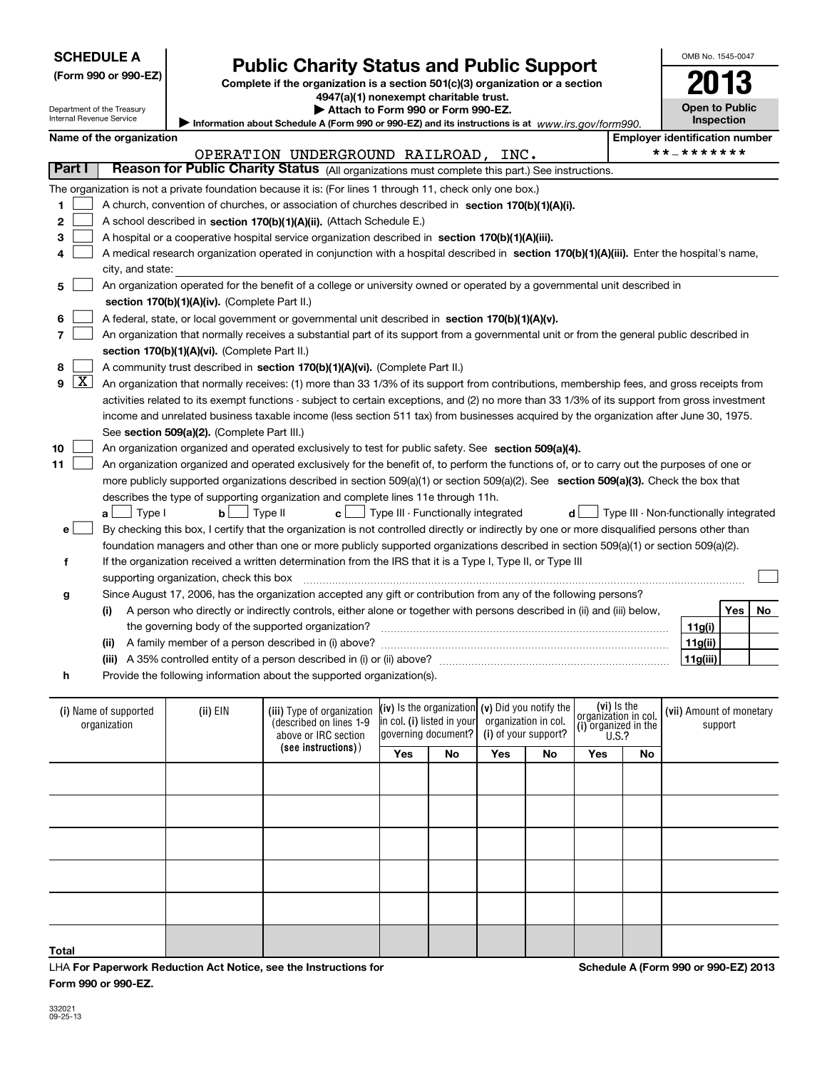| <b>SCHEDULE A</b> |  |
|-------------------|--|
|-------------------|--|

Department of the Treasury Internal Revenue Service

## **(Form 990 or 990-EZ)**

# **Public Charity Status and Public Support**

**Complete if the organization is a section 501(c)(3) organization or a section 4947(a)(1) nonexempt charitable trust.**

**| Attach to Form 990 or Form 990-EZ.** 

| Information about Schedule A (Form 990 or 990-EZ) and its instructions is at www.irs.gov/form990. |  |
|---------------------------------------------------------------------------------------------------|--|
|                                                                                                   |  |

| OMB No 1545-0047                    |
|-------------------------------------|
| 1<br>;1۱                            |
| <b>Open to Public</b><br>Inspection |

|  | Name of the organization |
|--|--------------------------|

|         | Name of the organization                                                                                                                      | <b>Employer identification number</b>  |  |  |  |  |  |  |  |
|---------|-----------------------------------------------------------------------------------------------------------------------------------------------|----------------------------------------|--|--|--|--|--|--|--|
|         | OPERATION UNDERGROUND RAILROAD, INC.                                                                                                          | **_*******                             |  |  |  |  |  |  |  |
| Part I  | Reason for Public Charity Status (All organizations must complete this part.) See instructions.                                               |                                        |  |  |  |  |  |  |  |
|         | The organization is not a private foundation because it is: (For lines 1 through 11, check only one box.)                                     |                                        |  |  |  |  |  |  |  |
| 1       | A church, convention of churches, or association of churches described in section 170(b)(1)(A)(i).                                            |                                        |  |  |  |  |  |  |  |
| 2       | A school described in section 170(b)(1)(A)(ii). (Attach Schedule E.)                                                                          |                                        |  |  |  |  |  |  |  |
| з       | A hospital or a cooperative hospital service organization described in section 170(b)(1)(A)(iii).                                             |                                        |  |  |  |  |  |  |  |
|         | A medical research organization operated in conjunction with a hospital described in section 170(b)(1)(A)(iii). Enter the hospital's name,    |                                        |  |  |  |  |  |  |  |
|         | city, and state:                                                                                                                              |                                        |  |  |  |  |  |  |  |
| 5       | An organization operated for the benefit of a college or university owned or operated by a governmental unit described in                     |                                        |  |  |  |  |  |  |  |
|         | section 170(b)(1)(A)(iv). (Complete Part II.)                                                                                                 |                                        |  |  |  |  |  |  |  |
| 6       | A federal, state, or local government or governmental unit described in section 170(b)(1)(A)(v).                                              |                                        |  |  |  |  |  |  |  |
| 7       | An organization that normally receives a substantial part of its support from a governmental unit or from the general public described in     |                                        |  |  |  |  |  |  |  |
|         | section 170(b)(1)(A)(vi). (Complete Part II.)                                                                                                 |                                        |  |  |  |  |  |  |  |
| 8       | A community trust described in section 170(b)(1)(A)(vi). (Complete Part II.)                                                                  |                                        |  |  |  |  |  |  |  |
| X <br>9 | An organization that normally receives: (1) more than 33 1/3% of its support from contributions, membership fees, and gross receipts from     |                                        |  |  |  |  |  |  |  |
|         | activities related to its exempt functions - subject to certain exceptions, and (2) no more than 33 1/3% of its support from gross investment |                                        |  |  |  |  |  |  |  |
|         | income and unrelated business taxable income (less section 511 tax) from businesses acquired by the organization after June 30, 1975.         |                                        |  |  |  |  |  |  |  |
|         | See section 509(a)(2). (Complete Part III.)                                                                                                   |                                        |  |  |  |  |  |  |  |
| 10      | An organization organized and operated exclusively to test for public safety. See section 509(a)(4).                                          |                                        |  |  |  |  |  |  |  |
| 11      | An organization organized and operated exclusively for the benefit of, to perform the functions of, or to carry out the purposes of one or    |                                        |  |  |  |  |  |  |  |
|         | more publicly supported organizations described in section 509(a)(1) or section 509(a)(2). See section 509(a)(3). Check the box that          |                                        |  |  |  |  |  |  |  |
|         | describes the type of supporting organization and complete lines 11e through 11h.                                                             |                                        |  |  |  |  |  |  |  |
|         | $\mathsf{b}$   Type II<br>$c$ $\Box$ Type III - Functionally integrated<br>$a \Box$ Type I<br>dl                                              | Type III - Non-functionally integrated |  |  |  |  |  |  |  |
| e l     | By checking this box, I certify that the organization is not controlled directly or indirectly by one or more disqualified persons other than |                                        |  |  |  |  |  |  |  |
|         | foundation managers and other than one or more publicly supported organizations described in section 509(a)(1) or section 509(a)(2).          |                                        |  |  |  |  |  |  |  |
| f       | If the organization received a written determination from the IRS that it is a Type I, Type II, or Type III                                   |                                        |  |  |  |  |  |  |  |
|         | supporting organization, check this box                                                                                                       |                                        |  |  |  |  |  |  |  |
| g       | Since August 17, 2006, has the organization accepted any gift or contribution from any of the following persons?                              |                                        |  |  |  |  |  |  |  |
|         | A person who directly or indirectly controls, either alone or together with persons described in (ii) and (iii) below,<br>(i)                 | <b>Yes</b><br>No                       |  |  |  |  |  |  |  |
|         | the governing body of the supported organization?                                                                                             | 11g(i)                                 |  |  |  |  |  |  |  |
|         | (ii)                                                                                                                                          | 11g(ii)                                |  |  |  |  |  |  |  |
|         | A 35% controlled entity of a person described in (i) or (ii) above?<br>(iii)                                                                  | 11g(iii)                               |  |  |  |  |  |  |  |

**h**Provide the following information about the supported organization(s).

| (i) Name of supported<br>organization | (ii) EIN | (iii) Type of organization<br>(described on lines 1-9<br>above or IRC section |     |    | (iv) Is the organization (v) Did you notify the<br>in col. (i) listed in your organization in col.<br>governing document? (i) of your support? |    | $(vi)$ Is the<br>organization in col.<br>(i) organized in the<br>$(1)$ organized in the |    | (vii) Amount of monetary<br>support |
|---------------------------------------|----------|-------------------------------------------------------------------------------|-----|----|------------------------------------------------------------------------------------------------------------------------------------------------|----|-----------------------------------------------------------------------------------------|----|-------------------------------------|
|                                       |          | (see instructions))                                                           | Yes | No | Yes                                                                                                                                            | No | Yes                                                                                     | No |                                     |
|                                       |          |                                                                               |     |    |                                                                                                                                                |    |                                                                                         |    |                                     |
|                                       |          |                                                                               |     |    |                                                                                                                                                |    |                                                                                         |    |                                     |
|                                       |          |                                                                               |     |    |                                                                                                                                                |    |                                                                                         |    |                                     |
|                                       |          |                                                                               |     |    |                                                                                                                                                |    |                                                                                         |    |                                     |
|                                       |          |                                                                               |     |    |                                                                                                                                                |    |                                                                                         |    |                                     |
| Total                                 |          |                                                                               |     |    |                                                                                                                                                |    |                                                                                         |    |                                     |

LHA For Paperwork Reduction Act Notice, see the Instructions for **Form 990 or 990-EZ.**

**Schedule A (Form 990 or 990-EZ) 2013**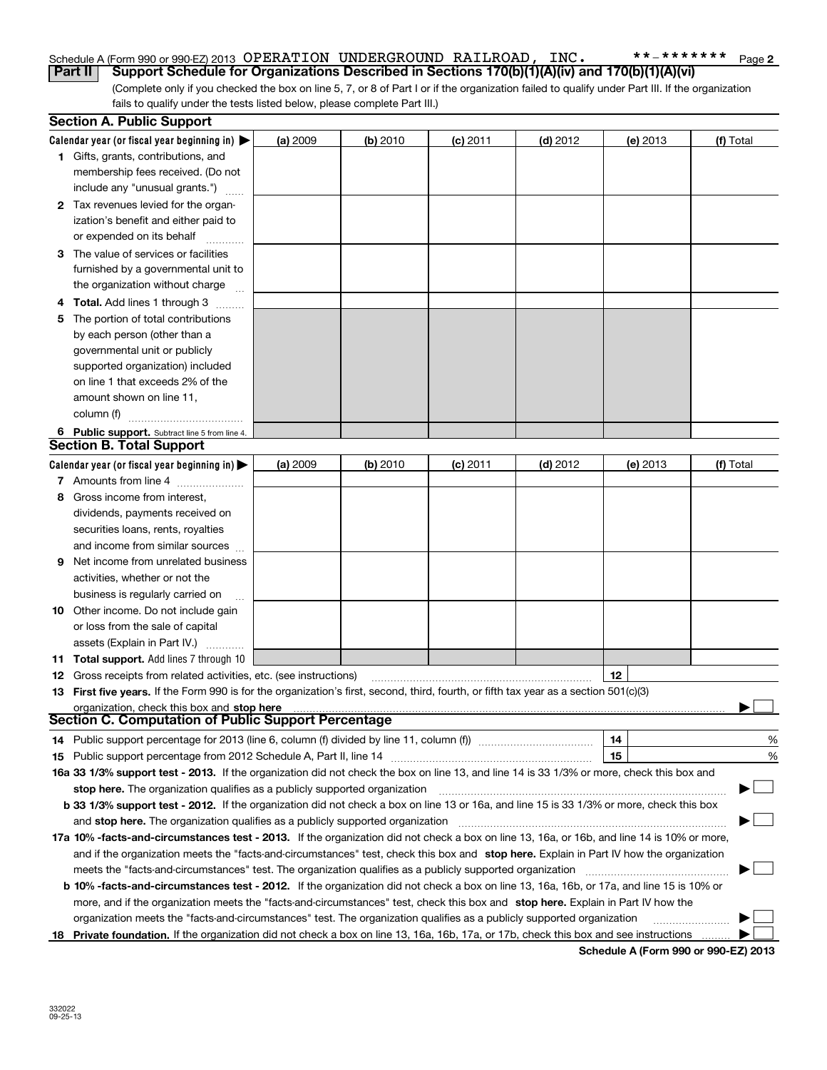#### Schedule A (Form 990 or 990-EZ) 2013 Page OPERATION UNDERGROUND RAILROAD, INC. \*\*-\*\*\*\*\*\*\***Part II Support Schedule for Organizations Described in Sections 170(b)(1)(A)(iv) and 170(b)(1)(A)(vi)**

(Complete only if you checked the box on line 5, 7, or 8 of Part I or if the organization failed to qualify under Part III. If the organization fails to qualify under the tests listed below, please complete Part III.)

|   | <b>Section A. Public Support</b>                                                                                                                                                                                               |          |          |                 |            |          |           |
|---|--------------------------------------------------------------------------------------------------------------------------------------------------------------------------------------------------------------------------------|----------|----------|-----------------|------------|----------|-----------|
|   | Calendar year (or fiscal year beginning in) $\blacktriangleright$                                                                                                                                                              | (a) 2009 | (b) 2010 | <b>(c)</b> 2011 | $(d)$ 2012 | (e) 2013 | (f) Total |
|   | <b>1</b> Gifts, grants, contributions, and                                                                                                                                                                                     |          |          |                 |            |          |           |
|   | membership fees received. (Do not                                                                                                                                                                                              |          |          |                 |            |          |           |
|   | include any "unusual grants.")                                                                                                                                                                                                 |          |          |                 |            |          |           |
|   | 2 Tax revenues levied for the organ-                                                                                                                                                                                           |          |          |                 |            |          |           |
|   | ization's benefit and either paid to                                                                                                                                                                                           |          |          |                 |            |          |           |
|   | or expended on its behalf                                                                                                                                                                                                      |          |          |                 |            |          |           |
|   | 3 The value of services or facilities                                                                                                                                                                                          |          |          |                 |            |          |           |
|   | furnished by a governmental unit to                                                                                                                                                                                            |          |          |                 |            |          |           |
|   | the organization without charge                                                                                                                                                                                                |          |          |                 |            |          |           |
|   | 4 Total. Add lines 1 through 3                                                                                                                                                                                                 |          |          |                 |            |          |           |
| 5 | The portion of total contributions                                                                                                                                                                                             |          |          |                 |            |          |           |
|   | by each person (other than a                                                                                                                                                                                                   |          |          |                 |            |          |           |
|   | governmental unit or publicly                                                                                                                                                                                                  |          |          |                 |            |          |           |
|   | supported organization) included                                                                                                                                                                                               |          |          |                 |            |          |           |
|   | on line 1 that exceeds 2% of the                                                                                                                                                                                               |          |          |                 |            |          |           |
|   | amount shown on line 11,                                                                                                                                                                                                       |          |          |                 |            |          |           |
|   | column (f)                                                                                                                                                                                                                     |          |          |                 |            |          |           |
|   | 6 Public support. Subtract line 5 from line 4.                                                                                                                                                                                 |          |          |                 |            |          |           |
|   | <b>Section B. Total Support</b>                                                                                                                                                                                                |          |          |                 |            |          |           |
|   | Calendar year (or fiscal year beginning in) $\blacktriangleright$                                                                                                                                                              | (a) 2009 | (b) 2010 | $(c)$ 2011      | $(d)$ 2012 | (e) 2013 | (f) Total |
|   | 7 Amounts from line 4                                                                                                                                                                                                          |          |          |                 |            |          |           |
| 8 | Gross income from interest,                                                                                                                                                                                                    |          |          |                 |            |          |           |
|   | dividends, payments received on                                                                                                                                                                                                |          |          |                 |            |          |           |
|   | securities loans, rents, royalties                                                                                                                                                                                             |          |          |                 |            |          |           |
|   | and income from similar sources                                                                                                                                                                                                |          |          |                 |            |          |           |
| 9 | Net income from unrelated business                                                                                                                                                                                             |          |          |                 |            |          |           |
|   | activities, whether or not the                                                                                                                                                                                                 |          |          |                 |            |          |           |
|   | business is regularly carried on                                                                                                                                                                                               |          |          |                 |            |          |           |
|   | <b>10</b> Other income. Do not include gain                                                                                                                                                                                    |          |          |                 |            |          |           |
|   | or loss from the sale of capital                                                                                                                                                                                               |          |          |                 |            |          |           |
|   | assets (Explain in Part IV.)                                                                                                                                                                                                   |          |          |                 |            |          |           |
|   | <b>11 Total support.</b> Add lines 7 through 10                                                                                                                                                                                |          |          |                 |            |          |           |
|   | <b>12</b> Gross receipts from related activities, etc. (see instructions)                                                                                                                                                      |          |          |                 |            | 12       |           |
|   | 13 First five years. If the Form 990 is for the organization's first, second, third, fourth, or fifth tax year as a section 501(c)(3)                                                                                          |          |          |                 |            |          |           |
|   | organization, check this box and stop here manufactured and content to the state of the state of the state of the state of the state of the state of the state of the state of the state of the state of the state of the stat |          |          |                 |            |          |           |
|   | Section C. Computation of Public Support Percentage                                                                                                                                                                            |          |          |                 |            |          |           |
|   | 14 Public support percentage for 2013 (line 6, column (f) divided by line 11, column (f) <i>manumanomeron</i>                                                                                                                  |          |          |                 |            | 14       | %         |
|   |                                                                                                                                                                                                                                |          |          |                 |            | 15       | %         |
|   | 16a 33 1/3% support test - 2013. If the organization did not check the box on line 13, and line 14 is 33 1/3% or more, check this box and                                                                                      |          |          |                 |            |          |           |
|   | stop here. The organization qualifies as a publicly supported organization                                                                                                                                                     |          |          |                 |            |          | ▔▁▏       |
|   | b 33 1/3% support test - 2012. If the organization did not check a box on line 13 or 16a, and line 15 is 33 1/3% or more, check this box                                                                                       |          |          |                 |            |          |           |
|   | and stop here. The organization qualifies as a publicly supported organization                                                                                                                                                 |          |          |                 |            |          |           |
|   | 17a 10% -facts-and-circumstances test - 2013. If the organization did not check a box on line 13, 16a, or 16b, and line 14 is 10% or more,                                                                                     |          |          |                 |            |          |           |
|   | and if the organization meets the "facts-and-circumstances" test, check this box and stop here. Explain in Part IV how the organization                                                                                        |          |          |                 |            |          |           |
|   | meets the "facts-and-circumstances" test. The organization qualifies as a publicly supported organization manumumum                                                                                                            |          |          |                 |            |          |           |
|   | <b>b 10% -facts-and-circumstances test - 2012.</b> If the organization did not check a box on line 13, 16a, 16b, or 17a, and line 15 is 10% or                                                                                 |          |          |                 |            |          |           |
|   | more, and if the organization meets the "facts-and-circumstances" test, check this box and stop here. Explain in Part IV how the                                                                                               |          |          |                 |            |          |           |
|   | organization meets the "facts-and-circumstances" test. The organization qualifies as a publicly supported organization                                                                                                         |          |          |                 |            |          |           |
|   | 18 Private foundation. If the organization did not check a box on line 13, 16a, 16b, 17a, or 17b, check this box and see instructions                                                                                          |          |          |                 |            |          |           |

**Schedule A (Form 990 or 990-EZ) 2013**

**2**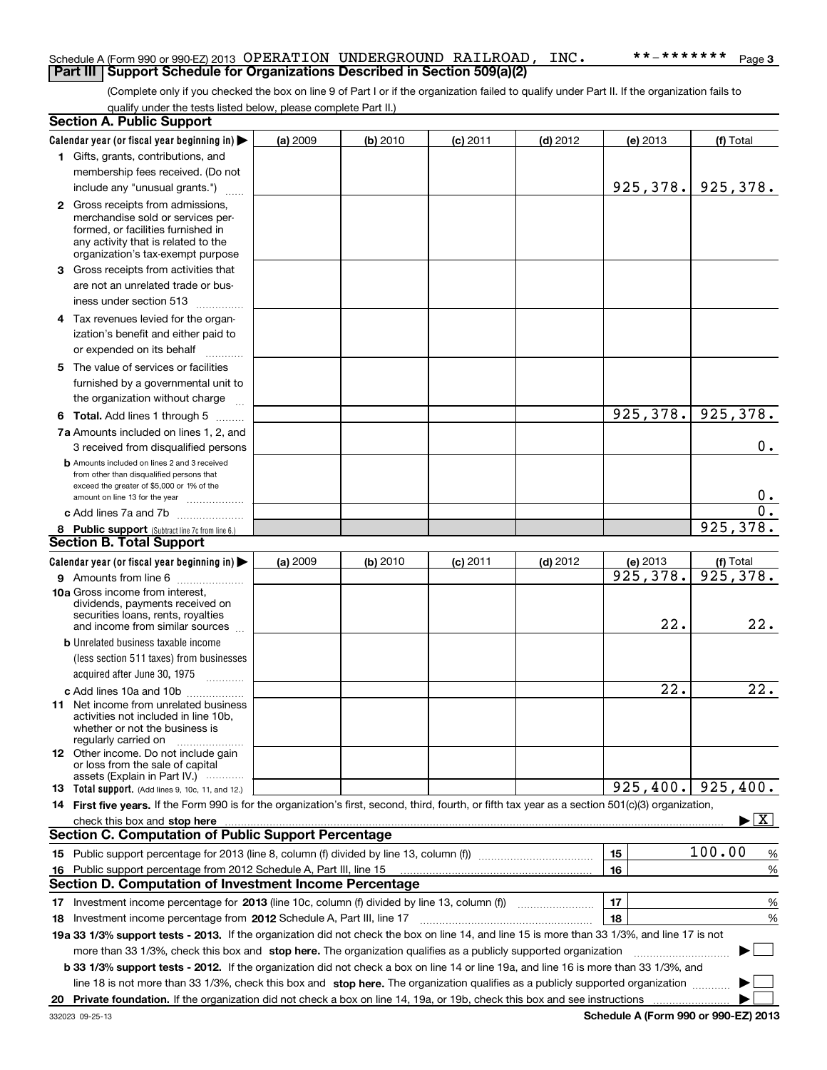#### Schedule A (Form 990 or 990-EZ) 2013 Page OPERATION UNDERGROUND RAILROAD, INC. \*\*-\*\*\*\*\*\*\* **Part III Support Schedule for Organizations Described in Section 509(a)(2)**

(Complete only if you checked the box on line 9 of Part I or if the organization failed to qualify under Part II. If the organization fails to qualify under the tests listed below, please complete Part II.)

| Calendar year (or fiscal year beginning in)<br>(a) 2009<br>(b) 2010<br>$(c)$ 2011<br>$(d)$ 2012<br>(e) 2013<br>(f) Total<br>1 Gifts, grants, contributions, and<br>membership fees received. (Do not<br>925,378.<br>925,378.<br>include any "unusual grants.")<br><b>2</b> Gross receipts from admissions,<br>merchandise sold or services per-<br>formed, or facilities furnished in<br>any activity that is related to the<br>organization's tax-exempt purpose<br>3 Gross receipts from activities that<br>are not an unrelated trade or bus-<br>iness under section 513<br>4 Tax revenues levied for the organ-<br>ization's benefit and either paid to<br>or expended on its behalf<br>.<br>5 The value of services or facilities<br>furnished by a governmental unit to<br>the organization without charge<br>925,378.<br>925, 378.<br><b>6 Total.</b> Add lines 1 through 5<br>7a Amounts included on lines 1, 2, and<br>$0$ .<br>3 received from disqualified persons<br><b>b</b> Amounts included on lines 2 and 3 received<br>from other than disqualified persons that<br>exceed the greater of \$5,000 or 1% of the<br>0.<br>amount on line 13 for the year<br>$\overline{0}$ .<br>c Add lines 7a and 7b<br>925, 378.<br>8 Public support (Subtract line 7c from line 6.)<br><b>Section B. Total Support</b><br>Calendar year (or fiscal year beginning in)<br>(a) 2009<br>(b) 2010<br>$(d)$ 2012<br>(e) 2013<br>(f) Total<br>$(c)$ 2011<br>925, 378.<br>925,378.<br>9 Amounts from line 6<br>10a Gross income from interest,<br>dividends, payments received on<br>securities loans, rents, royalties<br>22.<br>22.<br>and income from similar sources<br><b>b</b> Unrelated business taxable income<br>(less section 511 taxes) from businesses<br>acquired after June 30, 1975<br>22.<br>22.<br>c Add lines 10a and 10b<br>11 Net income from unrelated business<br>activities not included in line 10b,<br>whether or not the business is<br>regularly carried on<br><b>12</b> Other income. Do not include gain<br>or loss from the sale of capital<br>assets (Explain in Part IV.)<br>925,400.<br>925, 400.<br>13 Total support. (Add lines 9, 10c, 11, and 12.)<br>14 First five years. If the Form 990 is for the organization's first, second, third, fourth, or fifth tax year as a section 501(c)(3) organization,<br>$\blacktriangleright$ $\vert$ X $\vert$<br>check this box and stop here www.communication.communication.com/<br><b>Section C. Computation of Public Support Percentage</b><br>100.00<br>15<br>%<br>16<br>Public support percentage from 2012 Schedule A, Part III, line 15<br>%<br>16<br><b>Section D. Computation of Investment Income Percentage</b><br>17<br>Investment income percentage for 2013 (line 10c, column (f) divided by line 13, column (f))<br>%<br>17<br>18<br>%<br>18 Investment income percentage from 2012 Schedule A, Part III, line 17<br>19a 33 1/3% support tests - 2013. If the organization did not check the box on line 14, and line 15 is more than 33 1/3%, and line 17 is not<br>more than 33 1/3%, check this box and stop here. The organization qualifies as a publicly supported organization<br>b 33 1/3% support tests - 2012. If the organization did not check a box on line 14 or line 19a, and line 16 is more than 33 1/3%, and<br>line 18 is not more than 33 1/3%, check this box and stop here. The organization qualifies as a publicly supported organization | <b>Section A. Public Support</b> |  |  |  |  |
|-----------------------------------------------------------------------------------------------------------------------------------------------------------------------------------------------------------------------------------------------------------------------------------------------------------------------------------------------------------------------------------------------------------------------------------------------------------------------------------------------------------------------------------------------------------------------------------------------------------------------------------------------------------------------------------------------------------------------------------------------------------------------------------------------------------------------------------------------------------------------------------------------------------------------------------------------------------------------------------------------------------------------------------------------------------------------------------------------------------------------------------------------------------------------------------------------------------------------------------------------------------------------------------------------------------------------------------------------------------------------------------------------------------------------------------------------------------------------------------------------------------------------------------------------------------------------------------------------------------------------------------------------------------------------------------------------------------------------------------------------------------------------------------------------------------------------------------------------------------------------------------------------------------------------------------------------------------------------------------------------------------------------------------------------------------------------------------------------------------------------------------------------------------------------------------------------------------------------------------------------------------------------------------------------------------------------------------------------------------------------------------------------------------------------------------------------------------------------------------------------------------------------------------------------------------------------------------------------------------------------------------------------------------------------------------------------------------------------------------------------------------------------------------------------------------------------------------------------------------------------------------------------------------------------------------------------------------------------------------------------------------------------------------------------------------------------------------------------------------------------------------------------------------------------------------------------------------------------------------------------------------------------------------------------------------------------------------------------------------------------------------------------------------------------------------------------------------|----------------------------------|--|--|--|--|
|                                                                                                                                                                                                                                                                                                                                                                                                                                                                                                                                                                                                                                                                                                                                                                                                                                                                                                                                                                                                                                                                                                                                                                                                                                                                                                                                                                                                                                                                                                                                                                                                                                                                                                                                                                                                                                                                                                                                                                                                                                                                                                                                                                                                                                                                                                                                                                                                                                                                                                                                                                                                                                                                                                                                                                                                                                                                                                                                                                                                                                                                                                                                                                                                                                                                                                                                                                                                                                                           |                                  |  |  |  |  |
|                                                                                                                                                                                                                                                                                                                                                                                                                                                                                                                                                                                                                                                                                                                                                                                                                                                                                                                                                                                                                                                                                                                                                                                                                                                                                                                                                                                                                                                                                                                                                                                                                                                                                                                                                                                                                                                                                                                                                                                                                                                                                                                                                                                                                                                                                                                                                                                                                                                                                                                                                                                                                                                                                                                                                                                                                                                                                                                                                                                                                                                                                                                                                                                                                                                                                                                                                                                                                                                           |                                  |  |  |  |  |
|                                                                                                                                                                                                                                                                                                                                                                                                                                                                                                                                                                                                                                                                                                                                                                                                                                                                                                                                                                                                                                                                                                                                                                                                                                                                                                                                                                                                                                                                                                                                                                                                                                                                                                                                                                                                                                                                                                                                                                                                                                                                                                                                                                                                                                                                                                                                                                                                                                                                                                                                                                                                                                                                                                                                                                                                                                                                                                                                                                                                                                                                                                                                                                                                                                                                                                                                                                                                                                                           |                                  |  |  |  |  |
|                                                                                                                                                                                                                                                                                                                                                                                                                                                                                                                                                                                                                                                                                                                                                                                                                                                                                                                                                                                                                                                                                                                                                                                                                                                                                                                                                                                                                                                                                                                                                                                                                                                                                                                                                                                                                                                                                                                                                                                                                                                                                                                                                                                                                                                                                                                                                                                                                                                                                                                                                                                                                                                                                                                                                                                                                                                                                                                                                                                                                                                                                                                                                                                                                                                                                                                                                                                                                                                           |                                  |  |  |  |  |
|                                                                                                                                                                                                                                                                                                                                                                                                                                                                                                                                                                                                                                                                                                                                                                                                                                                                                                                                                                                                                                                                                                                                                                                                                                                                                                                                                                                                                                                                                                                                                                                                                                                                                                                                                                                                                                                                                                                                                                                                                                                                                                                                                                                                                                                                                                                                                                                                                                                                                                                                                                                                                                                                                                                                                                                                                                                                                                                                                                                                                                                                                                                                                                                                                                                                                                                                                                                                                                                           |                                  |  |  |  |  |
|                                                                                                                                                                                                                                                                                                                                                                                                                                                                                                                                                                                                                                                                                                                                                                                                                                                                                                                                                                                                                                                                                                                                                                                                                                                                                                                                                                                                                                                                                                                                                                                                                                                                                                                                                                                                                                                                                                                                                                                                                                                                                                                                                                                                                                                                                                                                                                                                                                                                                                                                                                                                                                                                                                                                                                                                                                                                                                                                                                                                                                                                                                                                                                                                                                                                                                                                                                                                                                                           |                                  |  |  |  |  |
|                                                                                                                                                                                                                                                                                                                                                                                                                                                                                                                                                                                                                                                                                                                                                                                                                                                                                                                                                                                                                                                                                                                                                                                                                                                                                                                                                                                                                                                                                                                                                                                                                                                                                                                                                                                                                                                                                                                                                                                                                                                                                                                                                                                                                                                                                                                                                                                                                                                                                                                                                                                                                                                                                                                                                                                                                                                                                                                                                                                                                                                                                                                                                                                                                                                                                                                                                                                                                                                           |                                  |  |  |  |  |
|                                                                                                                                                                                                                                                                                                                                                                                                                                                                                                                                                                                                                                                                                                                                                                                                                                                                                                                                                                                                                                                                                                                                                                                                                                                                                                                                                                                                                                                                                                                                                                                                                                                                                                                                                                                                                                                                                                                                                                                                                                                                                                                                                                                                                                                                                                                                                                                                                                                                                                                                                                                                                                                                                                                                                                                                                                                                                                                                                                                                                                                                                                                                                                                                                                                                                                                                                                                                                                                           |                                  |  |  |  |  |
|                                                                                                                                                                                                                                                                                                                                                                                                                                                                                                                                                                                                                                                                                                                                                                                                                                                                                                                                                                                                                                                                                                                                                                                                                                                                                                                                                                                                                                                                                                                                                                                                                                                                                                                                                                                                                                                                                                                                                                                                                                                                                                                                                                                                                                                                                                                                                                                                                                                                                                                                                                                                                                                                                                                                                                                                                                                                                                                                                                                                                                                                                                                                                                                                                                                                                                                                                                                                                                                           |                                  |  |  |  |  |
|                                                                                                                                                                                                                                                                                                                                                                                                                                                                                                                                                                                                                                                                                                                                                                                                                                                                                                                                                                                                                                                                                                                                                                                                                                                                                                                                                                                                                                                                                                                                                                                                                                                                                                                                                                                                                                                                                                                                                                                                                                                                                                                                                                                                                                                                                                                                                                                                                                                                                                                                                                                                                                                                                                                                                                                                                                                                                                                                                                                                                                                                                                                                                                                                                                                                                                                                                                                                                                                           |                                  |  |  |  |  |
|                                                                                                                                                                                                                                                                                                                                                                                                                                                                                                                                                                                                                                                                                                                                                                                                                                                                                                                                                                                                                                                                                                                                                                                                                                                                                                                                                                                                                                                                                                                                                                                                                                                                                                                                                                                                                                                                                                                                                                                                                                                                                                                                                                                                                                                                                                                                                                                                                                                                                                                                                                                                                                                                                                                                                                                                                                                                                                                                                                                                                                                                                                                                                                                                                                                                                                                                                                                                                                                           |                                  |  |  |  |  |
|                                                                                                                                                                                                                                                                                                                                                                                                                                                                                                                                                                                                                                                                                                                                                                                                                                                                                                                                                                                                                                                                                                                                                                                                                                                                                                                                                                                                                                                                                                                                                                                                                                                                                                                                                                                                                                                                                                                                                                                                                                                                                                                                                                                                                                                                                                                                                                                                                                                                                                                                                                                                                                                                                                                                                                                                                                                                                                                                                                                                                                                                                                                                                                                                                                                                                                                                                                                                                                                           |                                  |  |  |  |  |
|                                                                                                                                                                                                                                                                                                                                                                                                                                                                                                                                                                                                                                                                                                                                                                                                                                                                                                                                                                                                                                                                                                                                                                                                                                                                                                                                                                                                                                                                                                                                                                                                                                                                                                                                                                                                                                                                                                                                                                                                                                                                                                                                                                                                                                                                                                                                                                                                                                                                                                                                                                                                                                                                                                                                                                                                                                                                                                                                                                                                                                                                                                                                                                                                                                                                                                                                                                                                                                                           |                                  |  |  |  |  |
|                                                                                                                                                                                                                                                                                                                                                                                                                                                                                                                                                                                                                                                                                                                                                                                                                                                                                                                                                                                                                                                                                                                                                                                                                                                                                                                                                                                                                                                                                                                                                                                                                                                                                                                                                                                                                                                                                                                                                                                                                                                                                                                                                                                                                                                                                                                                                                                                                                                                                                                                                                                                                                                                                                                                                                                                                                                                                                                                                                                                                                                                                                                                                                                                                                                                                                                                                                                                                                                           |                                  |  |  |  |  |
|                                                                                                                                                                                                                                                                                                                                                                                                                                                                                                                                                                                                                                                                                                                                                                                                                                                                                                                                                                                                                                                                                                                                                                                                                                                                                                                                                                                                                                                                                                                                                                                                                                                                                                                                                                                                                                                                                                                                                                                                                                                                                                                                                                                                                                                                                                                                                                                                                                                                                                                                                                                                                                                                                                                                                                                                                                                                                                                                                                                                                                                                                                                                                                                                                                                                                                                                                                                                                                                           |                                  |  |  |  |  |
|                                                                                                                                                                                                                                                                                                                                                                                                                                                                                                                                                                                                                                                                                                                                                                                                                                                                                                                                                                                                                                                                                                                                                                                                                                                                                                                                                                                                                                                                                                                                                                                                                                                                                                                                                                                                                                                                                                                                                                                                                                                                                                                                                                                                                                                                                                                                                                                                                                                                                                                                                                                                                                                                                                                                                                                                                                                                                                                                                                                                                                                                                                                                                                                                                                                                                                                                                                                                                                                           |                                  |  |  |  |  |
|                                                                                                                                                                                                                                                                                                                                                                                                                                                                                                                                                                                                                                                                                                                                                                                                                                                                                                                                                                                                                                                                                                                                                                                                                                                                                                                                                                                                                                                                                                                                                                                                                                                                                                                                                                                                                                                                                                                                                                                                                                                                                                                                                                                                                                                                                                                                                                                                                                                                                                                                                                                                                                                                                                                                                                                                                                                                                                                                                                                                                                                                                                                                                                                                                                                                                                                                                                                                                                                           |                                  |  |  |  |  |
|                                                                                                                                                                                                                                                                                                                                                                                                                                                                                                                                                                                                                                                                                                                                                                                                                                                                                                                                                                                                                                                                                                                                                                                                                                                                                                                                                                                                                                                                                                                                                                                                                                                                                                                                                                                                                                                                                                                                                                                                                                                                                                                                                                                                                                                                                                                                                                                                                                                                                                                                                                                                                                                                                                                                                                                                                                                                                                                                                                                                                                                                                                                                                                                                                                                                                                                                                                                                                                                           |                                  |  |  |  |  |
|                                                                                                                                                                                                                                                                                                                                                                                                                                                                                                                                                                                                                                                                                                                                                                                                                                                                                                                                                                                                                                                                                                                                                                                                                                                                                                                                                                                                                                                                                                                                                                                                                                                                                                                                                                                                                                                                                                                                                                                                                                                                                                                                                                                                                                                                                                                                                                                                                                                                                                                                                                                                                                                                                                                                                                                                                                                                                                                                                                                                                                                                                                                                                                                                                                                                                                                                                                                                                                                           |                                  |  |  |  |  |
|                                                                                                                                                                                                                                                                                                                                                                                                                                                                                                                                                                                                                                                                                                                                                                                                                                                                                                                                                                                                                                                                                                                                                                                                                                                                                                                                                                                                                                                                                                                                                                                                                                                                                                                                                                                                                                                                                                                                                                                                                                                                                                                                                                                                                                                                                                                                                                                                                                                                                                                                                                                                                                                                                                                                                                                                                                                                                                                                                                                                                                                                                                                                                                                                                                                                                                                                                                                                                                                           |                                  |  |  |  |  |
|                                                                                                                                                                                                                                                                                                                                                                                                                                                                                                                                                                                                                                                                                                                                                                                                                                                                                                                                                                                                                                                                                                                                                                                                                                                                                                                                                                                                                                                                                                                                                                                                                                                                                                                                                                                                                                                                                                                                                                                                                                                                                                                                                                                                                                                                                                                                                                                                                                                                                                                                                                                                                                                                                                                                                                                                                                                                                                                                                                                                                                                                                                                                                                                                                                                                                                                                                                                                                                                           |                                  |  |  |  |  |
|                                                                                                                                                                                                                                                                                                                                                                                                                                                                                                                                                                                                                                                                                                                                                                                                                                                                                                                                                                                                                                                                                                                                                                                                                                                                                                                                                                                                                                                                                                                                                                                                                                                                                                                                                                                                                                                                                                                                                                                                                                                                                                                                                                                                                                                                                                                                                                                                                                                                                                                                                                                                                                                                                                                                                                                                                                                                                                                                                                                                                                                                                                                                                                                                                                                                                                                                                                                                                                                           |                                  |  |  |  |  |
|                                                                                                                                                                                                                                                                                                                                                                                                                                                                                                                                                                                                                                                                                                                                                                                                                                                                                                                                                                                                                                                                                                                                                                                                                                                                                                                                                                                                                                                                                                                                                                                                                                                                                                                                                                                                                                                                                                                                                                                                                                                                                                                                                                                                                                                                                                                                                                                                                                                                                                                                                                                                                                                                                                                                                                                                                                                                                                                                                                                                                                                                                                                                                                                                                                                                                                                                                                                                                                                           |                                  |  |  |  |  |
|                                                                                                                                                                                                                                                                                                                                                                                                                                                                                                                                                                                                                                                                                                                                                                                                                                                                                                                                                                                                                                                                                                                                                                                                                                                                                                                                                                                                                                                                                                                                                                                                                                                                                                                                                                                                                                                                                                                                                                                                                                                                                                                                                                                                                                                                                                                                                                                                                                                                                                                                                                                                                                                                                                                                                                                                                                                                                                                                                                                                                                                                                                                                                                                                                                                                                                                                                                                                                                                           |                                  |  |  |  |  |
|                                                                                                                                                                                                                                                                                                                                                                                                                                                                                                                                                                                                                                                                                                                                                                                                                                                                                                                                                                                                                                                                                                                                                                                                                                                                                                                                                                                                                                                                                                                                                                                                                                                                                                                                                                                                                                                                                                                                                                                                                                                                                                                                                                                                                                                                                                                                                                                                                                                                                                                                                                                                                                                                                                                                                                                                                                                                                                                                                                                                                                                                                                                                                                                                                                                                                                                                                                                                                                                           |                                  |  |  |  |  |
|                                                                                                                                                                                                                                                                                                                                                                                                                                                                                                                                                                                                                                                                                                                                                                                                                                                                                                                                                                                                                                                                                                                                                                                                                                                                                                                                                                                                                                                                                                                                                                                                                                                                                                                                                                                                                                                                                                                                                                                                                                                                                                                                                                                                                                                                                                                                                                                                                                                                                                                                                                                                                                                                                                                                                                                                                                                                                                                                                                                                                                                                                                                                                                                                                                                                                                                                                                                                                                                           |                                  |  |  |  |  |
|                                                                                                                                                                                                                                                                                                                                                                                                                                                                                                                                                                                                                                                                                                                                                                                                                                                                                                                                                                                                                                                                                                                                                                                                                                                                                                                                                                                                                                                                                                                                                                                                                                                                                                                                                                                                                                                                                                                                                                                                                                                                                                                                                                                                                                                                                                                                                                                                                                                                                                                                                                                                                                                                                                                                                                                                                                                                                                                                                                                                                                                                                                                                                                                                                                                                                                                                                                                                                                                           |                                  |  |  |  |  |
|                                                                                                                                                                                                                                                                                                                                                                                                                                                                                                                                                                                                                                                                                                                                                                                                                                                                                                                                                                                                                                                                                                                                                                                                                                                                                                                                                                                                                                                                                                                                                                                                                                                                                                                                                                                                                                                                                                                                                                                                                                                                                                                                                                                                                                                                                                                                                                                                                                                                                                                                                                                                                                                                                                                                                                                                                                                                                                                                                                                                                                                                                                                                                                                                                                                                                                                                                                                                                                                           |                                  |  |  |  |  |
|                                                                                                                                                                                                                                                                                                                                                                                                                                                                                                                                                                                                                                                                                                                                                                                                                                                                                                                                                                                                                                                                                                                                                                                                                                                                                                                                                                                                                                                                                                                                                                                                                                                                                                                                                                                                                                                                                                                                                                                                                                                                                                                                                                                                                                                                                                                                                                                                                                                                                                                                                                                                                                                                                                                                                                                                                                                                                                                                                                                                                                                                                                                                                                                                                                                                                                                                                                                                                                                           |                                  |  |  |  |  |
|                                                                                                                                                                                                                                                                                                                                                                                                                                                                                                                                                                                                                                                                                                                                                                                                                                                                                                                                                                                                                                                                                                                                                                                                                                                                                                                                                                                                                                                                                                                                                                                                                                                                                                                                                                                                                                                                                                                                                                                                                                                                                                                                                                                                                                                                                                                                                                                                                                                                                                                                                                                                                                                                                                                                                                                                                                                                                                                                                                                                                                                                                                                                                                                                                                                                                                                                                                                                                                                           |                                  |  |  |  |  |
|                                                                                                                                                                                                                                                                                                                                                                                                                                                                                                                                                                                                                                                                                                                                                                                                                                                                                                                                                                                                                                                                                                                                                                                                                                                                                                                                                                                                                                                                                                                                                                                                                                                                                                                                                                                                                                                                                                                                                                                                                                                                                                                                                                                                                                                                                                                                                                                                                                                                                                                                                                                                                                                                                                                                                                                                                                                                                                                                                                                                                                                                                                                                                                                                                                                                                                                                                                                                                                                           |                                  |  |  |  |  |
|                                                                                                                                                                                                                                                                                                                                                                                                                                                                                                                                                                                                                                                                                                                                                                                                                                                                                                                                                                                                                                                                                                                                                                                                                                                                                                                                                                                                                                                                                                                                                                                                                                                                                                                                                                                                                                                                                                                                                                                                                                                                                                                                                                                                                                                                                                                                                                                                                                                                                                                                                                                                                                                                                                                                                                                                                                                                                                                                                                                                                                                                                                                                                                                                                                                                                                                                                                                                                                                           |                                  |  |  |  |  |
|                                                                                                                                                                                                                                                                                                                                                                                                                                                                                                                                                                                                                                                                                                                                                                                                                                                                                                                                                                                                                                                                                                                                                                                                                                                                                                                                                                                                                                                                                                                                                                                                                                                                                                                                                                                                                                                                                                                                                                                                                                                                                                                                                                                                                                                                                                                                                                                                                                                                                                                                                                                                                                                                                                                                                                                                                                                                                                                                                                                                                                                                                                                                                                                                                                                                                                                                                                                                                                                           |                                  |  |  |  |  |
|                                                                                                                                                                                                                                                                                                                                                                                                                                                                                                                                                                                                                                                                                                                                                                                                                                                                                                                                                                                                                                                                                                                                                                                                                                                                                                                                                                                                                                                                                                                                                                                                                                                                                                                                                                                                                                                                                                                                                                                                                                                                                                                                                                                                                                                                                                                                                                                                                                                                                                                                                                                                                                                                                                                                                                                                                                                                                                                                                                                                                                                                                                                                                                                                                                                                                                                                                                                                                                                           |                                  |  |  |  |  |
|                                                                                                                                                                                                                                                                                                                                                                                                                                                                                                                                                                                                                                                                                                                                                                                                                                                                                                                                                                                                                                                                                                                                                                                                                                                                                                                                                                                                                                                                                                                                                                                                                                                                                                                                                                                                                                                                                                                                                                                                                                                                                                                                                                                                                                                                                                                                                                                                                                                                                                                                                                                                                                                                                                                                                                                                                                                                                                                                                                                                                                                                                                                                                                                                                                                                                                                                                                                                                                                           |                                  |  |  |  |  |
|                                                                                                                                                                                                                                                                                                                                                                                                                                                                                                                                                                                                                                                                                                                                                                                                                                                                                                                                                                                                                                                                                                                                                                                                                                                                                                                                                                                                                                                                                                                                                                                                                                                                                                                                                                                                                                                                                                                                                                                                                                                                                                                                                                                                                                                                                                                                                                                                                                                                                                                                                                                                                                                                                                                                                                                                                                                                                                                                                                                                                                                                                                                                                                                                                                                                                                                                                                                                                                                           |                                  |  |  |  |  |
|                                                                                                                                                                                                                                                                                                                                                                                                                                                                                                                                                                                                                                                                                                                                                                                                                                                                                                                                                                                                                                                                                                                                                                                                                                                                                                                                                                                                                                                                                                                                                                                                                                                                                                                                                                                                                                                                                                                                                                                                                                                                                                                                                                                                                                                                                                                                                                                                                                                                                                                                                                                                                                                                                                                                                                                                                                                                                                                                                                                                                                                                                                                                                                                                                                                                                                                                                                                                                                                           |                                  |  |  |  |  |
|                                                                                                                                                                                                                                                                                                                                                                                                                                                                                                                                                                                                                                                                                                                                                                                                                                                                                                                                                                                                                                                                                                                                                                                                                                                                                                                                                                                                                                                                                                                                                                                                                                                                                                                                                                                                                                                                                                                                                                                                                                                                                                                                                                                                                                                                                                                                                                                                                                                                                                                                                                                                                                                                                                                                                                                                                                                                                                                                                                                                                                                                                                                                                                                                                                                                                                                                                                                                                                                           |                                  |  |  |  |  |
|                                                                                                                                                                                                                                                                                                                                                                                                                                                                                                                                                                                                                                                                                                                                                                                                                                                                                                                                                                                                                                                                                                                                                                                                                                                                                                                                                                                                                                                                                                                                                                                                                                                                                                                                                                                                                                                                                                                                                                                                                                                                                                                                                                                                                                                                                                                                                                                                                                                                                                                                                                                                                                                                                                                                                                                                                                                                                                                                                                                                                                                                                                                                                                                                                                                                                                                                                                                                                                                           |                                  |  |  |  |  |
|                                                                                                                                                                                                                                                                                                                                                                                                                                                                                                                                                                                                                                                                                                                                                                                                                                                                                                                                                                                                                                                                                                                                                                                                                                                                                                                                                                                                                                                                                                                                                                                                                                                                                                                                                                                                                                                                                                                                                                                                                                                                                                                                                                                                                                                                                                                                                                                                                                                                                                                                                                                                                                                                                                                                                                                                                                                                                                                                                                                                                                                                                                                                                                                                                                                                                                                                                                                                                                                           |                                  |  |  |  |  |
|                                                                                                                                                                                                                                                                                                                                                                                                                                                                                                                                                                                                                                                                                                                                                                                                                                                                                                                                                                                                                                                                                                                                                                                                                                                                                                                                                                                                                                                                                                                                                                                                                                                                                                                                                                                                                                                                                                                                                                                                                                                                                                                                                                                                                                                                                                                                                                                                                                                                                                                                                                                                                                                                                                                                                                                                                                                                                                                                                                                                                                                                                                                                                                                                                                                                                                                                                                                                                                                           |                                  |  |  |  |  |
|                                                                                                                                                                                                                                                                                                                                                                                                                                                                                                                                                                                                                                                                                                                                                                                                                                                                                                                                                                                                                                                                                                                                                                                                                                                                                                                                                                                                                                                                                                                                                                                                                                                                                                                                                                                                                                                                                                                                                                                                                                                                                                                                                                                                                                                                                                                                                                                                                                                                                                                                                                                                                                                                                                                                                                                                                                                                                                                                                                                                                                                                                                                                                                                                                                                                                                                                                                                                                                                           |                                  |  |  |  |  |
|                                                                                                                                                                                                                                                                                                                                                                                                                                                                                                                                                                                                                                                                                                                                                                                                                                                                                                                                                                                                                                                                                                                                                                                                                                                                                                                                                                                                                                                                                                                                                                                                                                                                                                                                                                                                                                                                                                                                                                                                                                                                                                                                                                                                                                                                                                                                                                                                                                                                                                                                                                                                                                                                                                                                                                                                                                                                                                                                                                                                                                                                                                                                                                                                                                                                                                                                                                                                                                                           |                                  |  |  |  |  |
|                                                                                                                                                                                                                                                                                                                                                                                                                                                                                                                                                                                                                                                                                                                                                                                                                                                                                                                                                                                                                                                                                                                                                                                                                                                                                                                                                                                                                                                                                                                                                                                                                                                                                                                                                                                                                                                                                                                                                                                                                                                                                                                                                                                                                                                                                                                                                                                                                                                                                                                                                                                                                                                                                                                                                                                                                                                                                                                                                                                                                                                                                                                                                                                                                                                                                                                                                                                                                                                           |                                  |  |  |  |  |
|                                                                                                                                                                                                                                                                                                                                                                                                                                                                                                                                                                                                                                                                                                                                                                                                                                                                                                                                                                                                                                                                                                                                                                                                                                                                                                                                                                                                                                                                                                                                                                                                                                                                                                                                                                                                                                                                                                                                                                                                                                                                                                                                                                                                                                                                                                                                                                                                                                                                                                                                                                                                                                                                                                                                                                                                                                                                                                                                                                                                                                                                                                                                                                                                                                                                                                                                                                                                                                                           |                                  |  |  |  |  |
|                                                                                                                                                                                                                                                                                                                                                                                                                                                                                                                                                                                                                                                                                                                                                                                                                                                                                                                                                                                                                                                                                                                                                                                                                                                                                                                                                                                                                                                                                                                                                                                                                                                                                                                                                                                                                                                                                                                                                                                                                                                                                                                                                                                                                                                                                                                                                                                                                                                                                                                                                                                                                                                                                                                                                                                                                                                                                                                                                                                                                                                                                                                                                                                                                                                                                                                                                                                                                                                           |                                  |  |  |  |  |
|                                                                                                                                                                                                                                                                                                                                                                                                                                                                                                                                                                                                                                                                                                                                                                                                                                                                                                                                                                                                                                                                                                                                                                                                                                                                                                                                                                                                                                                                                                                                                                                                                                                                                                                                                                                                                                                                                                                                                                                                                                                                                                                                                                                                                                                                                                                                                                                                                                                                                                                                                                                                                                                                                                                                                                                                                                                                                                                                                                                                                                                                                                                                                                                                                                                                                                                                                                                                                                                           |                                  |  |  |  |  |
|                                                                                                                                                                                                                                                                                                                                                                                                                                                                                                                                                                                                                                                                                                                                                                                                                                                                                                                                                                                                                                                                                                                                                                                                                                                                                                                                                                                                                                                                                                                                                                                                                                                                                                                                                                                                                                                                                                                                                                                                                                                                                                                                                                                                                                                                                                                                                                                                                                                                                                                                                                                                                                                                                                                                                                                                                                                                                                                                                                                                                                                                                                                                                                                                                                                                                                                                                                                                                                                           |                                  |  |  |  |  |
|                                                                                                                                                                                                                                                                                                                                                                                                                                                                                                                                                                                                                                                                                                                                                                                                                                                                                                                                                                                                                                                                                                                                                                                                                                                                                                                                                                                                                                                                                                                                                                                                                                                                                                                                                                                                                                                                                                                                                                                                                                                                                                                                                                                                                                                                                                                                                                                                                                                                                                                                                                                                                                                                                                                                                                                                                                                                                                                                                                                                                                                                                                                                                                                                                                                                                                                                                                                                                                                           |                                  |  |  |  |  |
|                                                                                                                                                                                                                                                                                                                                                                                                                                                                                                                                                                                                                                                                                                                                                                                                                                                                                                                                                                                                                                                                                                                                                                                                                                                                                                                                                                                                                                                                                                                                                                                                                                                                                                                                                                                                                                                                                                                                                                                                                                                                                                                                                                                                                                                                                                                                                                                                                                                                                                                                                                                                                                                                                                                                                                                                                                                                                                                                                                                                                                                                                                                                                                                                                                                                                                                                                                                                                                                           |                                  |  |  |  |  |
|                                                                                                                                                                                                                                                                                                                                                                                                                                                                                                                                                                                                                                                                                                                                                                                                                                                                                                                                                                                                                                                                                                                                                                                                                                                                                                                                                                                                                                                                                                                                                                                                                                                                                                                                                                                                                                                                                                                                                                                                                                                                                                                                                                                                                                                                                                                                                                                                                                                                                                                                                                                                                                                                                                                                                                                                                                                                                                                                                                                                                                                                                                                                                                                                                                                                                                                                                                                                                                                           |                                  |  |  |  |  |
|                                                                                                                                                                                                                                                                                                                                                                                                                                                                                                                                                                                                                                                                                                                                                                                                                                                                                                                                                                                                                                                                                                                                                                                                                                                                                                                                                                                                                                                                                                                                                                                                                                                                                                                                                                                                                                                                                                                                                                                                                                                                                                                                                                                                                                                                                                                                                                                                                                                                                                                                                                                                                                                                                                                                                                                                                                                                                                                                                                                                                                                                                                                                                                                                                                                                                                                                                                                                                                                           |                                  |  |  |  |  |
|                                                                                                                                                                                                                                                                                                                                                                                                                                                                                                                                                                                                                                                                                                                                                                                                                                                                                                                                                                                                                                                                                                                                                                                                                                                                                                                                                                                                                                                                                                                                                                                                                                                                                                                                                                                                                                                                                                                                                                                                                                                                                                                                                                                                                                                                                                                                                                                                                                                                                                                                                                                                                                                                                                                                                                                                                                                                                                                                                                                                                                                                                                                                                                                                                                                                                                                                                                                                                                                           |                                  |  |  |  |  |
|                                                                                                                                                                                                                                                                                                                                                                                                                                                                                                                                                                                                                                                                                                                                                                                                                                                                                                                                                                                                                                                                                                                                                                                                                                                                                                                                                                                                                                                                                                                                                                                                                                                                                                                                                                                                                                                                                                                                                                                                                                                                                                                                                                                                                                                                                                                                                                                                                                                                                                                                                                                                                                                                                                                                                                                                                                                                                                                                                                                                                                                                                                                                                                                                                                                                                                                                                                                                                                                           |                                  |  |  |  |  |
|                                                                                                                                                                                                                                                                                                                                                                                                                                                                                                                                                                                                                                                                                                                                                                                                                                                                                                                                                                                                                                                                                                                                                                                                                                                                                                                                                                                                                                                                                                                                                                                                                                                                                                                                                                                                                                                                                                                                                                                                                                                                                                                                                                                                                                                                                                                                                                                                                                                                                                                                                                                                                                                                                                                                                                                                                                                                                                                                                                                                                                                                                                                                                                                                                                                                                                                                                                                                                                                           |                                  |  |  |  |  |
|                                                                                                                                                                                                                                                                                                                                                                                                                                                                                                                                                                                                                                                                                                                                                                                                                                                                                                                                                                                                                                                                                                                                                                                                                                                                                                                                                                                                                                                                                                                                                                                                                                                                                                                                                                                                                                                                                                                                                                                                                                                                                                                                                                                                                                                                                                                                                                                                                                                                                                                                                                                                                                                                                                                                                                                                                                                                                                                                                                                                                                                                                                                                                                                                                                                                                                                                                                                                                                                           |                                  |  |  |  |  |

**Schedule A (Form 990 or 990-EZ) 2013**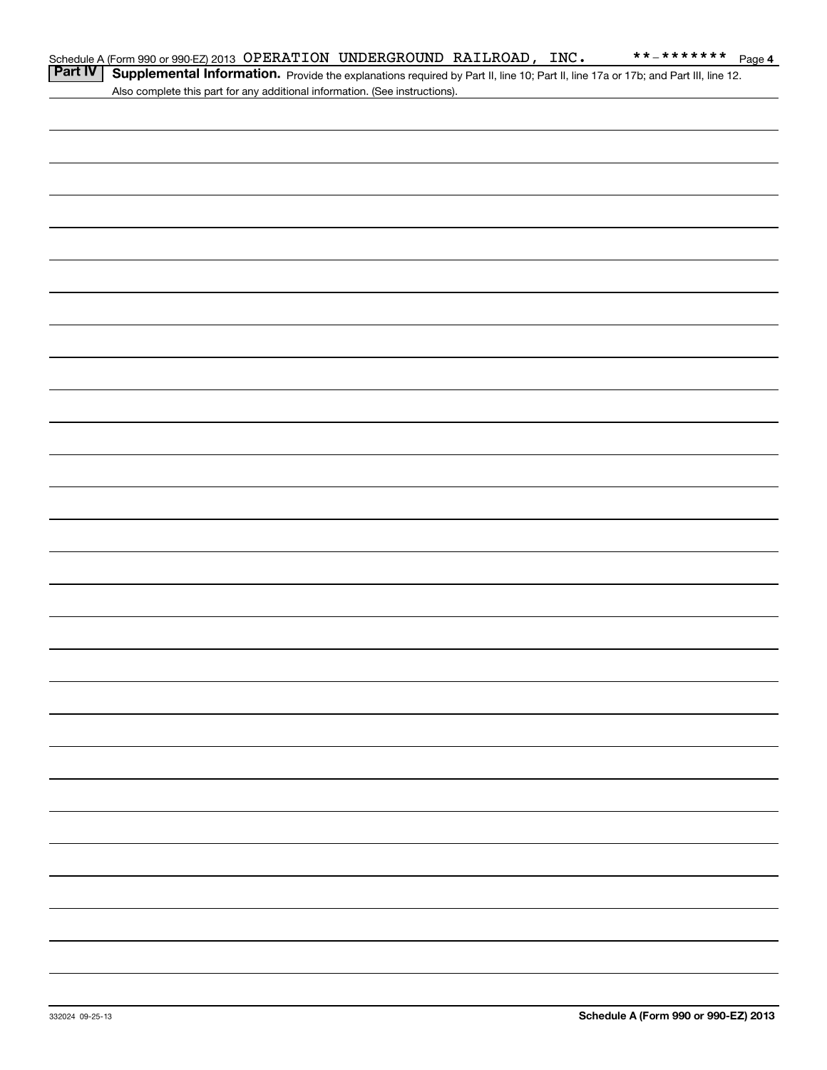| Part IV | Supplemental Information. Provide the explanations required by Part II, line 10; Part II, line 17a or 17b; and Part III, line 12. |
|---------|-----------------------------------------------------------------------------------------------------------------------------------|
|         | Also complete this part for any additional information. (See instructions).                                                       |
|         |                                                                                                                                   |
|         |                                                                                                                                   |
|         |                                                                                                                                   |
|         |                                                                                                                                   |
|         |                                                                                                                                   |
|         |                                                                                                                                   |
|         |                                                                                                                                   |
|         |                                                                                                                                   |
|         |                                                                                                                                   |
|         |                                                                                                                                   |
|         |                                                                                                                                   |
|         |                                                                                                                                   |
|         |                                                                                                                                   |
|         |                                                                                                                                   |
|         |                                                                                                                                   |
|         |                                                                                                                                   |
|         |                                                                                                                                   |
|         |                                                                                                                                   |
|         |                                                                                                                                   |
|         |                                                                                                                                   |
|         |                                                                                                                                   |
|         |                                                                                                                                   |
|         |                                                                                                                                   |
|         |                                                                                                                                   |
|         |                                                                                                                                   |
|         |                                                                                                                                   |
|         |                                                                                                                                   |
|         |                                                                                                                                   |
|         |                                                                                                                                   |
|         |                                                                                                                                   |
|         |                                                                                                                                   |
|         |                                                                                                                                   |
|         |                                                                                                                                   |
|         |                                                                                                                                   |
|         |                                                                                                                                   |
|         |                                                                                                                                   |
|         |                                                                                                                                   |
|         |                                                                                                                                   |
|         |                                                                                                                                   |
|         |                                                                                                                                   |
|         |                                                                                                                                   |
|         |                                                                                                                                   |

Schedule A (Form 990 or 990-EZ) 2013 Page OPERATION UNDERGROUND RAILROAD, INC. \*\*-\*\*\*\*\*\*\*

**4**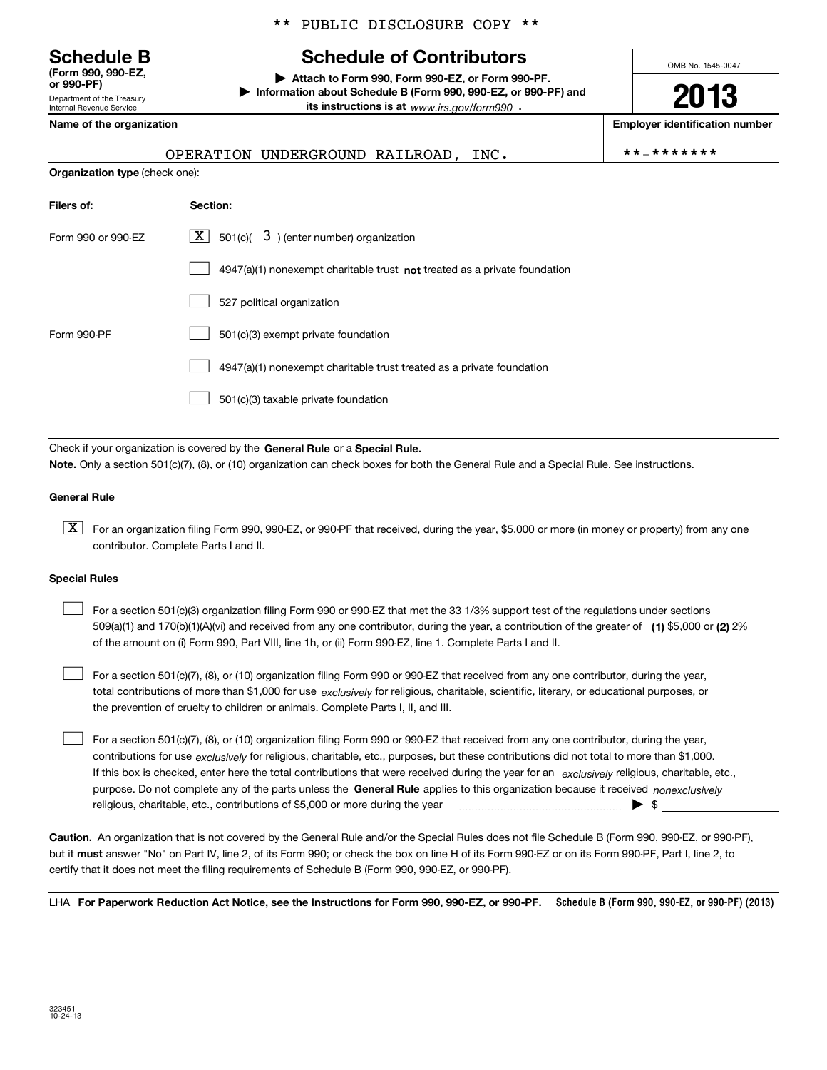Department of the Treasury **(Form 990, 990-EZ, or 990-PF)**

Internal Revenue Service

## \*\* PUBLIC DISCLOSURE COPY \*\*

# **Schedule B Schedule of Contributors**

**| Attach to Form 990, Form 990-EZ, or Form 990-PF. | Information about Schedule B (Form 990, 990-EZ, or 990-PF) and its instructions is at** www.irs.gov/form990  $\cdot$ 

**Name of the organization Employer identification number**

**Organization type** (check one):

| OPERATION UNDERGROUND RAILROAD. |  |  | **_******* |
|---------------------------------|--|--|------------|
|---------------------------------|--|--|------------|

OMB No. 1545-0047

**2013**

|  |  | *_******* |  |  |  |  |  |  |  |  |
|--|--|-----------|--|--|--|--|--|--|--|--|
|--|--|-----------|--|--|--|--|--|--|--|--|

| Filers of:         | Section:                                                                    |
|--------------------|-----------------------------------------------------------------------------|
| Form 990 or 990-EZ | $3$ ) (enter number) organization<br>$X$ 501(c)(                            |
|                    | $4947(a)(1)$ nonexempt charitable trust not treated as a private foundation |
|                    | 527 political organization                                                  |
| Form 990-PF        | 501(c)(3) exempt private foundation                                         |
|                    | 4947(a)(1) nonexempt charitable trust treated as a private foundation       |
|                    | 501(c)(3) taxable private foundation                                        |

Check if your organization is covered by the **General Rule** or a **Special Rule. Note.**  Only a section 501(c)(7), (8), or (10) organization can check boxes for both the General Rule and a Special Rule. See instructions.

#### **General Rule**

 $\boxed{\textbf{X}}$  For an organization filing Form 990, 990-EZ, or 990-PF that received, during the year, \$5,000 or more (in money or property) from any one contributor. Complete Parts I and II.

#### **Special Rules**

 $\mathcal{L}^{\text{max}}$ 

509(a)(1) and 170(b)(1)(A)(vi) and received from any one contributor, during the year, a contribution of the greater of **(1)** \$5,000 or **(2)** 2% For a section 501(c)(3) organization filing Form 990 or 990-EZ that met the 33 1/3% support test of the regulations under sections of the amount on (i) Form 990, Part VIII, line 1h, or (ii) Form 990-EZ, line 1. Complete Parts I and II.  $\mathcal{L}^{\text{max}}$ 

total contributions of more than \$1,000 for use *exclusively* for religious, charitable, scientific, literary, or educational purposes, or For a section 501(c)(7), (8), or (10) organization filing Form 990 or 990-EZ that received from any one contributor, during the year, the prevention of cruelty to children or animals. Complete Parts I, II, and III.

purpose. Do not complete any of the parts unless the **General Rule** applies to this organization because it received *nonexclusively* contributions for use <sub>exclusively</sub> for religious, charitable, etc., purposes, but these contributions did not total to more than \$1,000. If this box is checked, enter here the total contributions that were received during the year for an exclusively religious, charitable, etc., For a section 501(c)(7), (8), or (10) organization filing Form 990 or 990-EZ that received from any one contributor, during the year, religious, charitable, etc., contributions of \$5,000 or more during the year  $\quad \ldots \quad \ldots \quad \bullet \quad$ \$  $\mathcal{L}^{\text{max}}$ 

**Caution.**An organization that is not covered by the General Rule and/or the Special Rules does not file Schedule B (Form 990, 990-EZ, or 990-PF),  **must** but it answer "No" on Part IV, line 2, of its Form 990; or check the box on line H of its Form 990-EZ or on its Form 990-PF, Part I, line 2, to certify that it does not meet the filing requirements of Schedule B (Form 990, 990-EZ, or 990-PF).

LHA For Paperwork Reduction Act Notice, see the Instructions for Form 990, 990-EZ, or 990-PF. Schedule B (Form 990, 990-EZ, or 990-PF) (2013)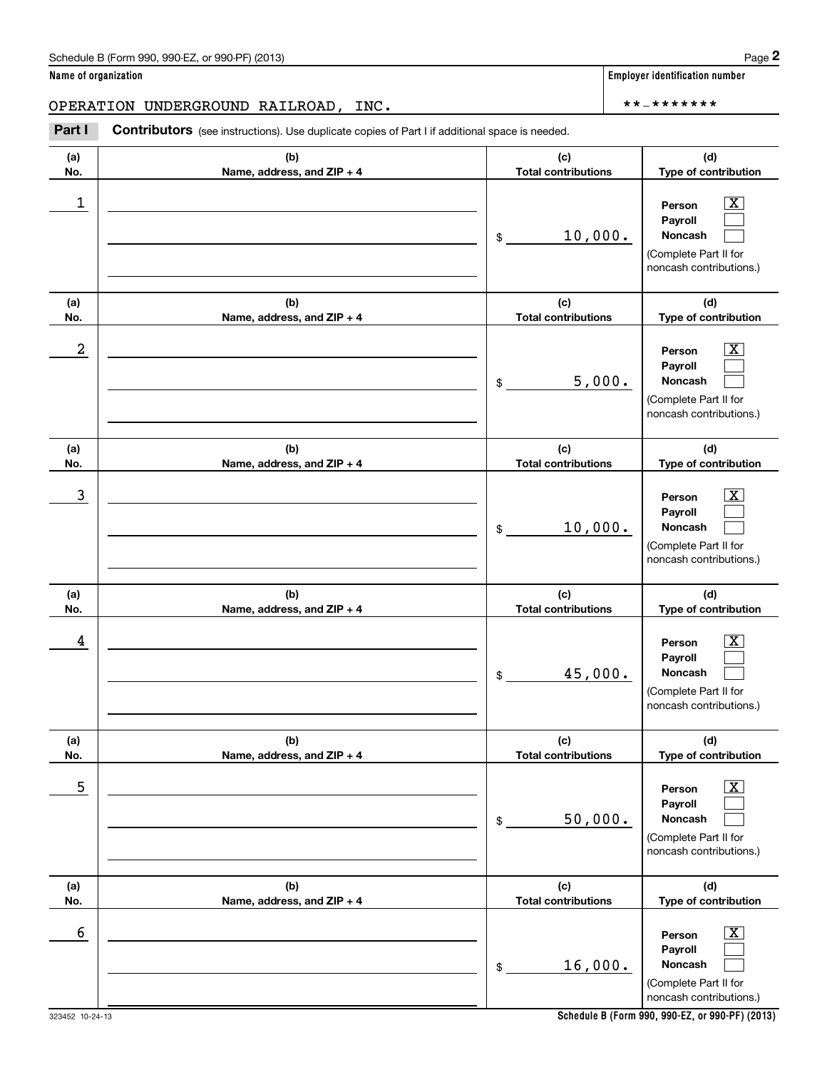OPERATION UNDERGROUND RAILROAD, INC. \*\*-\*\*\*\*\*\*\*

(see instructions). Use duplicate copies of Part I if additional space is needed.<br> **2PERATION UNDERGROUND RAILROAD, INC.**<br> **Part I Contributors** (see instructions). Use duplicate copies of Part I if additional space is n

| (a)<br>No. | (b)<br>Name, address, and ZIP + 4 | (c)<br><b>Total contributions</b> | (d)<br>Type of contribution                                                                      |
|------------|-----------------------------------|-----------------------------------|--------------------------------------------------------------------------------------------------|
| 1          |                                   | 10,000.<br>\$                     | $\mathbf{X}$<br>Person<br>Payroll<br>Noncash<br>(Complete Part II for<br>noncash contributions.) |
| (a)<br>No. | (b)<br>Name, address, and ZIP + 4 | (c)<br><b>Total contributions</b> | (d)<br>Type of contribution                                                                      |
| 2          |                                   | 5,000.<br>\$                      | $\mathbf{X}$<br>Person<br>Payroll<br>Noncash<br>(Complete Part II for<br>noncash contributions.) |
| (a)<br>No. | (b)<br>Name, address, and ZIP + 4 | (c)<br><b>Total contributions</b> | (d)<br>Type of contribution                                                                      |
| 3          |                                   | 10,000.<br>\$                     | $\mathbf{X}$<br>Person<br>Payroll<br>Noncash<br>(Complete Part II for<br>noncash contributions.) |
| (a)<br>No. | (b)<br>Name, address, and ZIP + 4 | (c)<br><b>Total contributions</b> | (d)<br>Type of contribution                                                                      |
| 4          |                                   | 45,000.<br>\$                     | $\mathbf{X}$<br>Person<br>Payroll<br>Noncash<br>(Complete Part II for<br>noncash contributions.) |
| (a)<br>No. | (b)<br>Name, address, and ZIP + 4 | (c)<br><b>Total contributions</b> | (d)<br>Type of contribution                                                                      |
| 5          |                                   | 50,000.<br>\$                     | $\mathbf{X}$<br>Person<br>Payroll<br>Noncash<br>(Complete Part II for<br>noncash contributions.) |
| (a)<br>No. | (b)<br>Name, address, and ZIP + 4 | (c)<br><b>Total contributions</b> | (d)<br>Type of contribution                                                                      |
| 6          |                                   | 16,000.<br>\$                     | $\mathbf{X}$<br>Person<br>Payroll<br>Noncash<br>(Complete Part II for<br>noncash contributions.) |

**Name of organization Employer identification number**

323452 10-24-13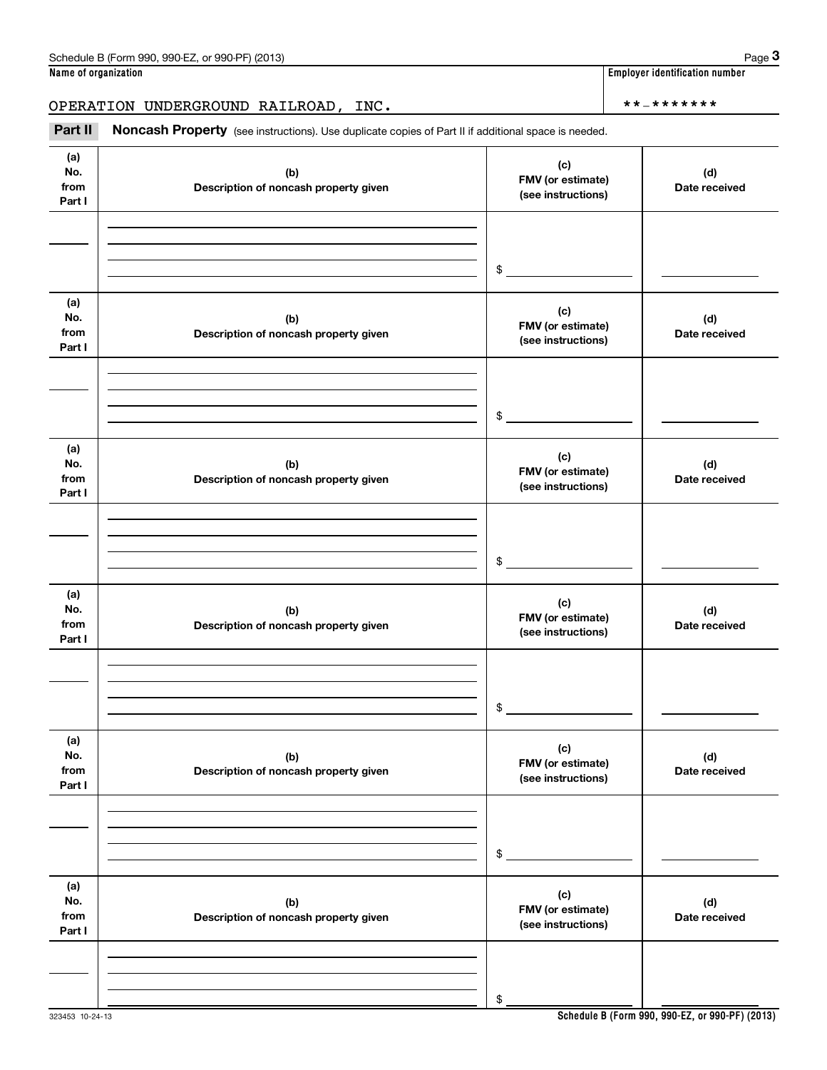OPERATION UNDERGROUND RAILROAD, INC. \*\*-\*\*\*\*\*\*\*

(see instructions). Use duplicate copies of Part II if additional space is needed.<br> **PERATION UNDERGROUND RAILROAD, INC.**<br> **Part II Noncash Property** (see instructions). Use duplicate copies of Part II if additional spac

| (a)<br>No.<br>from<br>Part I | (b)<br>Description of noncash property given | (c)<br>FMV (or estimate)<br>(see instructions) | (d)<br>Date received |
|------------------------------|----------------------------------------------|------------------------------------------------|----------------------|
|                              |                                              |                                                |                      |
|                              |                                              | $$\tilde{\phantom{a}}$$                        |                      |
| (a)<br>No.<br>from<br>Part I | (b)<br>Description of noncash property given | (c)<br>FMV (or estimate)<br>(see instructions) | (d)<br>Date received |
|                              |                                              |                                                |                      |
|                              |                                              | $$\tilde{\phantom{a}}$$                        |                      |
| (a)<br>No.<br>from<br>Part I | (b)<br>Description of noncash property given | (c)<br>FMV (or estimate)<br>(see instructions) | (d)<br>Date received |
|                              |                                              |                                                |                      |
|                              |                                              | \$                                             |                      |
| (a)<br>No.<br>from<br>Part I | (b)<br>Description of noncash property given | (c)<br>FMV (or estimate)<br>(see instructions) | (d)<br>Date received |
|                              |                                              |                                                |                      |
|                              |                                              | \$                                             |                      |
| (a)<br>No.<br>from<br>Part I | (b)<br>Description of noncash property given | (c)<br>FMV (or estimate)<br>(see instructions) | (d)<br>Date received |
|                              |                                              |                                                |                      |
|                              |                                              | \$                                             |                      |
| (a)<br>No.<br>from<br>Part I | (b)<br>Description of noncash property given | (c)<br>FMV (or estimate)<br>(see instructions) | (d)<br>Date received |
|                              |                                              |                                                |                      |
|                              |                                              | \$                                             |                      |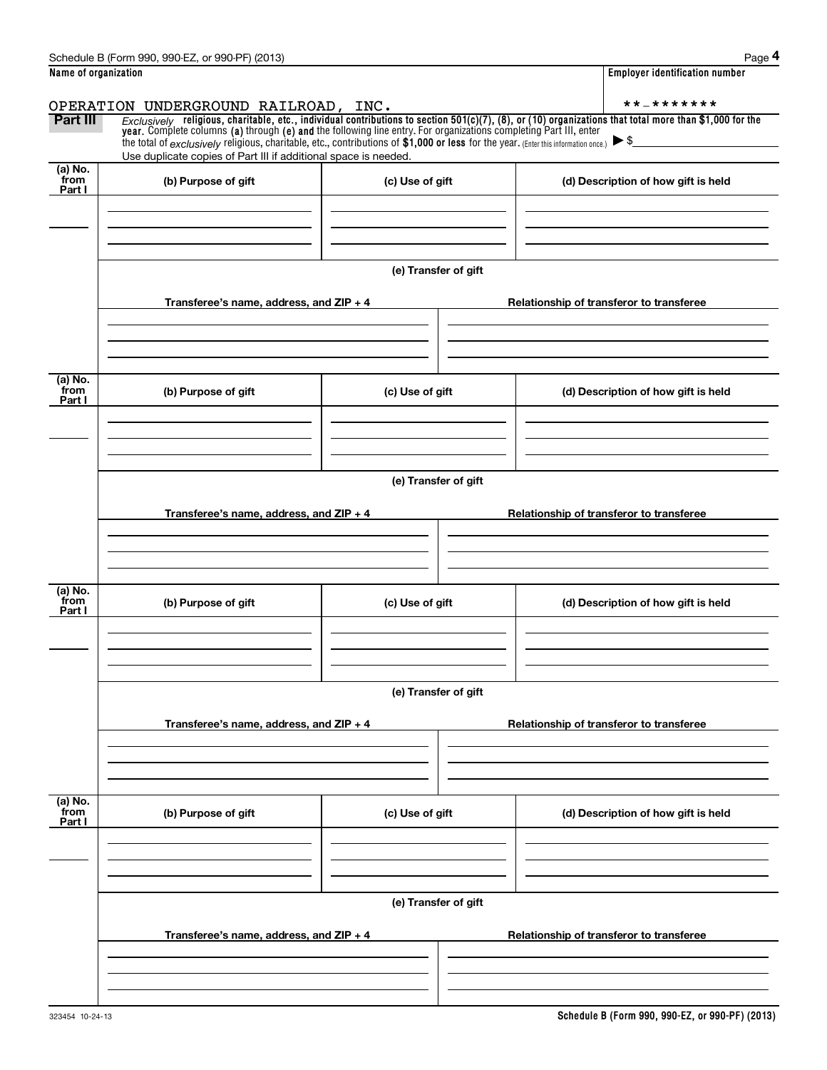|                                                  | Schedule B (Form 990, 990-EZ, or 990-PF) (2013)                                                                                                                                                                                                                                                                                                               |                      |                                                                                                                                                              | Page 4 |  |  |  |  |
|--------------------------------------------------|---------------------------------------------------------------------------------------------------------------------------------------------------------------------------------------------------------------------------------------------------------------------------------------------------------------------------------------------------------------|----------------------|--------------------------------------------------------------------------------------------------------------------------------------------------------------|--------|--|--|--|--|
| Name of organization                             |                                                                                                                                                                                                                                                                                                                                                               |                      | <b>Employer identification number</b>                                                                                                                        |        |  |  |  |  |
|                                                  | OPERATION UNDERGROUND RAILROAD, INC.                                                                                                                                                                                                                                                                                                                          |                      | **_*******                                                                                                                                                   |        |  |  |  |  |
| Part III                                         | year. Complete columns (a) through (e) and the following line entry. For organizations completing Part III, enter<br>the total of $\frac{exclusively}$ religious, charitable, etc., contributions of \$1,000 or less for the year. (Enter this information once.) $\blacktriangleright$ \$<br>Use duplicate copies of Part III if additional space is needed. |                      | $Exclusively$ religious, charitable, etc., individual contributions to section $501(c)(7)$ , (8), or (10) organizations that total more than \$1,000 for the |        |  |  |  |  |
| (a) No.<br>from<br>(b) Purpose of gift<br>Part I |                                                                                                                                                                                                                                                                                                                                                               | (c) Use of gift      | (d) Description of how gift is held                                                                                                                          |        |  |  |  |  |
|                                                  |                                                                                                                                                                                                                                                                                                                                                               |                      |                                                                                                                                                              |        |  |  |  |  |
|                                                  |                                                                                                                                                                                                                                                                                                                                                               | (e) Transfer of gift |                                                                                                                                                              |        |  |  |  |  |
|                                                  | Transferee's name, address, and $ZIP + 4$                                                                                                                                                                                                                                                                                                                     |                      | Relationship of transferor to transferee                                                                                                                     |        |  |  |  |  |
| (a) No.<br>from<br>Part I                        | (b) Purpose of gift                                                                                                                                                                                                                                                                                                                                           | (c) Use of gift      | (d) Description of how gift is held                                                                                                                          |        |  |  |  |  |
|                                                  |                                                                                                                                                                                                                                                                                                                                                               |                      |                                                                                                                                                              |        |  |  |  |  |
|                                                  | (e) Transfer of gift                                                                                                                                                                                                                                                                                                                                          |                      |                                                                                                                                                              |        |  |  |  |  |
|                                                  | Transferee's name, address, and ZIP + 4                                                                                                                                                                                                                                                                                                                       |                      | Relationship of transferor to transferee                                                                                                                     |        |  |  |  |  |
|                                                  |                                                                                                                                                                                                                                                                                                                                                               |                      |                                                                                                                                                              |        |  |  |  |  |
| (a) No.<br>from<br>Part I                        | (b) Purpose of gift                                                                                                                                                                                                                                                                                                                                           | (c) Use of gift      | (d) Description of how gift is held                                                                                                                          |        |  |  |  |  |
|                                                  |                                                                                                                                                                                                                                                                                                                                                               |                      |                                                                                                                                                              |        |  |  |  |  |
|                                                  |                                                                                                                                                                                                                                                                                                                                                               | (e) Transfer of gift |                                                                                                                                                              |        |  |  |  |  |
|                                                  | Transferee's name, address, and ZIP + 4                                                                                                                                                                                                                                                                                                                       |                      | Relationship of transferor to transferee                                                                                                                     |        |  |  |  |  |
|                                                  |                                                                                                                                                                                                                                                                                                                                                               |                      |                                                                                                                                                              |        |  |  |  |  |
| (a) No.<br>from<br>Part I                        | (b) Purpose of gift                                                                                                                                                                                                                                                                                                                                           | (c) Use of gift      | (d) Description of how gift is held                                                                                                                          |        |  |  |  |  |
|                                                  |                                                                                                                                                                                                                                                                                                                                                               |                      |                                                                                                                                                              |        |  |  |  |  |
|                                                  |                                                                                                                                                                                                                                                                                                                                                               | (e) Transfer of gift |                                                                                                                                                              |        |  |  |  |  |
|                                                  | Transferee's name, address, and ZIP + 4                                                                                                                                                                                                                                                                                                                       |                      | Relationship of transferor to transferee                                                                                                                     |        |  |  |  |  |
|                                                  |                                                                                                                                                                                                                                                                                                                                                               |                      |                                                                                                                                                              |        |  |  |  |  |
|                                                  |                                                                                                                                                                                                                                                                                                                                                               |                      |                                                                                                                                                              |        |  |  |  |  |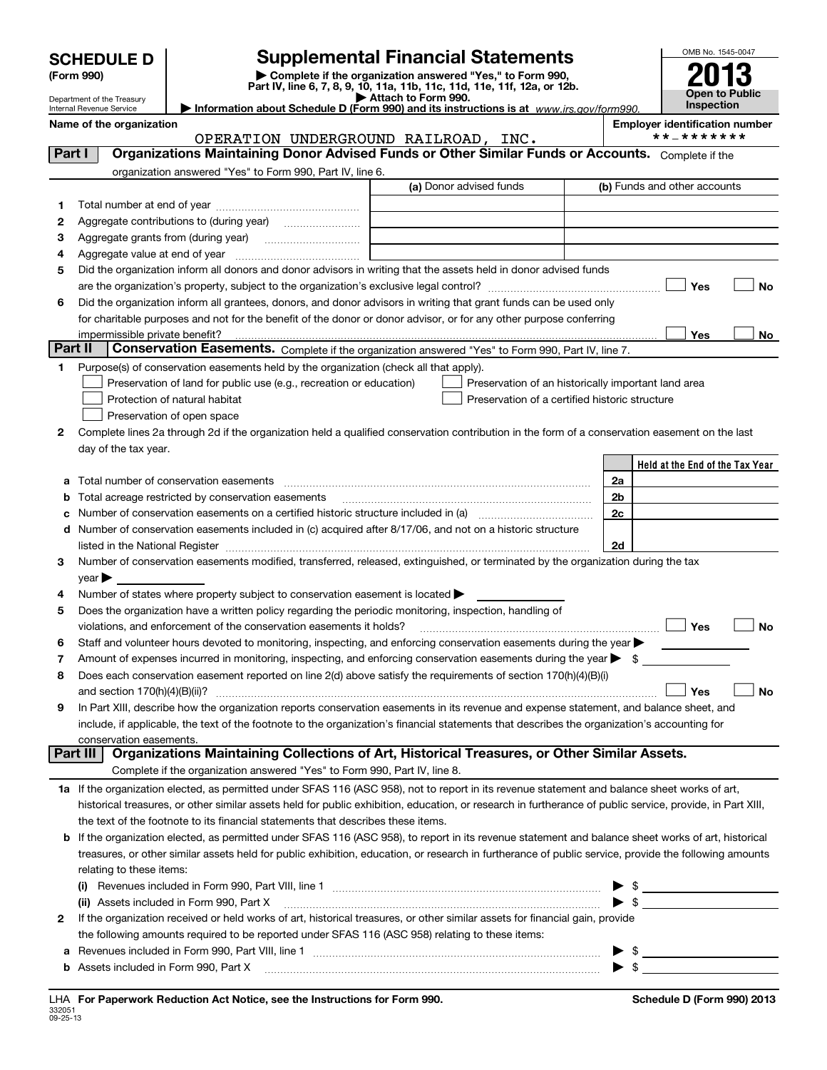Department of the Treasury Internal Revenue Service

# **SCHEDULE D Supplemental Financial Statements**

**(Form 990) and Separt IV, line 6, 7, 8, 9, 10, 11a, 11b, 11c, 11d, 11e, 11f, 12a, or 12b.**<br>Pepartment of the Treasury **and Separt IV, line 6, 7, 8, 9, 10, 11a, 11b, 11c, 11d, 11e, 11f, 12a, or 12b.**<br>▶ Attach to Form 99

OMB No. 1545-0047 **Open to Public Inspection 2013**

|                                                                                            | $\blacktriangleright$ runsules to the state of $\blacktriangleright$ |  |  |
|--------------------------------------------------------------------------------------------|----------------------------------------------------------------------|--|--|
| Let Information about Schedule D (Form 990) and its instructions is at www.irs.gov/form990 |                                                                      |  |  |
|                                                                                            |                                                                      |  |  |

**Name of the organization Employer identification number** OPERATION UNDERGROUND RAILROAD, INC.

| Part I  | Organizations Maintaining Donor Advised Funds or Other Similar Funds or Accounts. Complete if the                                                         |                         |                                                     |
|---------|-----------------------------------------------------------------------------------------------------------------------------------------------------------|-------------------------|-----------------------------------------------------|
|         | organization answered "Yes" to Form 990, Part IV, line 6.                                                                                                 |                         |                                                     |
|         |                                                                                                                                                           | (a) Donor advised funds | (b) Funds and other accounts                        |
| 1.      |                                                                                                                                                           |                         |                                                     |
| 2       | Aggregate contributions to (during year) <i></i>                                                                                                          |                         |                                                     |
| з       |                                                                                                                                                           |                         |                                                     |
| 4       | Aggregate value at end of year                                                                                                                            |                         |                                                     |
| 5       | Did the organization inform all donors and donor advisors in writing that the assets held in donor advised funds                                          |                         |                                                     |
|         |                                                                                                                                                           |                         | Yes<br>No                                           |
| 6       | Did the organization inform all grantees, donors, and donor advisors in writing that grant funds can be used only                                         |                         |                                                     |
|         | for charitable purposes and not for the benefit of the donor or donor advisor, or for any other purpose conferring                                        |                         |                                                     |
|         |                                                                                                                                                           |                         | Yes<br>No                                           |
| Part II | Conservation Easements. Complete if the organization answered "Yes" to Form 990, Part IV, line 7.                                                         |                         |                                                     |
|         | Purpose(s) of conservation easements held by the organization (check all that apply).                                                                     |                         |                                                     |
|         | Preservation of land for public use (e.g., recreation or education)                                                                                       |                         | Preservation of an historically important land area |
|         | Protection of natural habitat                                                                                                                             |                         | Preservation of a certified historic structure      |
|         | Preservation of open space                                                                                                                                |                         |                                                     |
| 2       | Complete lines 2a through 2d if the organization held a qualified conservation contribution in the form of a conservation easement on the last            |                         |                                                     |
|         | day of the tax year.                                                                                                                                      |                         |                                                     |
|         |                                                                                                                                                           |                         | Held at the End of the Tax Year                     |
| а       | Total number of conservation easements                                                                                                                    |                         | 2a                                                  |
|         | Total acreage restricted by conservation easements                                                                                                        |                         | 2 <sub>b</sub>                                      |
| с       | Number of conservation easements on a certified historic structure included in (a) manufacture included in (a)                                            |                         | 2c                                                  |
| d       | Number of conservation easements included in (c) acquired after 8/17/06, and not on a historic structure                                                  |                         |                                                     |
|         |                                                                                                                                                           |                         | 2d                                                  |
| 3       | Number of conservation easements modified, transferred, released, extinguished, or terminated by the organization during the tax                          |                         |                                                     |
|         | year                                                                                                                                                      |                         |                                                     |
| 4       | Number of states where property subject to conservation easement is located >                                                                             |                         |                                                     |
| 5       | Does the organization have a written policy regarding the periodic monitoring, inspection, handling of                                                    |                         |                                                     |
|         | violations, and enforcement of the conservation easements it holds?                                                                                       |                         | ∣ Yes<br>No                                         |
| 6       | Staff and volunteer hours devoted to monitoring, inspecting, and enforcing conservation easements during the year                                         |                         |                                                     |
| 7       | Amount of expenses incurred in monitoring, inspecting, and enforcing conservation easements during the year $\blacktriangleright$ \$                      |                         |                                                     |
| 8       | Does each conservation easement reported on line 2(d) above satisfy the requirements of section 170(h)(4)(B)(i)                                           |                         |                                                     |
|         |                                                                                                                                                           |                         | <b>No</b><br>Yes                                    |
| 9       | In Part XIII, describe how the organization reports conservation easements in its revenue and expense statement, and balance sheet, and                   |                         |                                                     |
|         | include, if applicable, the text of the footnote to the organization's financial statements that describes the organization's accounting for              |                         |                                                     |
|         | conservation easements.<br>Part III   Organizations Maintaining Collections of Art, Historical Treasures, or Other Similar Assets.                        |                         |                                                     |
|         |                                                                                                                                                           |                         |                                                     |
|         | Complete if the organization answered "Yes" to Form 990, Part IV, line 8.                                                                                 |                         |                                                     |
|         | 1a If the organization elected, as permitted under SFAS 116 (ASC 958), not to report in its revenue statement and balance sheet works of art,             |                         |                                                     |
|         | historical treasures, or other similar assets held for public exhibition, education, or research in furtherance of public service, provide, in Part XIII, |                         |                                                     |
|         | the text of the footnote to its financial statements that describes these items.                                                                          |                         |                                                     |
| b       | If the organization elected, as permitted under SFAS 116 (ASC 958), to report in its revenue statement and balance sheet works of art, historical         |                         |                                                     |
|         | treasures, or other similar assets held for public exhibition, education, or research in furtherance of public service, provide the following amounts     |                         |                                                     |
|         | relating to these items:                                                                                                                                  |                         |                                                     |
|         | (i) Revenues included in Form 990, Part VIII, line 1 [1] [1] [1] [1] [1] [1] [1] [1] Revenues included in Form 990, Part VIII, line 1                     |                         | $\frac{1}{2}$                                       |
|         | (ii) Assets included in Form 990, Part X                                                                                                                  |                         | $\blacktriangleright$ \$                            |
| 2       | If the organization received or held works of art, historical treasures, or other similar assets for financial gain, provide                              |                         |                                                     |
|         | the following amounts required to be reported under SFAS 116 (ASC 958) relating to these items:                                                           |                         |                                                     |
| а       |                                                                                                                                                           |                         | $\sim$ $\sim$                                       |
| b       | Assets included in Form 990, Part X                                                                                                                       |                         | $\blacktriangleright$ \$                            |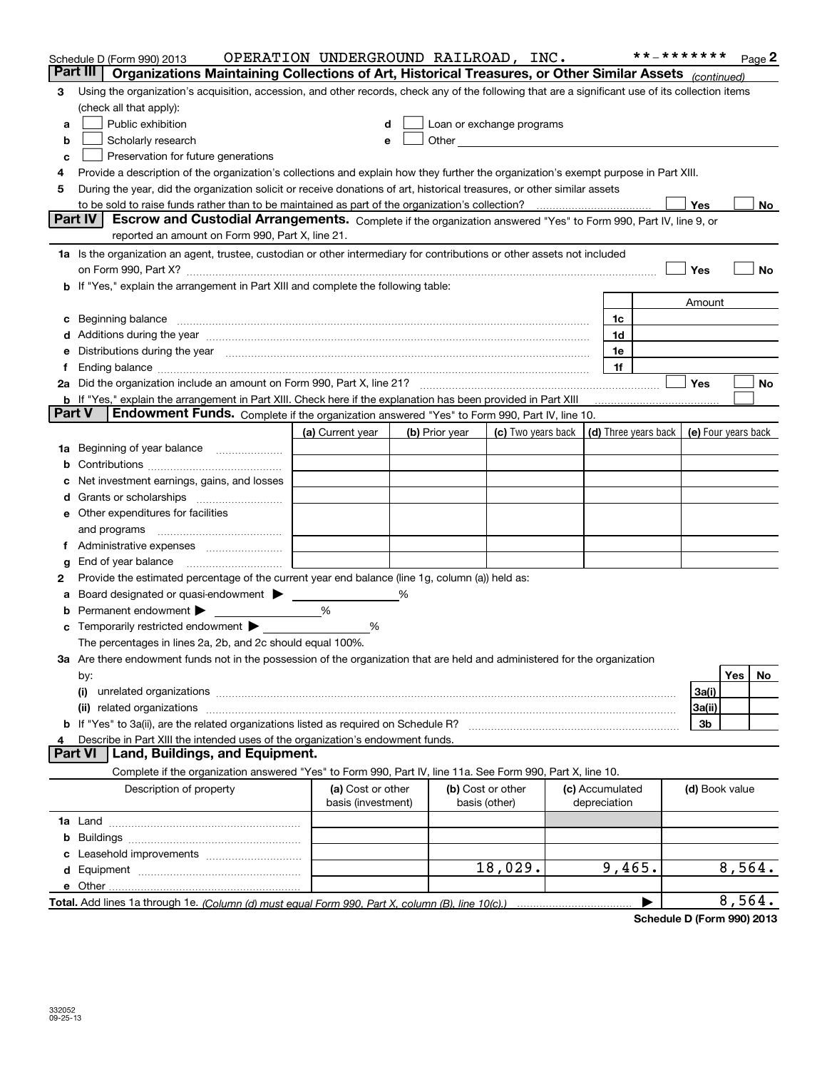|               | Schedule D (Form 990) 2013<br>Organizations Maintaining Collections of Art, Historical Treasures, or Other Similar Assets (continued)<br>Part III I                                                                                    | OPERATION UNDERGROUND RAILROAD, INC.    |   |                |                                                                                                                                                                                                                                |  |                                 | **_******* |                | Page 2    |
|---------------|----------------------------------------------------------------------------------------------------------------------------------------------------------------------------------------------------------------------------------------|-----------------------------------------|---|----------------|--------------------------------------------------------------------------------------------------------------------------------------------------------------------------------------------------------------------------------|--|---------------------------------|------------|----------------|-----------|
| 3             | Using the organization's acquisition, accession, and other records, check any of the following that are a significant use of its collection items                                                                                      |                                         |   |                |                                                                                                                                                                                                                                |  |                                 |            |                |           |
|               | (check all that apply):                                                                                                                                                                                                                |                                         |   |                |                                                                                                                                                                                                                                |  |                                 |            |                |           |
| a             | Public exhibition                                                                                                                                                                                                                      | d                                       |   |                | Loan or exchange programs                                                                                                                                                                                                      |  |                                 |            |                |           |
| b             | Scholarly research                                                                                                                                                                                                                     |                                         |   |                | Other experiences and the state of the state of the state of the state of the state of the state of the state of the state of the state of the state of the state of the state of the state of the state of the state of the s |  |                                 |            |                |           |
| с             | Preservation for future generations                                                                                                                                                                                                    |                                         |   |                |                                                                                                                                                                                                                                |  |                                 |            |                |           |
| 4             | Provide a description of the organization's collections and explain how they further the organization's exempt purpose in Part XIII.                                                                                                   |                                         |   |                |                                                                                                                                                                                                                                |  |                                 |            |                |           |
| 5             | During the year, did the organization solicit or receive donations of art, historical treasures, or other similar assets                                                                                                               |                                         |   |                |                                                                                                                                                                                                                                |  |                                 |            |                |           |
|               |                                                                                                                                                                                                                                        |                                         |   |                |                                                                                                                                                                                                                                |  |                                 |            | Yes            | No        |
|               | Escrow and Custodial Arrangements. Complete if the organization answered "Yes" to Form 990, Part IV, line 9, or<br>Part IV                                                                                                             |                                         |   |                |                                                                                                                                                                                                                                |  |                                 |            |                |           |
|               | reported an amount on Form 990, Part X, line 21.                                                                                                                                                                                       |                                         |   |                |                                                                                                                                                                                                                                |  |                                 |            |                |           |
|               | 1a Is the organization an agent, trustee, custodian or other intermediary for contributions or other assets not included                                                                                                               |                                         |   |                |                                                                                                                                                                                                                                |  |                                 |            |                |           |
|               | on Form 990, Part X? [11] matter contracts and contracts and contracts are contracted as a form 990, Part X?                                                                                                                           |                                         |   |                |                                                                                                                                                                                                                                |  |                                 |            | Yes            | No        |
|               | b If "Yes," explain the arrangement in Part XIII and complete the following table:                                                                                                                                                     |                                         |   |                |                                                                                                                                                                                                                                |  |                                 |            |                |           |
|               |                                                                                                                                                                                                                                        |                                         |   |                |                                                                                                                                                                                                                                |  |                                 |            | Amount         |           |
|               | c Beginning balance measurements and the contract of the contract of the contract of the contract of the contract of the contract of the contract of the contract of the contract of the contract of the contract of the contr         |                                         |   |                |                                                                                                                                                                                                                                |  | 1c                              |            |                |           |
|               | d Additions during the year measurement contains and a container container and a container container and a container container and a container and a container container and a container container and a container container a         |                                         |   |                |                                                                                                                                                                                                                                |  | 1d                              |            |                |           |
| е             | Distributions during the year manufactured and continuum control of the year manufactured and the year manufactured and the year manufactured and the year manufactured and the year manufactured and the year manufactured an         |                                         |   |                |                                                                                                                                                                                                                                |  | 1e                              |            |                |           |
| Ť.            |                                                                                                                                                                                                                                        |                                         |   |                |                                                                                                                                                                                                                                |  | 1f                              |            | Yes            |           |
|               |                                                                                                                                                                                                                                        |                                         |   |                |                                                                                                                                                                                                                                |  |                                 |            |                | No        |
| <b>Part V</b> | <b>b</b> If "Yes," explain the arrangement in Part XIII. Check here if the explanation has been provided in Part XIII<br>Endowment Funds. Complete if the organization answered "Yes" to Form 990, Part IV, line 10.                   |                                         |   |                |                                                                                                                                                                                                                                |  |                                 |            |                |           |
|               |                                                                                                                                                                                                                                        | (a) Current year                        |   | (b) Prior year | (c) Two years back $\vert$ (d) Three years back $\vert$ (e) Four years back                                                                                                                                                    |  |                                 |            |                |           |
|               | 1a Beginning of year balance                                                                                                                                                                                                           |                                         |   |                |                                                                                                                                                                                                                                |  |                                 |            |                |           |
| b             |                                                                                                                                                                                                                                        |                                         |   |                |                                                                                                                                                                                                                                |  |                                 |            |                |           |
|               | Net investment earnings, gains, and losses                                                                                                                                                                                             |                                         |   |                |                                                                                                                                                                                                                                |  |                                 |            |                |           |
| d             |                                                                                                                                                                                                                                        |                                         |   |                |                                                                                                                                                                                                                                |  |                                 |            |                |           |
|               | e Other expenditures for facilities                                                                                                                                                                                                    |                                         |   |                |                                                                                                                                                                                                                                |  |                                 |            |                |           |
|               | and programs                                                                                                                                                                                                                           |                                         |   |                |                                                                                                                                                                                                                                |  |                                 |            |                |           |
| Ť.            |                                                                                                                                                                                                                                        |                                         |   |                |                                                                                                                                                                                                                                |  |                                 |            |                |           |
| g             | End of year balance                                                                                                                                                                                                                    |                                         |   |                |                                                                                                                                                                                                                                |  |                                 |            |                |           |
| 2             | Provide the estimated percentage of the current year end balance (line 1g, column (a)) held as:                                                                                                                                        |                                         |   |                |                                                                                                                                                                                                                                |  |                                 |            |                |           |
| а             | Board designated or quasi-endowment                                                                                                                                                                                                    |                                         | % |                |                                                                                                                                                                                                                                |  |                                 |            |                |           |
| b             | Permanent endowment >                                                                                                                                                                                                                  | %                                       |   |                |                                                                                                                                                                                                                                |  |                                 |            |                |           |
| c             | Temporarily restricted endowment                                                                                                                                                                                                       | %                                       |   |                |                                                                                                                                                                                                                                |  |                                 |            |                |           |
|               | The percentages in lines 2a, 2b, and 2c should equal 100%.                                                                                                                                                                             |                                         |   |                |                                                                                                                                                                                                                                |  |                                 |            |                |           |
|               | 3a Are there endowment funds not in the possession of the organization that are held and administered for the organization                                                                                                             |                                         |   |                |                                                                                                                                                                                                                                |  |                                 |            |                |           |
|               | by:                                                                                                                                                                                                                                    |                                         |   |                |                                                                                                                                                                                                                                |  |                                 |            |                | Yes<br>No |
|               | (i)                                                                                                                                                                                                                                    |                                         |   |                |                                                                                                                                                                                                                                |  |                                 |            | 3a(i)          |           |
|               | related organizations [11] material contracts and contracts are the contracts of the contracts and contracts are the contracts of the contracts and contracts are the contracts of the contracts of the contracts of the contr<br>(ii) |                                         |   |                |                                                                                                                                                                                                                                |  |                                 |            | 3a(ii)         |           |
|               | b If "Yes" to 3a(ii), are the related organizations listed as required on Schedule R?                                                                                                                                                  |                                         |   |                |                                                                                                                                                                                                                                |  |                                 |            | 3b             |           |
| 4             | Describe in Part XIII the intended uses of the organization's endowment funds.                                                                                                                                                         |                                         |   |                |                                                                                                                                                                                                                                |  |                                 |            |                |           |
|               | Land, Buildings, and Equipment.<br><b>Part VI</b>                                                                                                                                                                                      |                                         |   |                |                                                                                                                                                                                                                                |  |                                 |            |                |           |
|               | Complete if the organization answered "Yes" to Form 990, Part IV, line 11a. See Form 990, Part X, line 10.                                                                                                                             |                                         |   |                |                                                                                                                                                                                                                                |  |                                 |            |                |           |
|               | Description of property                                                                                                                                                                                                                | (a) Cost or other<br>basis (investment) |   |                | (b) Cost or other<br>basis (other)                                                                                                                                                                                             |  | (c) Accumulated<br>depreciation |            | (d) Book value |           |
|               |                                                                                                                                                                                                                                        |                                         |   |                |                                                                                                                                                                                                                                |  |                                 |            |                |           |
|               |                                                                                                                                                                                                                                        |                                         |   |                |                                                                                                                                                                                                                                |  |                                 |            |                |           |
| c             |                                                                                                                                                                                                                                        |                                         |   |                |                                                                                                                                                                                                                                |  |                                 |            |                |           |
|               |                                                                                                                                                                                                                                        |                                         |   |                | 18,029.                                                                                                                                                                                                                        |  | 9,465.                          |            |                | 8,564.    |
|               |                                                                                                                                                                                                                                        |                                         |   |                |                                                                                                                                                                                                                                |  |                                 |            |                |           |
|               |                                                                                                                                                                                                                                        |                                         |   |                |                                                                                                                                                                                                                                |  |                                 |            |                | 8,564.    |

**Schedule D (Form 990) 2013**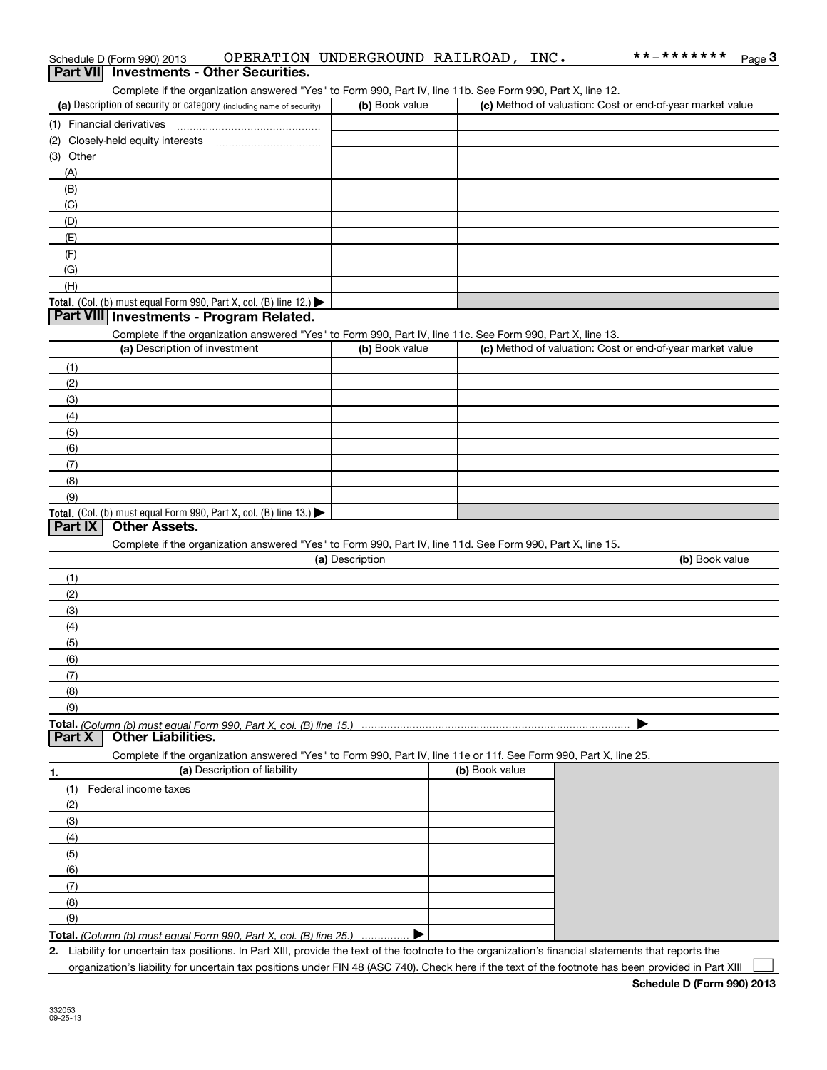| Schedule D (Form 990) 2013 |                                          | OPERATION UNDERGROUND RAILROAD, | INC. | **_******* | <b>ം</b> ം |
|----------------------------|------------------------------------------|---------------------------------|------|------------|------------|
|                            | Part VII Investments - Other Securities. |                                 |      |            |            |

Complete if the organization answered "Yes" to Form 990, Part IV, line 11b. See Form 990, Part X, line 12.

| (a) Description of security or category (including name of security)                   | (b) Book value | (c) Method of valuation: Cost or end-of-year market value |
|----------------------------------------------------------------------------------------|----------------|-----------------------------------------------------------|
| (1) Financial derivatives                                                              |                |                                                           |
| (2) Closely-held equity interests                                                      |                |                                                           |
| (3) Other                                                                              |                |                                                           |
| (A)                                                                                    |                |                                                           |
| (B)                                                                                    |                |                                                           |
| (C)                                                                                    |                |                                                           |
| (D)                                                                                    |                |                                                           |
| (E)                                                                                    |                |                                                           |
| (F)                                                                                    |                |                                                           |
| (G)                                                                                    |                |                                                           |
| (H)                                                                                    |                |                                                           |
| Total. (Col. (b) must equal Form 990, Part X, col. (B) line 12.) $\blacktriangleright$ |                |                                                           |

#### **Part VIII Investments - Program Related.**

Complete if the organization answered "Yes" to Form 990, Part IV, line 11c. See Form 990, Part X, line 13.

| (a) Description of investment                                                          | (b) Book value | (c) Method of valuation: Cost or end-of-year market value |
|----------------------------------------------------------------------------------------|----------------|-----------------------------------------------------------|
| (1)                                                                                    |                |                                                           |
| (2)                                                                                    |                |                                                           |
| (3)                                                                                    |                |                                                           |
| (4)                                                                                    |                |                                                           |
| (5)                                                                                    |                |                                                           |
| (6)                                                                                    |                |                                                           |
| (7)                                                                                    |                |                                                           |
| (8)                                                                                    |                |                                                           |
| (9)                                                                                    |                |                                                           |
| Total. (Col. (b) must equal Form 990, Part X, col. (B) line 13.) $\blacktriangleright$ |                |                                                           |

### **Part IX Other Assets.**

Complete if the organization answered "Yes" to Form 990, Part IV, line 11d. See Form 990, Part X, line 15.

| (a) Description                                                    | (b) Book value |
|--------------------------------------------------------------------|----------------|
| (1)                                                                |                |
| (2)                                                                |                |
| (3)                                                                |                |
| (4)                                                                |                |
| (5)                                                                |                |
| (6)                                                                |                |
| (7)                                                                |                |
| (8)                                                                |                |
| (9)                                                                |                |
| $Total. (Column/h) must equal Form 990. Part X. col. (R) line 15.$ |                |

**Total.**  *(Column (b) must equal Form 990, Part X, col. (B) line 15.)* **Part X Other Liabilities.**

Complete if the organization answered "Yes" to Form 990, Part IV, line 11e or 11f. See Form 990, Part X, line 25.

|     | (a) Description of liability                                       | (b) Book value |
|-----|--------------------------------------------------------------------|----------------|
| (1) | Federal income taxes                                               |                |
| (2) |                                                                    |                |
| (3) |                                                                    |                |
| (4) |                                                                    |                |
| (5) |                                                                    |                |
| (6) |                                                                    |                |
| (7) |                                                                    |                |
| (8) |                                                                    |                |
| (9) |                                                                    |                |
|     | Total. (Column (b) must equal Form 990. Part X, col. (B) line 25.) |                |

**Total.**  *(Column (b) must equal Form 990, Part X, col. (B) line 25.)* . . . . . . . . . . . . . . .

**2.** Liability for uncertain tax positions. In Part XIII, provide the text of the footnote to the organization's financial statements that reports the organization's liability for uncertain tax positions under FIN 48 (ASC 740). Check here if the text of the footnote has been provided in Part XIII  $\mathcal{L}^{\text{max}}$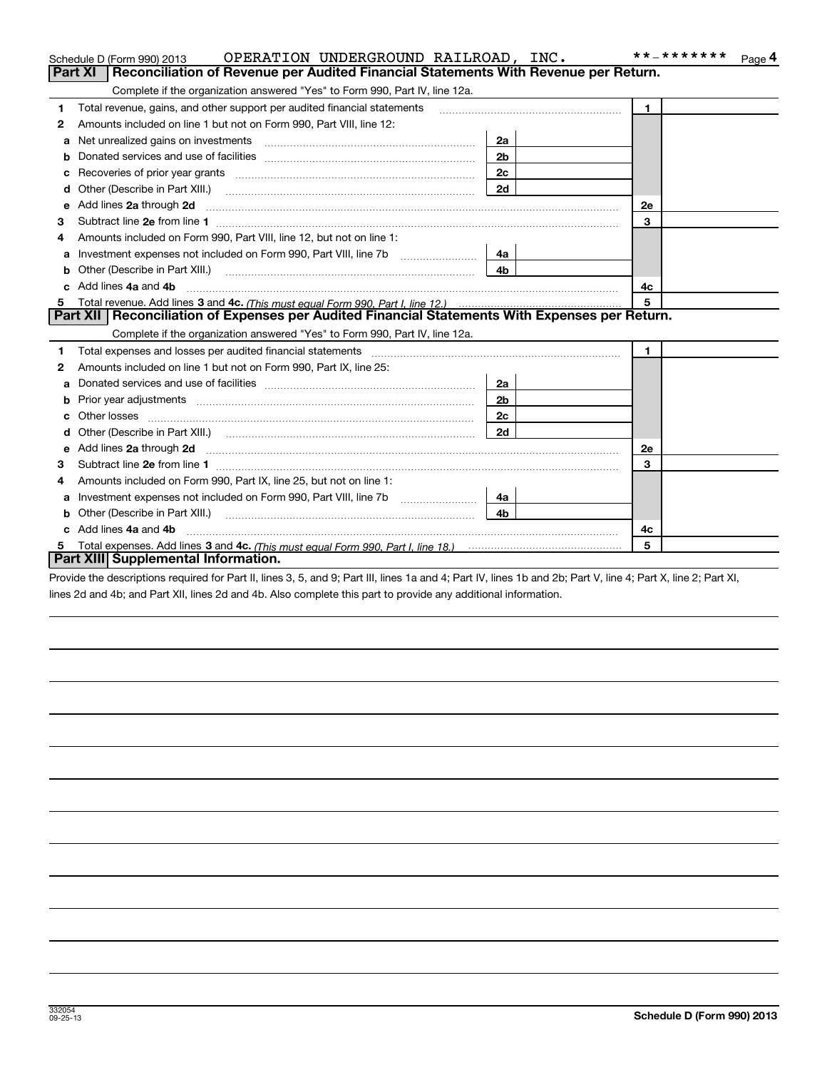|    | OPERATION UNDERGROUND RAILROAD, INC.<br>Schedule D (Form 990) 2013                                                                                                                                                                  |                | **_*******<br>Page 4 |
|----|-------------------------------------------------------------------------------------------------------------------------------------------------------------------------------------------------------------------------------------|----------------|----------------------|
|    | <b>Part XI</b><br>Reconciliation of Revenue per Audited Financial Statements With Revenue per Return.                                                                                                                               |                |                      |
|    | Complete if the organization answered "Yes" to Form 990, Part IV, line 12a.                                                                                                                                                         |                |                      |
| 1  | Total revenue, gains, and other support per audited financial statements                                                                                                                                                            |                | $\mathbf{1}$         |
| 2  | Amounts included on line 1 but not on Form 990, Part VIII, line 12:                                                                                                                                                                 |                |                      |
| a  | Net unrealized gains on investments [11] with an intervention and intervention and intervention and intervention                                                                                                                    | 2a             |                      |
|    |                                                                                                                                                                                                                                     | 2 <sub>b</sub> |                      |
|    | Recoveries of prior year grants [111] [12] matter contracts and prior year grants [11] matter contracts and prior year grants [11] matter contracts and prior year grants and an interval matter contracts and prior year of t      | 2c             |                      |
| d  |                                                                                                                                                                                                                                     | 2d             |                      |
| е  | Add lines 2a through 2d                                                                                                                                                                                                             |                | 2e                   |
| З  |                                                                                                                                                                                                                                     |                | 3                    |
| 4  | Amounts included on Form 990, Part VIII, line 12, but not on line 1:                                                                                                                                                                |                |                      |
| a  | Investment expenses not included on Form 990, Part VIII, line 7b [1000000000000000000000000000000000                                                                                                                                | 4a             |                      |
|    | Other (Describe in Part XIII.) <b>2006</b> 2006 2010 2010 2010 2010 2011 2012 2013 2014 2015 2016 2017 2018 2019 2016 2016 2017 2018 2019 2016 2017 2018 2019 2016 2017 2018 2019 2018 2019 2016 2017 2018 2019 2018 2019 2018 2019 | 4 <sub>b</sub> |                      |
|    | Add lines 4a and 4b                                                                                                                                                                                                                 |                | 4c                   |
|    |                                                                                                                                                                                                                                     |                | 5                    |
|    | Part XII   Reconciliation of Expenses per Audited Financial Statements With Expenses per Return.                                                                                                                                    |                |                      |
|    | Complete if the organization answered "Yes" to Form 990, Part IV, line 12a.                                                                                                                                                         |                |                      |
| 1  | Total expenses and losses per audited financial statements [11] [12] manuscription and statements [13] Total expenses and losses per audited financial statements [13] manuscription and the statements [13] manuscription and      |                | $\mathbf{1}$         |
| 2  | Amounts included on line 1 but not on Form 990, Part IX, line 25:                                                                                                                                                                   |                |                      |
| a  |                                                                                                                                                                                                                                     | 2a             |                      |
| b  |                                                                                                                                                                                                                                     | 2 <sub>b</sub> |                      |
|    | Other losses                                                                                                                                                                                                                        | 2c             |                      |
| d  |                                                                                                                                                                                                                                     | 2d             |                      |
| е  | Add lines 2a through 2d <b>must be a constructed as the constant of the constant of the constant of the construction</b>                                                                                                            |                | 2e                   |
| з  |                                                                                                                                                                                                                                     |                | 3                    |
| 4  | Amounts included on Form 990, Part IX, line 25, but not on line 1:                                                                                                                                                                  |                |                      |
| a  | Investment expenses not included on Form 990, Part VIII, line 7b [111] [11] Investment expenses not included on Form 990, Part VIII, line 7b                                                                                        | 4a l           |                      |
|    | Other (Describe in Part XIII.)                                                                                                                                                                                                      | 4 <sub>b</sub> |                      |
| c. | Add lines 4a and 4b                                                                                                                                                                                                                 |                | 4c                   |
|    |                                                                                                                                                                                                                                     |                | 5                    |
|    | Part XIII Supplemental Information.                                                                                                                                                                                                 |                |                      |
|    |                                                                                                                                                                                                                                     |                |                      |

Provide the descriptions required for Part II, lines 3, 5, and 9; Part III, lines 1a and 4; Part IV, lines 1b and 2b; Part V, line 4; Part X, line 2; Part XI, lines 2d and 4b; and Part XII, lines 2d and 4b. Also complete this part to provide any additional information.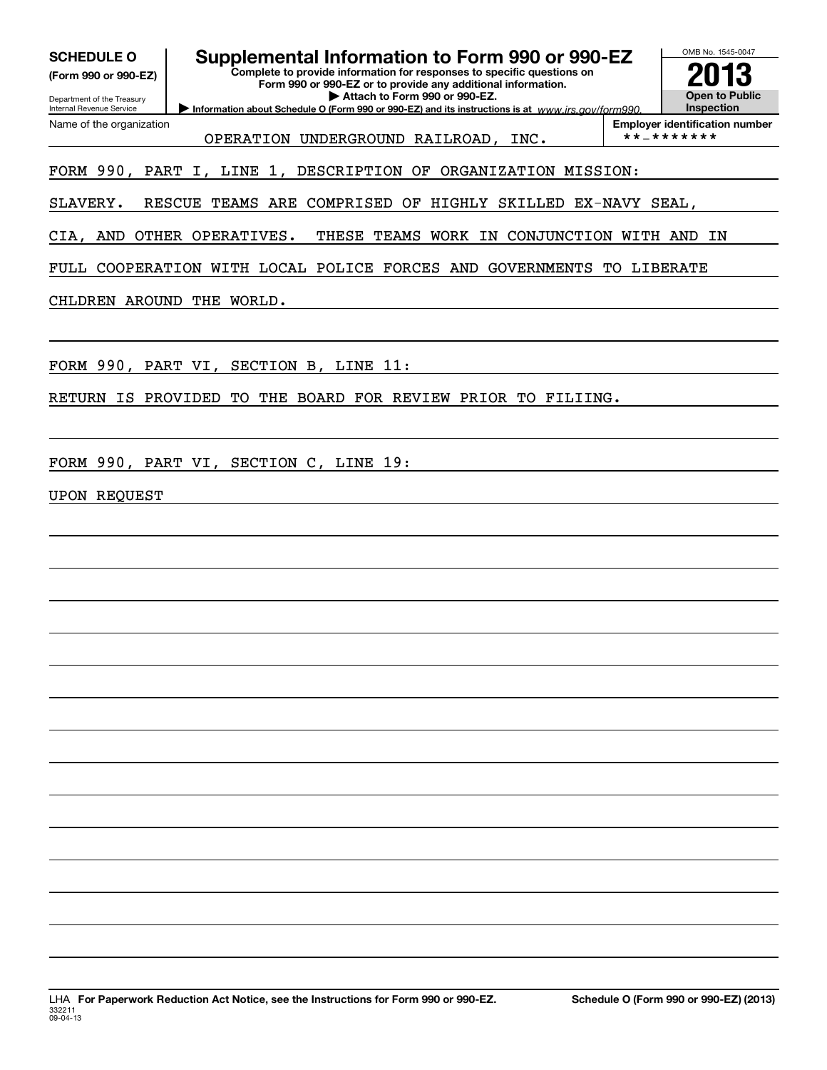| <b>SCHEDULE O</b><br>(Form 990 or 990-EZ)<br>Department of the Treasury<br><b>Internal Revenue Service</b> | Supplemental Information to Form 990 or 990-EZ<br>Complete to provide information for responses to specific questions on<br>Form 990 or 990-EZ or to provide any additional information.<br>Attach to Form 990 or 990-EZ.<br>Information about Schedule O (Form 990 or 990-EZ) and its instructions is at www.irs.gov/form990. | OMB No. 1545-0047<br><b>Open to Public</b><br>Inspection |
|------------------------------------------------------------------------------------------------------------|--------------------------------------------------------------------------------------------------------------------------------------------------------------------------------------------------------------------------------------------------------------------------------------------------------------------------------|----------------------------------------------------------|
| Name of the organization                                                                                   | OPERATION UNDERGROUND RAILROAD, INC.                                                                                                                                                                                                                                                                                           | <b>Employer identification number</b><br>**_*******      |
|                                                                                                            | FORM 990, PART I, LINE 1, DESCRIPTION OF ORGANIZATION MISSION:                                                                                                                                                                                                                                                                 |                                                          |
| SLAVERY.                                                                                                   | RESCUE TEAMS ARE COMPRISED OF HIGHLY SKILLED EX-NAVY SEAL,                                                                                                                                                                                                                                                                     |                                                          |
|                                                                                                            | CIA, AND OTHER OPERATIVES.<br>TEAMS WORK IN CONJUNCTION WITH AND<br>THESE                                                                                                                                                                                                                                                      | ΙN                                                       |
|                                                                                                            | FULL COOPERATION WITH LOCAL POLICE FORCES AND GOVERNMENTS TO LIBERATE                                                                                                                                                                                                                                                          |                                                          |
|                                                                                                            | CHLDREN AROUND THE WORLD.                                                                                                                                                                                                                                                                                                      |                                                          |
|                                                                                                            | FORM 990, PART VI, SECTION B, LINE 11:                                                                                                                                                                                                                                                                                         |                                                          |
| RETURN IS PROVIDED                                                                                         | TO THE BOARD FOR REVIEW PRIOR TO FILIING.                                                                                                                                                                                                                                                                                      |                                                          |
|                                                                                                            |                                                                                                                                                                                                                                                                                                                                |                                                          |
|                                                                                                            | FORM 990, PART VI, SECTION C, LINE 19:                                                                                                                                                                                                                                                                                         |                                                          |
| <b>UPON REQUEST</b>                                                                                        |                                                                                                                                                                                                                                                                                                                                |                                                          |
|                                                                                                            |                                                                                                                                                                                                                                                                                                                                |                                                          |
|                                                                                                            |                                                                                                                                                                                                                                                                                                                                |                                                          |
|                                                                                                            |                                                                                                                                                                                                                                                                                                                                |                                                          |
|                                                                                                            |                                                                                                                                                                                                                                                                                                                                |                                                          |
|                                                                                                            |                                                                                                                                                                                                                                                                                                                                |                                                          |
|                                                                                                            |                                                                                                                                                                                                                                                                                                                                |                                                          |
|                                                                                                            |                                                                                                                                                                                                                                                                                                                                |                                                          |
|                                                                                                            |                                                                                                                                                                                                                                                                                                                                |                                                          |
|                                                                                                            |                                                                                                                                                                                                                                                                                                                                |                                                          |
|                                                                                                            |                                                                                                                                                                                                                                                                                                                                |                                                          |
|                                                                                                            |                                                                                                                                                                                                                                                                                                                                |                                                          |
|                                                                                                            |                                                                                                                                                                                                                                                                                                                                |                                                          |
|                                                                                                            |                                                                                                                                                                                                                                                                                                                                |                                                          |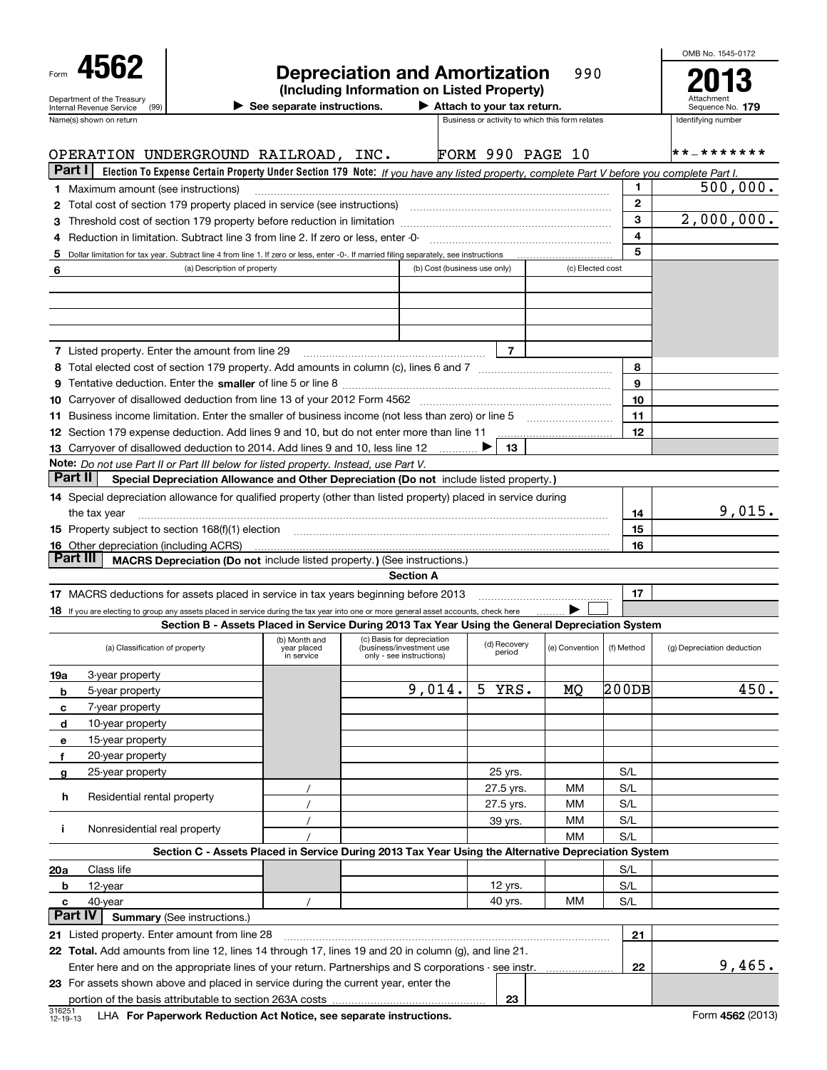| 4562<br>Department of the Treasury                                                                                                                                                                                                                                                                               |                                                                                                                                           |                                                  | <b>Depreciation and Amortization</b><br>(Including Information on Listed Property) |                              |                            | 990                                             |            |                         | OMB No. 1545-0172                  |
|------------------------------------------------------------------------------------------------------------------------------------------------------------------------------------------------------------------------------------------------------------------------------------------------------------------|-------------------------------------------------------------------------------------------------------------------------------------------|--------------------------------------------------|------------------------------------------------------------------------------------|------------------------------|----------------------------|-------------------------------------------------|------------|-------------------------|------------------------------------|
| Internal Revenue Service<br>(99)                                                                                                                                                                                                                                                                                 |                                                                                                                                           | $\blacktriangleright$ See separate instructions. |                                                                                    |                              | Attach to your tax return. |                                                 |            |                         | Sequence No. 179                   |
| Name(s) shown on return                                                                                                                                                                                                                                                                                          |                                                                                                                                           |                                                  |                                                                                    |                              |                            | Business or activity to which this form relates |            |                         | Identifying number                 |
|                                                                                                                                                                                                                                                                                                                  |                                                                                                                                           |                                                  |                                                                                    |                              |                            |                                                 |            |                         | * * _ * * * * * *                  |
| OPERATION UNDERGROUND RAILROAD, INC.<br>Part I I                                                                                                                                                                                                                                                                 |                                                                                                                                           |                                                  |                                                                                    |                              |                            | <b>FORM 990 PAGE 10</b>                         |            |                         |                                    |
|                                                                                                                                                                                                                                                                                                                  | Election To Expense Certain Property Under Section 179 Note: If you have any listed property, complete Part V before you complete Part I. |                                                  |                                                                                    |                              |                            |                                                 |            | $\mathbf{1}$            | 500,00                             |
| 1 Maximum amount (see instructions)                                                                                                                                                                                                                                                                              |                                                                                                                                           |                                                  |                                                                                    |                              |                            |                                                 |            | $\mathbf{2}$            |                                    |
| 2 Total cost of section 179 property placed in service (see instructions) manufactured cost of section 179 property placed in service (see instructions)                                                                                                                                                         |                                                                                                                                           |                                                  |                                                                                    |                              |                            |                                                 |            | 3                       | 2,000,00                           |
|                                                                                                                                                                                                                                                                                                                  |                                                                                                                                           |                                                  |                                                                                    |                              |                            |                                                 |            | $\overline{\mathbf{4}}$ |                                    |
| Reduction in limitation. Subtract line 3 from line 2. If zero or less, enter -0-                                                                                                                                                                                                                                 |                                                                                                                                           |                                                  |                                                                                    |                              |                            |                                                 |            | 5                       |                                    |
| 5 Dollar limitation for tax year. Subtract line 4 from line 1. If zero or less, enter -0-. If married filing separately, see instructions                                                                                                                                                                        | (a) Description of property                                                                                                               |                                                  |                                                                                    | (b) Cost (business use only) |                            | (c) Elected cost                                |            |                         |                                    |
| 6                                                                                                                                                                                                                                                                                                                |                                                                                                                                           |                                                  |                                                                                    |                              |                            |                                                 |            |                         |                                    |
| 10 Carryover of disallowed deduction from line 13 of your 2012 Form 4562 [111] [120] [120] [120] [120] [120] [<br>11 Business income limitation. Enter the smaller of business income (not less than zero) or line 5<br>12 Section 179 expense deduction. Add lines 9 and 10, but do not enter more than line 11 |                                                                                                                                           |                                                  |                                                                                    |                              |                            |                                                 |            | 9<br>10<br>11<br>12     |                                    |
| 13 Carryover of disallowed deduction to 2014. Add lines 9 and 10, less line 12                                                                                                                                                                                                                                   |                                                                                                                                           |                                                  |                                                                                    |                              | ▶<br>13                    |                                                 |            |                         |                                    |
| Note: Do not use Part II or Part III below for listed property. Instead, use Part V.                                                                                                                                                                                                                             |                                                                                                                                           |                                                  |                                                                                    |                              |                            |                                                 |            |                         |                                    |
| Part II                                                                                                                                                                                                                                                                                                          | Special Depreciation Allowance and Other Depreciation (Do not include listed property.)                                                   |                                                  |                                                                                    |                              |                            |                                                 |            |                         |                                    |
|                                                                                                                                                                                                                                                                                                                  |                                                                                                                                           |                                                  |                                                                                    |                              |                            |                                                 |            |                         |                                    |
|                                                                                                                                                                                                                                                                                                                  |                                                                                                                                           |                                                  |                                                                                    |                              |                            |                                                 |            |                         |                                    |
| 14 Special depreciation allowance for qualified property (other than listed property) placed in service during                                                                                                                                                                                                   |                                                                                                                                           |                                                  |                                                                                    |                              |                            |                                                 |            | 14                      |                                    |
| the tax year                                                                                                                                                                                                                                                                                                     |                                                                                                                                           |                                                  |                                                                                    |                              |                            |                                                 |            | 15                      |                                    |
| 15 Property subject to section 168(f)(1) election material content content content of the content of the content of the content of the content of the content of the content of the content of the content of the content of t<br><b>16</b> Other depreciation (including ACRS)                                  |                                                                                                                                           |                                                  |                                                                                    |                              |                            |                                                 |            | 16                      |                                    |
| Part III                                                                                                                                                                                                                                                                                                         | <b>MACRS Depreciation (Do not include listed property.) (See instructions.)</b>                                                           |                                                  |                                                                                    |                              |                            |                                                 |            |                         |                                    |
|                                                                                                                                                                                                                                                                                                                  |                                                                                                                                           |                                                  | <b>Section A</b>                                                                   |                              |                            |                                                 |            |                         |                                    |
|                                                                                                                                                                                                                                                                                                                  |                                                                                                                                           |                                                  |                                                                                    |                              |                            |                                                 |            | 17                      |                                    |
|                                                                                                                                                                                                                                                                                                                  |                                                                                                                                           |                                                  |                                                                                    |                              |                            |                                                 |            |                         |                                    |
| 18 If you are electing to group any assets placed in service during the tax year into one or more general asset accounts, check here                                                                                                                                                                             | Section B - Assets Placed in Service During 2013 Tax Year Using the General Depreciation System                                           |                                                  |                                                                                    |                              |                            |                                                 |            |                         |                                    |
| (a) Classification of property                                                                                                                                                                                                                                                                                   |                                                                                                                                           | (b) Month and<br>year placed<br>in service       | (c) Basis for depreciation<br>(business/investment use<br>only - see instructions) |                              | (d) Recovery<br>period     | (e) Convention                                  | (f) Method |                         | 9,01<br>(g) Depreciation deduction |
| 3-year property<br>19a                                                                                                                                                                                                                                                                                           |                                                                                                                                           |                                                  |                                                                                    |                              |                            |                                                 |            |                         |                                    |

| OMB No. 1545-0172 |
|-------------------|
|                   |

|  |  | r activity to which this form relates |  |
|--|--|---------------------------------------|--|

\*\*-\*\*\*\*\*\*\*

|     | <b>1</b> Maximum amount (see instructions)                                                                                                                                                                                     |                                            |                                                                                                     |                        |                | 1.         | <u>500,000.</u>            |
|-----|--------------------------------------------------------------------------------------------------------------------------------------------------------------------------------------------------------------------------------|--------------------------------------------|-----------------------------------------------------------------------------------------------------|------------------------|----------------|------------|----------------------------|
|     |                                                                                                                                                                                                                                | $\mathbf{2}$                               |                                                                                                     |                        |                |            |                            |
|     |                                                                                                                                                                                                                                | 3                                          | 2,000,000.                                                                                          |                        |                |            |                            |
| 4   |                                                                                                                                                                                                                                | 4                                          |                                                                                                     |                        |                |            |                            |
| 5   | Dollar limitation for tax year. Subtract line 4 from line 1. If zero or less, enter -0-. If married filing separately, see instructions                                                                                        | 5                                          |                                                                                                     |                        |                |            |                            |
| 6   | (a) Description of property                                                                                                                                                                                                    | (b) Cost (business use only)               | (c) Elected cost                                                                                    |                        |                |            |                            |
|     |                                                                                                                                                                                                                                |                                            |                                                                                                     |                        |                |            |                            |
|     |                                                                                                                                                                                                                                |                                            |                                                                                                     |                        |                |            |                            |
|     |                                                                                                                                                                                                                                |                                            |                                                                                                     |                        |                |            |                            |
|     |                                                                                                                                                                                                                                |                                            |                                                                                                     |                        |                |            |                            |
|     | 7 Listed property. Enter the amount from line 29                                                                                                                                                                               |                                            |                                                                                                     | 7                      |                |            |                            |
|     |                                                                                                                                                                                                                                |                                            |                                                                                                     |                        |                | 8          |                            |
|     |                                                                                                                                                                                                                                |                                            |                                                                                                     |                        |                | 9          |                            |
|     |                                                                                                                                                                                                                                |                                            |                                                                                                     |                        |                | 10         |                            |
|     | 11 Business income limitation. Enter the smaller of business income (not less than zero) or line 5                                                                                                                             |                                            |                                                                                                     |                        |                | 11         |                            |
|     |                                                                                                                                                                                                                                |                                            |                                                                                                     |                        |                | 12         |                            |
|     | 13 Carryover of disallowed deduction to 2014. Add lines 9 and 10, less line 12                                                                                                                                                 |                                            |                                                                                                     | 13                     |                |            |                            |
|     | Note: Do not use Part II or Part III below for listed property. Instead, use Part V.                                                                                                                                           |                                            |                                                                                                     |                        |                |            |                            |
|     | Part II<br>Special Depreciation Allowance and Other Depreciation (Do not include listed property.)                                                                                                                             |                                            |                                                                                                     |                        |                |            |                            |
|     | 14 Special depreciation allowance for qualified property (other than listed property) placed in service during                                                                                                                 |                                            |                                                                                                     |                        |                |            |                            |
|     | the tax year                                                                                                                                                                                                                   |                                            |                                                                                                     |                        |                | 14         | 9,015.                     |
|     | 15 Property subject to section 168(f)(1) election manufactured content to the content of the content of the content of the content of the content of the content of the content of the content of the content of the content o |                                            |                                                                                                     |                        |                | 15         |                            |
|     | 16 Other depreciation (including ACRS)                                                                                                                                                                                         |                                            |                                                                                                     |                        |                | 16         |                            |
|     | Part III<br>MACRS Depreciation (Do not include listed property.) (See instructions.)                                                                                                                                           |                                            |                                                                                                     |                        |                |            |                            |
|     |                                                                                                                                                                                                                                |                                            | <b>Section A</b>                                                                                    |                        |                |            |                            |
|     | 17 MACRS deductions for assets placed in service in tax years beginning before 2013                                                                                                                                            |                                            |                                                                                                     |                        |                | 17         |                            |
|     | 18 If you are electing to group any assets placed in service during the tax year into one or more general asset accounts, check here                                                                                           |                                            |                                                                                                     |                        |                |            |                            |
|     |                                                                                                                                                                                                                                |                                            | Section B - Assets Placed in Service During 2013 Tax Year Using the General Depreciation System     |                        |                |            |                            |
|     | (a) Classification of property                                                                                                                                                                                                 | (b) Month and<br>year placed<br>in service | (c) Basis for depreciation<br>(business/investment use<br>only - see instructions)                  | (d) Recovery<br>period | (e) Convention | (f) Method | (g) Depreciation deduction |
| 19a | 3-year property                                                                                                                                                                                                                |                                            |                                                                                                     |                        |                |            |                            |
| b   | 5-year property                                                                                                                                                                                                                |                                            | 9,014.                                                                                              | 5 YRS.                 | MQ             | 200DB      | 450.                       |
| c   | 7-year property                                                                                                                                                                                                                |                                            |                                                                                                     |                        |                |            |                            |
| d   | 10-year property                                                                                                                                                                                                               |                                            |                                                                                                     |                        |                |            |                            |
| е   | 15-year property                                                                                                                                                                                                               |                                            |                                                                                                     |                        |                |            |                            |
| f   | 20-year property                                                                                                                                                                                                               |                                            |                                                                                                     |                        |                |            |                            |
| g   | 25-year property                                                                                                                                                                                                               |                                            |                                                                                                     | 25 yrs.                |                | S/L        |                            |
|     |                                                                                                                                                                                                                                |                                            |                                                                                                     | 27.5 yrs.              | МM             | S/L        |                            |
| h   | Residential rental property                                                                                                                                                                                                    |                                            |                                                                                                     | 27.5 yrs.              | MМ             | S/L        |                            |
|     |                                                                                                                                                                                                                                |                                            |                                                                                                     | 39 yrs.                | MМ             | S/L        |                            |
| j.  | Nonresidential real property                                                                                                                                                                                                   |                                            |                                                                                                     |                        | ΜМ             | S/L        |                            |
|     |                                                                                                                                                                                                                                |                                            | Section C - Assets Placed in Service During 2013 Tax Year Using the Alternative Depreciation System |                        |                |            |                            |
| 20a | Class life                                                                                                                                                                                                                     |                                            |                                                                                                     |                        |                | S/L        |                            |
| b   | 12-year                                                                                                                                                                                                                        |                                            |                                                                                                     | 12 yrs.                |                | S/L        |                            |
| c   | 40-year                                                                                                                                                                                                                        |                                            |                                                                                                     | 40 yrs.                | ΜМ             | S/L        |                            |
|     | <b>Part IV</b><br><b>Summary (See instructions.)</b>                                                                                                                                                                           |                                            |                                                                                                     |                        |                |            |                            |
|     | 21 Listed property. Enter amount from line 28                                                                                                                                                                                  |                                            |                                                                                                     |                        |                | 21         |                            |
|     | 22 Total. Add amounts from line 12, lines 14 through 17, lines 19 and 20 in column (g), and line 21.                                                                                                                           |                                            |                                                                                                     |                        |                |            |                            |
|     | Enter here and on the appropriate lines of your return. Partnerships and S corporations - see instr.                                                                                                                           |                                            |                                                                                                     |                        |                | 22         | 9,465.                     |
|     |                                                                                                                                                                                                                                |                                            |                                                                                                     |                        |                |            |                            |

**23**